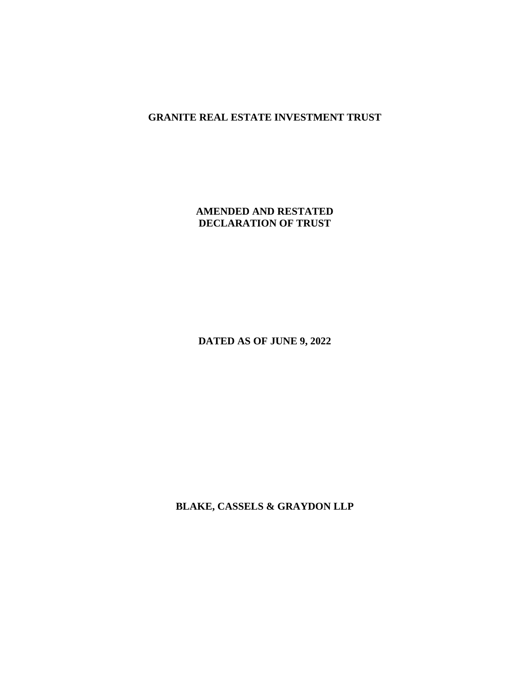# **GRANITE REAL ESTATE INVESTMENT TRUST**

## **AMENDED AND RESTATED DECLARATION OF TRUST**

**DATED AS OF JUNE 9, 2022** 

**BLAKE, CASSELS & GRAYDON LLP**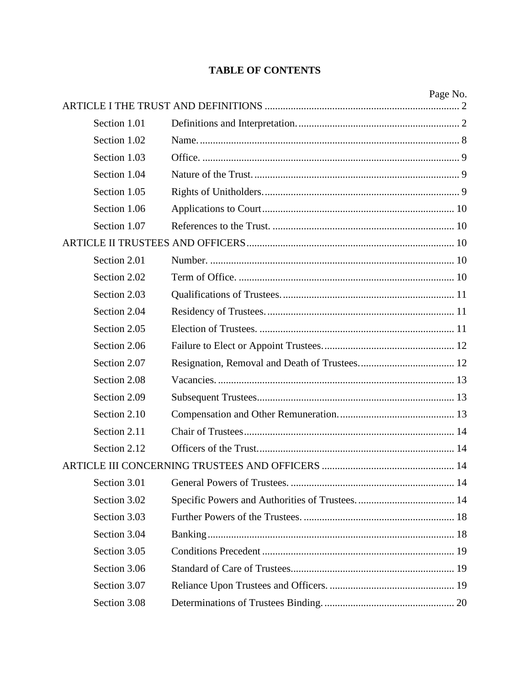# **TABLE OF CONTENTS**

|              | Page No. |
|--------------|----------|
|              |          |
| Section 1.01 |          |
| Section 1.02 |          |
| Section 1.03 |          |
| Section 1.04 |          |
| Section 1.05 |          |
| Section 1.06 |          |
| Section 1.07 |          |
|              |          |
| Section 2.01 |          |
| Section 2.02 |          |
| Section 2.03 |          |
| Section 2.04 |          |
| Section 2.05 |          |
| Section 2.06 |          |
| Section 2.07 |          |
| Section 2.08 |          |
| Section 2.09 |          |
| Section 2.10 |          |
| Section 2.11 |          |
| Section 2.12 |          |
|              |          |
| Section 3.01 |          |
| Section 3.02 |          |
| Section 3.03 |          |
| Section 3.04 |          |
| Section 3.05 |          |
| Section 3.06 |          |
| Section 3.07 |          |
| Section 3.08 |          |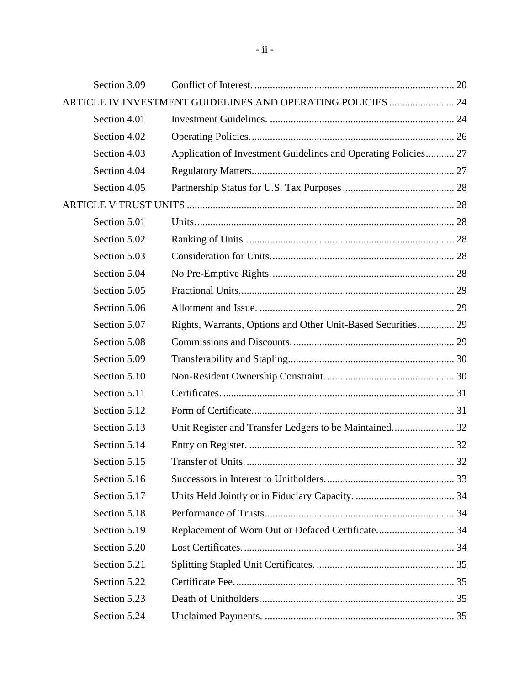| Section 3.09 |                                                                |  |
|--------------|----------------------------------------------------------------|--|
|              | ARTICLE IV INVESTMENT GUIDELINES AND OPERATING POLICIES  24    |  |
| Section 4.01 |                                                                |  |
| Section 4.02 |                                                                |  |
| Section 4.03 | Application of Investment Guidelines and Operating Policies 27 |  |
| Section 4.04 |                                                                |  |
| Section 4.05 |                                                                |  |
|              |                                                                |  |
| Section 5.01 |                                                                |  |
| Section 5.02 |                                                                |  |
| Section 5.03 |                                                                |  |
| Section 5.04 |                                                                |  |
| Section 5.05 |                                                                |  |
| Section 5.06 |                                                                |  |
| Section 5.07 | Rights, Warrants, Options and Other Unit-Based Securities 29   |  |
| Section 5.08 |                                                                |  |
| Section 5.09 |                                                                |  |
| Section 5.10 |                                                                |  |
| Section 5.11 |                                                                |  |
| Section 5.12 |                                                                |  |
| Section 5.13 | Unit Register and Transfer Ledgers to be Maintained 32         |  |
| Section 5.14 |                                                                |  |
| Section 5.15 |                                                                |  |
| Section 5.16 |                                                                |  |
| Section 5.17 |                                                                |  |
| Section 5.18 |                                                                |  |
| Section 5.19 | Replacement of Worn Out or Defaced Certificate 34              |  |
| Section 5.20 |                                                                |  |
| Section 5.21 |                                                                |  |
| Section 5.22 |                                                                |  |
| Section 5.23 |                                                                |  |
| Section 5.24 |                                                                |  |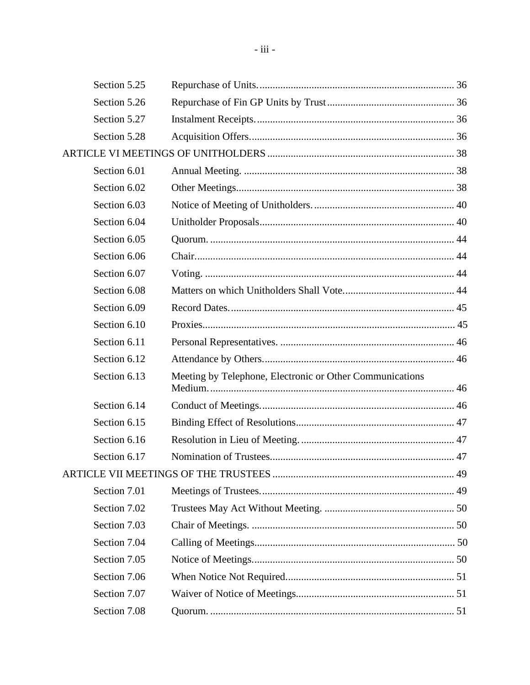| Section 5.25 |                                                          |  |
|--------------|----------------------------------------------------------|--|
| Section 5.26 |                                                          |  |
| Section 5.27 |                                                          |  |
| Section 5.28 |                                                          |  |
|              |                                                          |  |
| Section 6.01 |                                                          |  |
| Section 6.02 |                                                          |  |
| Section 6.03 |                                                          |  |
| Section 6.04 |                                                          |  |
| Section 6.05 |                                                          |  |
| Section 6.06 |                                                          |  |
| Section 6.07 |                                                          |  |
| Section 6.08 |                                                          |  |
| Section 6.09 |                                                          |  |
| Section 6.10 |                                                          |  |
| Section 6.11 |                                                          |  |
| Section 6.12 |                                                          |  |
| Section 6.13 | Meeting by Telephone, Electronic or Other Communications |  |
| Section 6.14 |                                                          |  |
| Section 6.15 |                                                          |  |
| Section 6.16 |                                                          |  |
| Section 6.17 |                                                          |  |
|              |                                                          |  |
| Section 7.01 |                                                          |  |
| Section 7.02 |                                                          |  |
| Section 7.03 |                                                          |  |
| Section 7.04 |                                                          |  |
| Section 7.05 |                                                          |  |
| Section 7.06 |                                                          |  |
| Section 7.07 |                                                          |  |
| Section 7.08 |                                                          |  |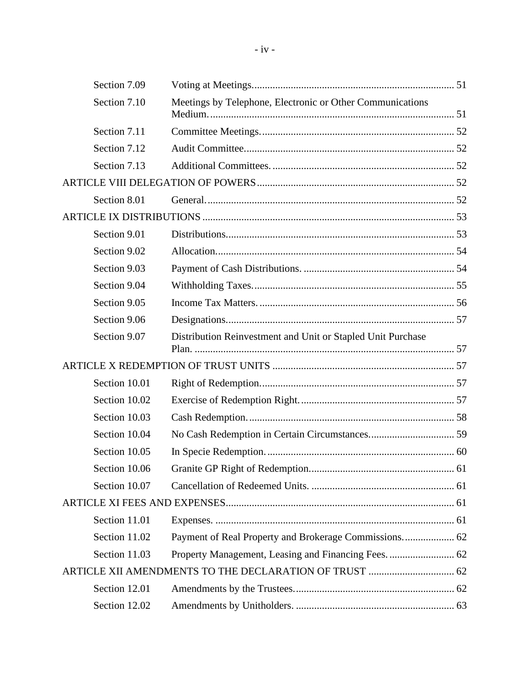| Section 7.09  |                                                             |  |
|---------------|-------------------------------------------------------------|--|
| Section 7.10  | Meetings by Telephone, Electronic or Other Communications   |  |
| Section 7.11  |                                                             |  |
| Section 7.12  |                                                             |  |
| Section 7.13  |                                                             |  |
|               |                                                             |  |
| Section 8.01  |                                                             |  |
|               |                                                             |  |
| Section 9.01  |                                                             |  |
| Section 9.02  |                                                             |  |
| Section 9.03  |                                                             |  |
| Section 9.04  |                                                             |  |
| Section 9.05  |                                                             |  |
| Section 9.06  |                                                             |  |
| Section 9.07  | Distribution Reinvestment and Unit or Stapled Unit Purchase |  |
|               |                                                             |  |
| Section 10.01 |                                                             |  |
| Section 10.02 |                                                             |  |
| Section 10.03 |                                                             |  |
| Section 10.04 |                                                             |  |
| Section 10.05 |                                                             |  |
| Section 10.06 |                                                             |  |
| Section 10.07 |                                                             |  |
|               |                                                             |  |
| Section 11.01 |                                                             |  |
| Section 11.02 |                                                             |  |
| Section 11.03 |                                                             |  |
|               |                                                             |  |
| Section 12.01 |                                                             |  |
| Section 12.02 |                                                             |  |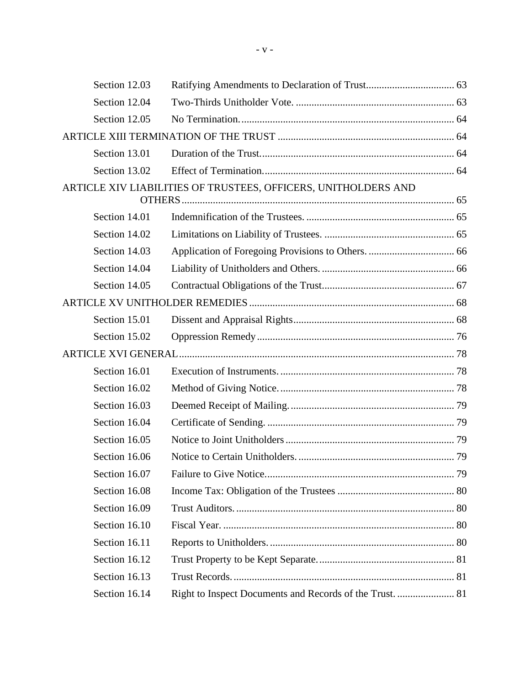| Section 12.03 |                                                                |  |
|---------------|----------------------------------------------------------------|--|
| Section 12.04 |                                                                |  |
| Section 12.05 |                                                                |  |
|               |                                                                |  |
| Section 13.01 |                                                                |  |
| Section 13.02 |                                                                |  |
|               | ARTICLE XIV LIABILITIES OF TRUSTEES, OFFICERS, UNITHOLDERS AND |  |
|               |                                                                |  |
| Section 14.01 |                                                                |  |
| Section 14.02 |                                                                |  |
| Section 14.03 |                                                                |  |
| Section 14.04 |                                                                |  |
| Section 14.05 |                                                                |  |
|               |                                                                |  |
| Section 15.01 |                                                                |  |
| Section 15.02 |                                                                |  |
|               |                                                                |  |
| Section 16.01 |                                                                |  |
| Section 16.02 |                                                                |  |
| Section 16.03 |                                                                |  |
| Section 16.04 |                                                                |  |
| Section 16.05 |                                                                |  |
| Section 16.06 |                                                                |  |
| Section 16.07 |                                                                |  |
| Section 16.08 |                                                                |  |
| Section 16.09 |                                                                |  |
| Section 16.10 |                                                                |  |
| Section 16.11 |                                                                |  |
| Section 16.12 |                                                                |  |
| Section 16.13 |                                                                |  |
| Section 16.14 | Right to Inspect Documents and Records of the Trust.  81       |  |
|               |                                                                |  |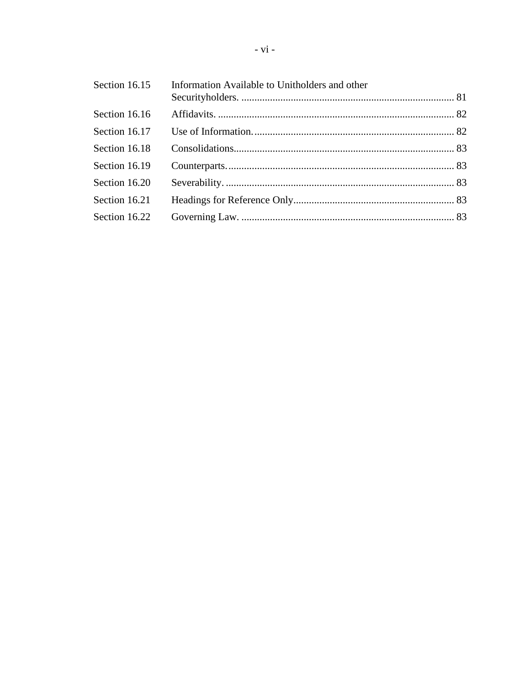| Section 16.15 | Information Available to Unitholders and other |  |
|---------------|------------------------------------------------|--|
| Section 16.16 |                                                |  |
| Section 16.17 |                                                |  |
| Section 16.18 |                                                |  |
| Section 16.19 |                                                |  |
| Section 16.20 |                                                |  |
| Section 16.21 |                                                |  |
| Section 16.22 |                                                |  |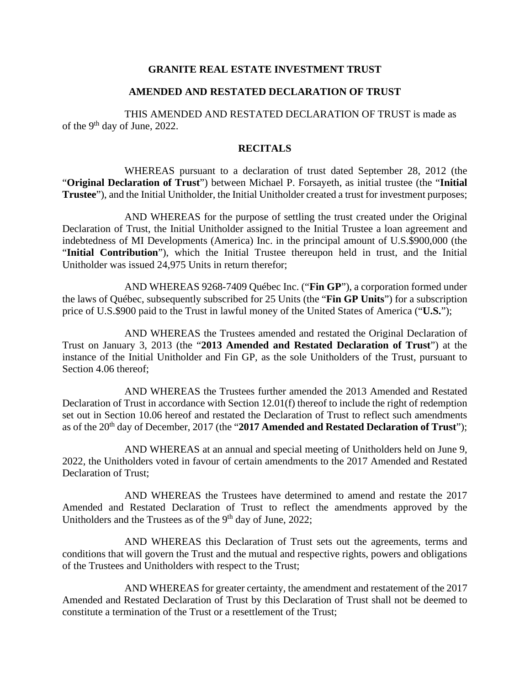### **GRANITE REAL ESTATE INVESTMENT TRUST**

#### **AMENDED AND RESTATED DECLARATION OF TRUST**

THIS AMENDED AND RESTATED DECLARATION OF TRUST is made as of the 9<sup>th</sup> day of June, 2022.

### **RECITALS**

WHEREAS pursuant to a declaration of trust dated September 28, 2012 (the "**Original Declaration of Trust**") between Michael P. Forsayeth, as initial trustee (the "**Initial Trustee**"), and the Initial Unitholder, the Initial Unitholder created a trust for investment purposes;

AND WHEREAS for the purpose of settling the trust created under the Original Declaration of Trust, the Initial Unitholder assigned to the Initial Trustee a loan agreement and indebtedness of MI Developments (America) Inc. in the principal amount of U.S.\$900,000 (the "**Initial Contribution**"), which the Initial Trustee thereupon held in trust, and the Initial Unitholder was issued 24,975 Units in return therefor;

AND WHEREAS 9268-7409 Québec Inc. ("**Fin GP**"), a corporation formed under the laws of Québec, subsequently subscribed for 25 Units (the "**Fin GP Units**") for a subscription price of U.S.\$900 paid to the Trust in lawful money of the United States of America ("**U.S.**");

AND WHEREAS the Trustees amended and restated the Original Declaration of Trust on January 3, 2013 (the "**2013 Amended and Restated Declaration of Trust**") at the instance of the Initial Unitholder and Fin GP, as the sole Unitholders of the Trust, pursuant to Section 4.06 thereof;

AND WHEREAS the Trustees further amended the 2013 Amended and Restated Declaration of Trust in accordance with Section 12.01(f) thereof to include the right of redemption set out in Section 10.06 hereof and restated the Declaration of Trust to reflect such amendments as of the 20<sup>th</sup> day of December, 2017 (the "2017 Amended and Restated Declaration of Trust");

AND WHEREAS at an annual and special meeting of Unitholders held on June 9, 2022, the Unitholders voted in favour of certain amendments to the 2017 Amended and Restated Declaration of Trust;

AND WHEREAS the Trustees have determined to amend and restate the 2017 Amended and Restated Declaration of Trust to reflect the amendments approved by the Unitholders and the Trustees as of the 9<sup>th</sup> day of June, 2022;

AND WHEREAS this Declaration of Trust sets out the agreements, terms and conditions that will govern the Trust and the mutual and respective rights, powers and obligations of the Trustees and Unitholders with respect to the Trust;

AND WHEREAS for greater certainty, the amendment and restatement of the 2017 Amended and Restated Declaration of Trust by this Declaration of Trust shall not be deemed to constitute a termination of the Trust or a resettlement of the Trust;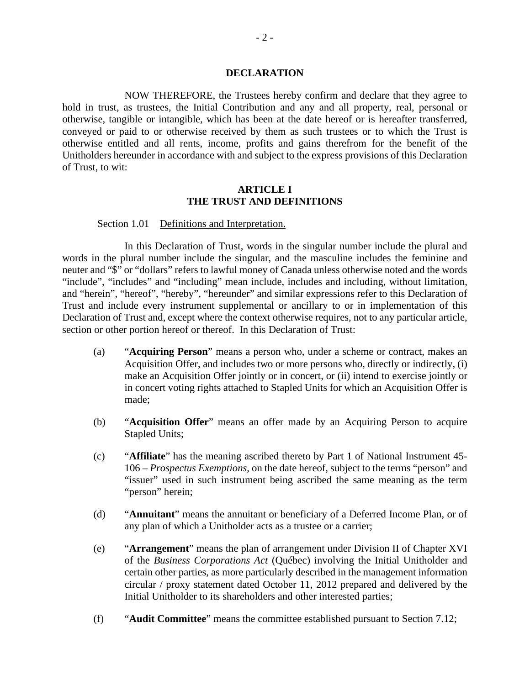#### **DECLARATION**

NOW THEREFORE, the Trustees hereby confirm and declare that they agree to hold in trust, as trustees, the Initial Contribution and any and all property, real, personal or otherwise, tangible or intangible, which has been at the date hereof or is hereafter transferred, conveyed or paid to or otherwise received by them as such trustees or to which the Trust is otherwise entitled and all rents, income, profits and gains therefrom for the benefit of the Unitholders hereunder in accordance with and subject to the express provisions of this Declaration of Trust, to wit:

### **ARTICLE I THE TRUST AND DEFINITIONS**

Section 1.01 Definitions and Interpretation.

In this Declaration of Trust, words in the singular number include the plural and words in the plural number include the singular, and the masculine includes the feminine and neuter and "\$" or "dollars" refers to lawful money of Canada unless otherwise noted and the words "include", "includes" and "including" mean include, includes and including, without limitation, and "herein", "hereof", "hereby", "hereunder" and similar expressions refer to this Declaration of Trust and include every instrument supplemental or ancillary to or in implementation of this Declaration of Trust and, except where the context otherwise requires, not to any particular article, section or other portion hereof or thereof. In this Declaration of Trust:

- (a) "**Acquiring Person**" means a person who, under a scheme or contract, makes an Acquisition Offer, and includes two or more persons who, directly or indirectly, (i) make an Acquisition Offer jointly or in concert, or (ii) intend to exercise jointly or in concert voting rights attached to Stapled Units for which an Acquisition Offer is made;
- (b) "**Acquisition Offer**" means an offer made by an Acquiring Person to acquire Stapled Units;
- (c) "**Affiliate**" has the meaning ascribed thereto by Part 1 of National Instrument 45- 106 – *Prospectus Exemptions*, on the date hereof, subject to the terms "person" and "issuer" used in such instrument being ascribed the same meaning as the term "person" herein;
- (d) "**Annuitant**" means the annuitant or beneficiary of a Deferred Income Plan, or of any plan of which a Unitholder acts as a trustee or a carrier;
- (e) "**Arrangement**" means the plan of arrangement under Division II of Chapter XVI of the *Business Corporations Act* (Québec) involving the Initial Unitholder and certain other parties, as more particularly described in the management information circular / proxy statement dated October 11, 2012 prepared and delivered by the Initial Unitholder to its shareholders and other interested parties;
- (f) "**Audit Committee**" means the committee established pursuant to Section 7.12;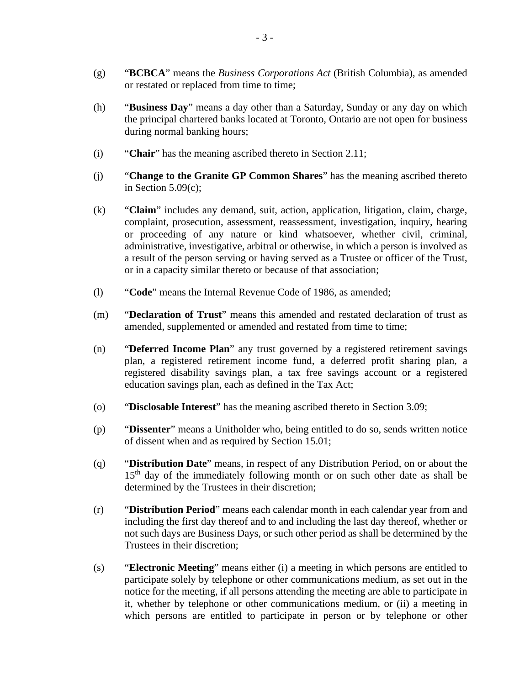- (g) "**BCBCA**" means the *Business Corporations Act* (British Columbia), as amended or restated or replaced from time to time;
- (h) "**Business Day**" means a day other than a Saturday, Sunday or any day on which the principal chartered banks located at Toronto, Ontario are not open for business during normal banking hours;
- (i) "**Chair**" has the meaning ascribed thereto in Section 2.11;
- (j) "**Change to the Granite GP Common Shares**" has the meaning ascribed thereto in Section 5.09(c);
- (k) "**Claim**" includes any demand, suit, action, application, litigation, claim, charge, complaint, prosecution, assessment, reassessment, investigation, inquiry, hearing or proceeding of any nature or kind whatsoever, whether civil, criminal, administrative, investigative, arbitral or otherwise, in which a person is involved as a result of the person serving or having served as a Trustee or officer of the Trust, or in a capacity similar thereto or because of that association;
- (l) "**Code**" means the Internal Revenue Code of 1986, as amended;
- (m) "**Declaration of Trust**" means this amended and restated declaration of trust as amended, supplemented or amended and restated from time to time;
- (n) "**Deferred Income Plan**" any trust governed by a registered retirement savings plan, a registered retirement income fund, a deferred profit sharing plan, a registered disability savings plan, a tax free savings account or a registered education savings plan, each as defined in the Tax Act;
- (o) "**Disclosable Interest**" has the meaning ascribed thereto in Section 3.09;
- (p) "**Dissenter**" means a Unitholder who, being entitled to do so, sends written notice of dissent when and as required by Section 15.01;
- (q) "**Distribution Date**" means, in respect of any Distribution Period, on or about the  $15<sup>th</sup>$  day of the immediately following month or on such other date as shall be determined by the Trustees in their discretion;
- (r) "**Distribution Period**" means each calendar month in each calendar year from and including the first day thereof and to and including the last day thereof, whether or not such days are Business Days, or such other period as shall be determined by the Trustees in their discretion;
- (s) "**Electronic Meeting**" means either (i) a meeting in which persons are entitled to participate solely by telephone or other communications medium, as set out in the notice for the meeting, if all persons attending the meeting are able to participate in it, whether by telephone or other communications medium, or (ii) a meeting in which persons are entitled to participate in person or by telephone or other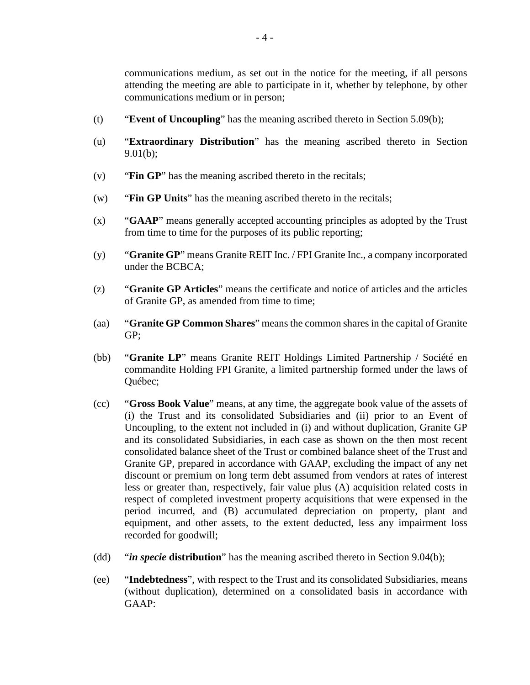communications medium, as set out in the notice for the meeting, if all persons attending the meeting are able to participate in it, whether by telephone, by other communications medium or in person;

- (t) "**Event of Uncoupling**" has the meaning ascribed thereto in Section 5.09(b);
- (u) "**Extraordinary Distribution**" has the meaning ascribed thereto in Section 9.01(b);
- (v) "**Fin GP**" has the meaning ascribed thereto in the recitals;
- (w) "**Fin GP Units**" has the meaning ascribed thereto in the recitals;
- (x) "**GAAP**" means generally accepted accounting principles as adopted by the Trust from time to time for the purposes of its public reporting;
- (y) "**Granite GP**" means Granite REIT Inc. / FPI Granite Inc., a company incorporated under the BCBCA;
- (z) "**Granite GP Articles**" means the certificate and notice of articles and the articles of Granite GP, as amended from time to time;
- (aa) "**Granite GP Common Shares**" means the common shares in the capital of Granite GP;
- (bb) "**Granite LP**" means Granite REIT Holdings Limited Partnership / Société en commandite Holding FPI Granite, a limited partnership formed under the laws of Québec;
- (cc) "**Gross Book Value**" means, at any time, the aggregate book value of the assets of (i) the Trust and its consolidated Subsidiaries and (ii) prior to an Event of Uncoupling, to the extent not included in (i) and without duplication, Granite GP and its consolidated Subsidiaries, in each case as shown on the then most recent consolidated balance sheet of the Trust or combined balance sheet of the Trust and Granite GP, prepared in accordance with GAAP, excluding the impact of any net discount or premium on long term debt assumed from vendors at rates of interest less or greater than, respectively, fair value plus (A) acquisition related costs in respect of completed investment property acquisitions that were expensed in the period incurred, and (B) accumulated depreciation on property, plant and equipment, and other assets, to the extent deducted, less any impairment loss recorded for goodwill;
- (dd) "*in specie* **distribution**" has the meaning ascribed thereto in Section 9.04(b);
- (ee) "**Indebtedness**", with respect to the Trust and its consolidated Subsidiaries, means (without duplication), determined on a consolidated basis in accordance with GAAP: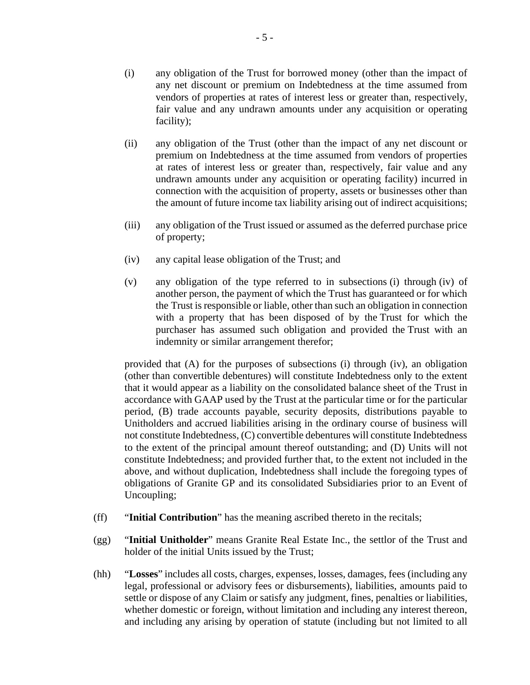- (i) any obligation of the Trust for borrowed money (other than the impact of any net discount or premium on Indebtedness at the time assumed from vendors of properties at rates of interest less or greater than, respectively, fair value and any undrawn amounts under any acquisition or operating facility);
- (ii) any obligation of the Trust (other than the impact of any net discount or premium on Indebtedness at the time assumed from vendors of properties at rates of interest less or greater than, respectively, fair value and any undrawn amounts under any acquisition or operating facility) incurred in connection with the acquisition of property, assets or businesses other than the amount of future income tax liability arising out of indirect acquisitions;
- (iii) any obligation of the Trust issued or assumed as the deferred purchase price of property;
- (iv) any capital lease obligation of the Trust; and
- (v) any obligation of the type referred to in subsections (i) through (iv) of another person, the payment of which the Trust has guaranteed or for which the Trust is responsible or liable, other than such an obligation in connection with a property that has been disposed of by the Trust for which the purchaser has assumed such obligation and provided the Trust with an indemnity or similar arrangement therefor;

provided that (A) for the purposes of subsections (i) through (iv), an obligation (other than convertible debentures) will constitute Indebtedness only to the extent that it would appear as a liability on the consolidated balance sheet of the Trust in accordance with GAAP used by the Trust at the particular time or for the particular period, (B) trade accounts payable, security deposits, distributions payable to Unitholders and accrued liabilities arising in the ordinary course of business will not constitute Indebtedness, (C) convertible debentures will constitute Indebtedness to the extent of the principal amount thereof outstanding; and (D) Units will not constitute Indebtedness; and provided further that, to the extent not included in the above, and without duplication, Indebtedness shall include the foregoing types of obligations of Granite GP and its consolidated Subsidiaries prior to an Event of Uncoupling;

- (ff) "**Initial Contribution**" has the meaning ascribed thereto in the recitals;
- (gg) "**Initial Unitholder**" means Granite Real Estate Inc., the settlor of the Trust and holder of the initial Units issued by the Trust;
- (hh) "**Losses**" includes all costs, charges, expenses, losses, damages, fees (including any legal, professional or advisory fees or disbursements), liabilities, amounts paid to settle or dispose of any Claim or satisfy any judgment, fines, penalties or liabilities, whether domestic or foreign, without limitation and including any interest thereon, and including any arising by operation of statute (including but not limited to all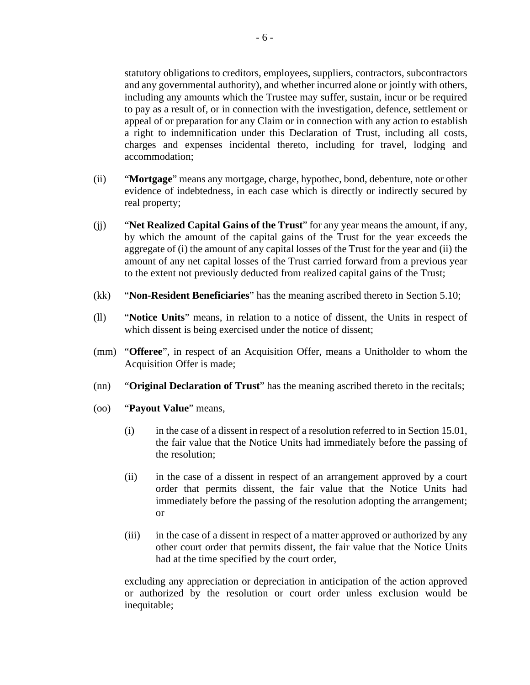statutory obligations to creditors, employees, suppliers, contractors, subcontractors and any governmental authority), and whether incurred alone or jointly with others, including any amounts which the Trustee may suffer, sustain, incur or be required to pay as a result of, or in connection with the investigation, defence, settlement or appeal of or preparation for any Claim or in connection with any action to establish a right to indemnification under this Declaration of Trust, including all costs, charges and expenses incidental thereto, including for travel, lodging and accommodation;

- (ii) "**Mortgage**" means any mortgage, charge, hypothec, bond, debenture, note or other evidence of indebtedness, in each case which is directly or indirectly secured by real property;
- (jj) "**Net Realized Capital Gains of the Trust**" for any year means the amount, if any, by which the amount of the capital gains of the Trust for the year exceeds the aggregate of (i) the amount of any capital losses of the Trust for the year and (ii) the amount of any net capital losses of the Trust carried forward from a previous year to the extent not previously deducted from realized capital gains of the Trust;
- (kk) "**Non-Resident Beneficiaries**" has the meaning ascribed thereto in Section 5.10;
- (ll) "**Notice Units**" means, in relation to a notice of dissent, the Units in respect of which dissent is being exercised under the notice of dissent;
- (mm) "**Offeree**", in respect of an Acquisition Offer, means a Unitholder to whom the Acquisition Offer is made;
- (nn) "**Original Declaration of Trust**" has the meaning ascribed thereto in the recitals;
- (oo) "**Payout Value**" means,
	- (i) in the case of a dissent in respect of a resolution referred to in Section 15.01, the fair value that the Notice Units had immediately before the passing of the resolution;
	- (ii) in the case of a dissent in respect of an arrangement approved by a court order that permits dissent, the fair value that the Notice Units had immediately before the passing of the resolution adopting the arrangement; or
	- (iii) in the case of a dissent in respect of a matter approved or authorized by any other court order that permits dissent, the fair value that the Notice Units had at the time specified by the court order,

excluding any appreciation or depreciation in anticipation of the action approved or authorized by the resolution or court order unless exclusion would be inequitable;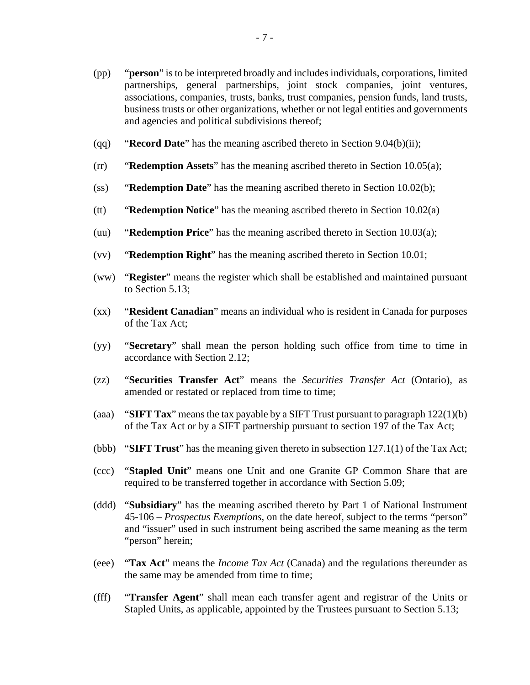- (pp) "**person**" is to be interpreted broadly and includes individuals, corporations, limited partnerships, general partnerships, joint stock companies, joint ventures, associations, companies, trusts, banks, trust companies, pension funds, land trusts, business trusts or other organizations, whether or not legal entities and governments and agencies and political subdivisions thereof;
- (qq) "**Record Date**" has the meaning ascribed thereto in Section 9.04(b)(ii);
- (rr) "**Redemption Assets**" has the meaning ascribed thereto in Section 10.05(a);
- (ss) "**Redemption Date**" has the meaning ascribed thereto in Section 10.02(b);
- (tt) "**Redemption Notice**" has the meaning ascribed thereto in Section 10.02(a)
- (uu) "**Redemption Price**" has the meaning ascribed thereto in Section 10.03(a);
- (vv) "**Redemption Right**" has the meaning ascribed thereto in Section 10.01;
- (ww) "**Register**" means the register which shall be established and maintained pursuant to Section 5.13;
- (xx) "**Resident Canadian**" means an individual who is resident in Canada for purposes of the Tax Act;
- (yy) "**Secretary**" shall mean the person holding such office from time to time in accordance with Section 2.12;
- (zz) "**Securities Transfer Act**" means the *Securities Transfer Act* (Ontario), as amended or restated or replaced from time to time;
- (aaa) "**SIFT Tax**" means the tax payable by a SIFT Trust pursuant to paragraph 122(1)(b) of the Tax Act or by a SIFT partnership pursuant to section 197 of the Tax Act;
- (bbb) "**SIFT Trust**" has the meaning given thereto in subsection 127.1(1) of the Tax Act;
- (ccc) "**Stapled Unit**" means one Unit and one Granite GP Common Share that are required to be transferred together in accordance with Section 5.09;
- (ddd) "**Subsidiary**" has the meaning ascribed thereto by Part 1 of National Instrument 45-106 – *Prospectus Exemptions*, on the date hereof, subject to the terms "person" and "issuer" used in such instrument being ascribed the same meaning as the term "person" herein;
- (eee) "**Tax Act**" means the *Income Tax Act* (Canada) and the regulations thereunder as the same may be amended from time to time;
- (fff) "**Transfer Agent**" shall mean each transfer agent and registrar of the Units or Stapled Units, as applicable, appointed by the Trustees pursuant to Section 5.13;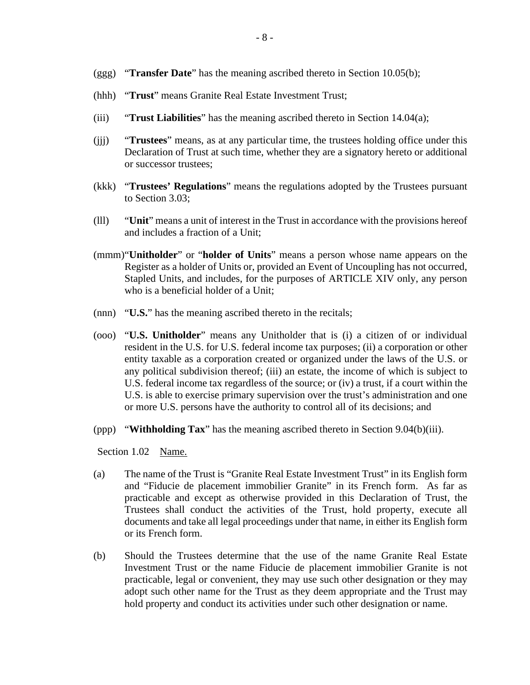- (ggg) "**Transfer Date**" has the meaning ascribed thereto in Section 10.05(b);
- (hhh) "**Trust**" means Granite Real Estate Investment Trust;
- (iii) "**Trust Liabilities**" has the meaning ascribed thereto in Section 14.04(a);
- (jjj) "**Trustees**" means, as at any particular time, the trustees holding office under this Declaration of Trust at such time, whether they are a signatory hereto or additional or successor trustees;
- (kkk) "**Trustees' Regulations**" means the regulations adopted by the Trustees pursuant to Section 3.03;
- (lll) "**Unit**" means a unit of interest in the Trust in accordance with the provisions hereof and includes a fraction of a Unit;
- (mmm)"**Unitholder**" or "**holder of Units**" means a person whose name appears on the Register as a holder of Units or, provided an Event of Uncoupling has not occurred, Stapled Units, and includes, for the purposes of ARTICLE XIV only, any person who is a beneficial holder of a Unit;
- (nnn) "**U.S.**" has the meaning ascribed thereto in the recitals;
- (ooo) "**U.S. Unitholder**" means any Unitholder that is (i) a citizen of or individual resident in the U.S. for U.S. federal income tax purposes; (ii) a corporation or other entity taxable as a corporation created or organized under the laws of the U.S. or any political subdivision thereof; (iii) an estate, the income of which is subject to U.S. federal income tax regardless of the source; or (iv) a trust, if a court within the U.S. is able to exercise primary supervision over the trust's administration and one or more U.S. persons have the authority to control all of its decisions; and
- (ppp) "**Withholding Tax**" has the meaning ascribed thereto in Section 9.04(b)(iii).

Section 1.02 Name.

- (a) The name of the Trust is "Granite Real Estate Investment Trust" in its English form and "Fiducie de placement immobilier Granite" in its French form. As far as practicable and except as otherwise provided in this Declaration of Trust, the Trustees shall conduct the activities of the Trust, hold property, execute all documents and take all legal proceedings under that name, in either its English form or its French form.
- (b) Should the Trustees determine that the use of the name Granite Real Estate Investment Trust or the name Fiducie de placement immobilier Granite is not practicable, legal or convenient, they may use such other designation or they may adopt such other name for the Trust as they deem appropriate and the Trust may hold property and conduct its activities under such other designation or name.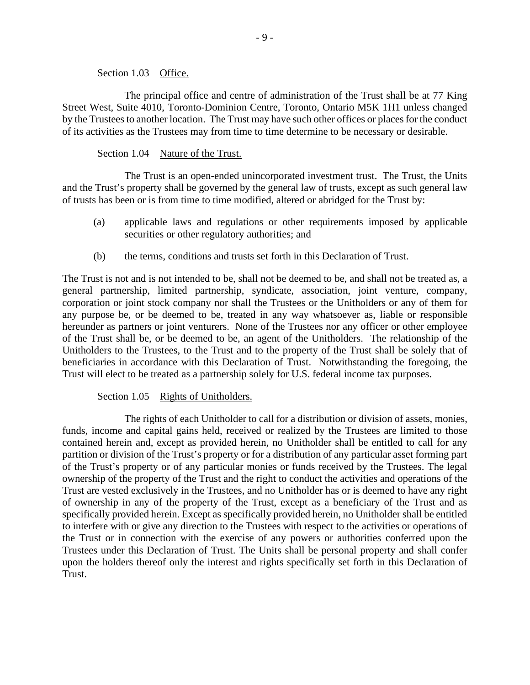Section 1.03 Office.

The principal office and centre of administration of the Trust shall be at 77 King Street West, Suite 4010, Toronto-Dominion Centre, Toronto, Ontario M5K 1H1 unless changed by the Trustees to another location. The Trust may have such other offices or places for the conduct of its activities as the Trustees may from time to time determine to be necessary or desirable.

Section 1.04 Nature of the Trust.

The Trust is an open-ended unincorporated investment trust. The Trust, the Units and the Trust's property shall be governed by the general law of trusts, except as such general law of trusts has been or is from time to time modified, altered or abridged for the Trust by:

- (a) applicable laws and regulations or other requirements imposed by applicable securities or other regulatory authorities; and
- (b) the terms, conditions and trusts set forth in this Declaration of Trust.

The Trust is not and is not intended to be, shall not be deemed to be, and shall not be treated as, a general partnership, limited partnership, syndicate, association, joint venture, company, corporation or joint stock company nor shall the Trustees or the Unitholders or any of them for any purpose be, or be deemed to be, treated in any way whatsoever as, liable or responsible hereunder as partners or joint venturers. None of the Trustees nor any officer or other employee of the Trust shall be, or be deemed to be, an agent of the Unitholders. The relationship of the Unitholders to the Trustees, to the Trust and to the property of the Trust shall be solely that of beneficiaries in accordance with this Declaration of Trust. Notwithstanding the foregoing, the Trust will elect to be treated as a partnership solely for U.S. federal income tax purposes.

#### Section 1.05 Rights of Unitholders.

The rights of each Unitholder to call for a distribution or division of assets, monies, funds, income and capital gains held, received or realized by the Trustees are limited to those contained herein and, except as provided herein, no Unitholder shall be entitled to call for any partition or division of the Trust's property or for a distribution of any particular asset forming part of the Trust's property or of any particular monies or funds received by the Trustees. The legal ownership of the property of the Trust and the right to conduct the activities and operations of the Trust are vested exclusively in the Trustees, and no Unitholder has or is deemed to have any right of ownership in any of the property of the Trust, except as a beneficiary of the Trust and as specifically provided herein. Except as specifically provided herein, no Unitholder shall be entitled to interfere with or give any direction to the Trustees with respect to the activities or operations of the Trust or in connection with the exercise of any powers or authorities conferred upon the Trustees under this Declaration of Trust. The Units shall be personal property and shall confer upon the holders thereof only the interest and rights specifically set forth in this Declaration of Trust.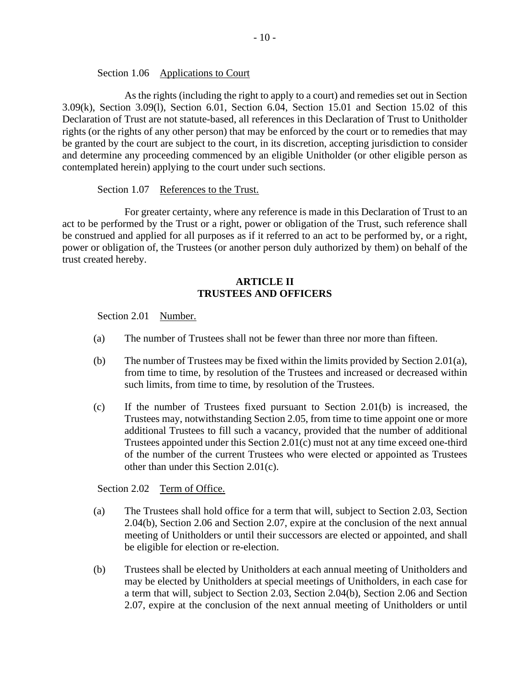### Section 1.06 Applications to Court

As the rights (including the right to apply to a court) and remedies set out in Section 3.09(k), Section 3.09(l), Section 6.01, Section 6.04, Section 15.01 and Section 15.02 of this Declaration of Trust are not statute-based, all references in this Declaration of Trust to Unitholder rights (or the rights of any other person) that may be enforced by the court or to remedies that may be granted by the court are subject to the court, in its discretion, accepting jurisdiction to consider and determine any proceeding commenced by an eligible Unitholder (or other eligible person as contemplated herein) applying to the court under such sections.

### Section 1.07 References to the Trust.

For greater certainty, where any reference is made in this Declaration of Trust to an act to be performed by the Trust or a right, power or obligation of the Trust, such reference shall be construed and applied for all purposes as if it referred to an act to be performed by, or a right, power or obligation of, the Trustees (or another person duly authorized by them) on behalf of the trust created hereby.

### **ARTICLE II TRUSTEES AND OFFICERS**

Section 2.01 Number.

- (a) The number of Trustees shall not be fewer than three nor more than fifteen.
- (b) The number of Trustees may be fixed within the limits provided by Section 2.01(a), from time to time, by resolution of the Trustees and increased or decreased within such limits, from time to time, by resolution of the Trustees.
- (c) If the number of Trustees fixed pursuant to Section 2.01(b) is increased, the Trustees may, notwithstanding Section 2.05, from time to time appoint one or more additional Trustees to fill such a vacancy, provided that the number of additional Trustees appointed under this Section 2.01(c) must not at any time exceed one-third of the number of the current Trustees who were elected or appointed as Trustees other than under this Section 2.01(c).

## Section 2.02 Term of Office.

- (a) The Trustees shall hold office for a term that will, subject to Section 2.03, Section 2.04(b), Section 2.06 and Section 2.07, expire at the conclusion of the next annual meeting of Unitholders or until their successors are elected or appointed, and shall be eligible for election or re-election.
- (b) Trustees shall be elected by Unitholders at each annual meeting of Unitholders and may be elected by Unitholders at special meetings of Unitholders, in each case for a term that will, subject to Section 2.03, Section 2.04(b), Section 2.06 and Section 2.07, expire at the conclusion of the next annual meeting of Unitholders or until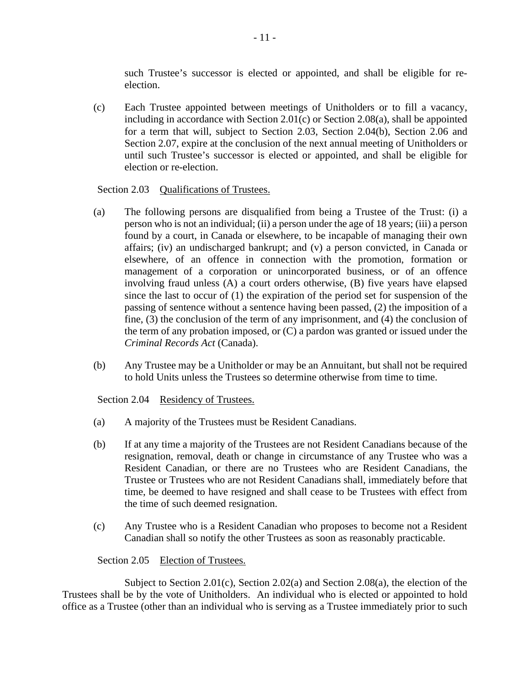such Trustee's successor is elected or appointed, and shall be eligible for reelection.

(c) Each Trustee appointed between meetings of Unitholders or to fill a vacancy, including in accordance with Section 2.01(c) or Section 2.08(a), shall be appointed for a term that will, subject to Section 2.03, Section 2.04(b), Section 2.06 and Section 2.07, expire at the conclusion of the next annual meeting of Unitholders or until such Trustee's successor is elected or appointed, and shall be eligible for election or re-election.

## Section 2.03 Oualifications of Trustees.

- (a) The following persons are disqualified from being a Trustee of the Trust: (i) a person who is not an individual; (ii) a person under the age of 18 years; (iii) a person found by a court, in Canada or elsewhere, to be incapable of managing their own affairs; (iv) an undischarged bankrupt; and (v) a person convicted, in Canada or elsewhere, of an offence in connection with the promotion, formation or management of a corporation or unincorporated business, or of an offence involving fraud unless (A) a court orders otherwise, (B) five years have elapsed since the last to occur of (1) the expiration of the period set for suspension of the passing of sentence without a sentence having been passed, (2) the imposition of a fine, (3) the conclusion of the term of any imprisonment, and (4) the conclusion of the term of any probation imposed, or (C) a pardon was granted or issued under the *Criminal Records Act* (Canada).
- (b) Any Trustee may be a Unitholder or may be an Annuitant, but shall not be required to hold Units unless the Trustees so determine otherwise from time to time.

## Section 2.04 Residency of Trustees.

- (a) A majority of the Trustees must be Resident Canadians.
- (b) If at any time a majority of the Trustees are not Resident Canadians because of the resignation, removal, death or change in circumstance of any Trustee who was a Resident Canadian, or there are no Trustees who are Resident Canadians, the Trustee or Trustees who are not Resident Canadians shall, immediately before that time, be deemed to have resigned and shall cease to be Trustees with effect from the time of such deemed resignation.
- (c) Any Trustee who is a Resident Canadian who proposes to become not a Resident Canadian shall so notify the other Trustees as soon as reasonably practicable.

## Section 2.05 Election of Trustees.

Subject to Section 2.01(c), Section 2.02(a) and Section 2.08(a), the election of the Trustees shall be by the vote of Unitholders. An individual who is elected or appointed to hold office as a Trustee (other than an individual who is serving as a Trustee immediately prior to such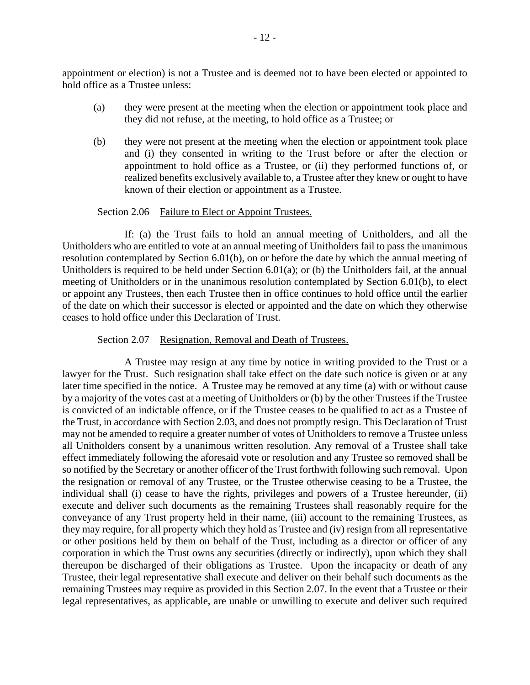appointment or election) is not a Trustee and is deemed not to have been elected or appointed to hold office as a Trustee unless:

- (a) they were present at the meeting when the election or appointment took place and they did not refuse, at the meeting, to hold office as a Trustee; or
- (b) they were not present at the meeting when the election or appointment took place and (i) they consented in writing to the Trust before or after the election or appointment to hold office as a Trustee, or (ii) they performed functions of, or realized benefits exclusively available to, a Trustee after they knew or ought to have known of their election or appointment as a Trustee.

### Section 2.06 Failure to Elect or Appoint Trustees.

If: (a) the Trust fails to hold an annual meeting of Unitholders, and all the Unitholders who are entitled to vote at an annual meeting of Unitholders fail to pass the unanimous resolution contemplated by Section 6.01(b), on or before the date by which the annual meeting of Unitholders is required to be held under Section 6.01(a); or (b) the Unitholders fail, at the annual meeting of Unitholders or in the unanimous resolution contemplated by Section 6.01(b), to elect or appoint any Trustees, then each Trustee then in office continues to hold office until the earlier of the date on which their successor is elected or appointed and the date on which they otherwise ceases to hold office under this Declaration of Trust.

#### Section 2.07 Resignation, Removal and Death of Trustees.

A Trustee may resign at any time by notice in writing provided to the Trust or a lawyer for the Trust. Such resignation shall take effect on the date such notice is given or at any later time specified in the notice. A Trustee may be removed at any time (a) with or without cause by a majority of the votes cast at a meeting of Unitholders or (b) by the other Trustees if the Trustee is convicted of an indictable offence, or if the Trustee ceases to be qualified to act as a Trustee of the Trust, in accordance with Section 2.03, and does not promptly resign. This Declaration of Trust may not be amended to require a greater number of votes of Unitholders to remove a Trustee unless all Unitholders consent by a unanimous written resolution. Any removal of a Trustee shall take effect immediately following the aforesaid vote or resolution and any Trustee so removed shall be so notified by the Secretary or another officer of the Trust forthwith following such removal. Upon the resignation or removal of any Trustee, or the Trustee otherwise ceasing to be a Trustee, the individual shall (i) cease to have the rights, privileges and powers of a Trustee hereunder, (ii) execute and deliver such documents as the remaining Trustees shall reasonably require for the conveyance of any Trust property held in their name, (iii) account to the remaining Trustees, as they may require, for all property which they hold as Trustee and (iv) resign from all representative or other positions held by them on behalf of the Trust, including as a director or officer of any corporation in which the Trust owns any securities (directly or indirectly), upon which they shall thereupon be discharged of their obligations as Trustee. Upon the incapacity or death of any Trustee, their legal representative shall execute and deliver on their behalf such documents as the remaining Trustees may require as provided in this Section 2.07. In the event that a Trustee or their legal representatives, as applicable, are unable or unwilling to execute and deliver such required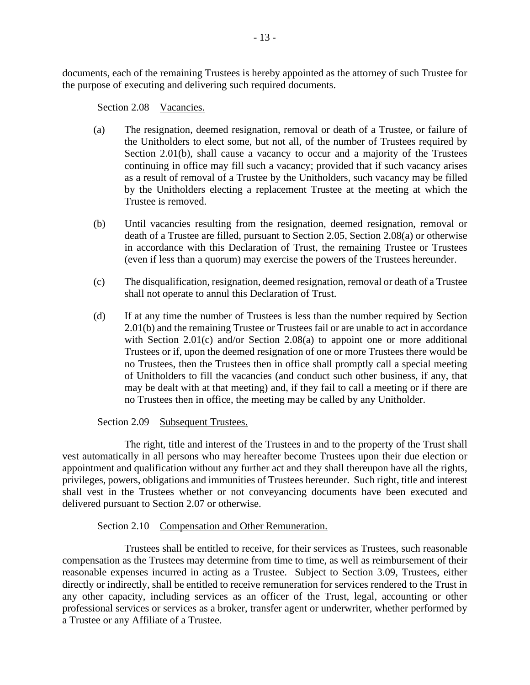documents, each of the remaining Trustees is hereby appointed as the attorney of such Trustee for the purpose of executing and delivering such required documents.

### Section 2.08 Vacancies.

- (a) The resignation, deemed resignation, removal or death of a Trustee, or failure of the Unitholders to elect some, but not all, of the number of Trustees required by Section 2.01(b), shall cause a vacancy to occur and a majority of the Trustees continuing in office may fill such a vacancy; provided that if such vacancy arises as a result of removal of a Trustee by the Unitholders, such vacancy may be filled by the Unitholders electing a replacement Trustee at the meeting at which the Trustee is removed.
- (b) Until vacancies resulting from the resignation, deemed resignation, removal or death of a Trustee are filled, pursuant to Section 2.05, Section 2.08(a) or otherwise in accordance with this Declaration of Trust, the remaining Trustee or Trustees (even if less than a quorum) may exercise the powers of the Trustees hereunder.
- (c) The disqualification, resignation, deemed resignation, removal or death of a Trustee shall not operate to annul this Declaration of Trust.
- (d) If at any time the number of Trustees is less than the number required by Section 2.01(b) and the remaining Trustee or Trustees fail or are unable to act in accordance with Section 2.01(c) and/or Section 2.08(a) to appoint one or more additional Trustees or if, upon the deemed resignation of one or more Trustees there would be no Trustees, then the Trustees then in office shall promptly call a special meeting of Unitholders to fill the vacancies (and conduct such other business, if any, that may be dealt with at that meeting) and, if they fail to call a meeting or if there are no Trustees then in office, the meeting may be called by any Unitholder.

## Section 2.09 Subsequent Trustees.

The right, title and interest of the Trustees in and to the property of the Trust shall vest automatically in all persons who may hereafter become Trustees upon their due election or appointment and qualification without any further act and they shall thereupon have all the rights, privileges, powers, obligations and immunities of Trustees hereunder. Such right, title and interest shall vest in the Trustees whether or not conveyancing documents have been executed and delivered pursuant to Section 2.07 or otherwise.

## Section 2.10 Compensation and Other Remuneration.

Trustees shall be entitled to receive, for their services as Trustees, such reasonable compensation as the Trustees may determine from time to time, as well as reimbursement of their reasonable expenses incurred in acting as a Trustee. Subject to Section 3.09, Trustees, either directly or indirectly, shall be entitled to receive remuneration for services rendered to the Trust in any other capacity, including services as an officer of the Trust, legal, accounting or other professional services or services as a broker, transfer agent or underwriter, whether performed by a Trustee or any Affiliate of a Trustee.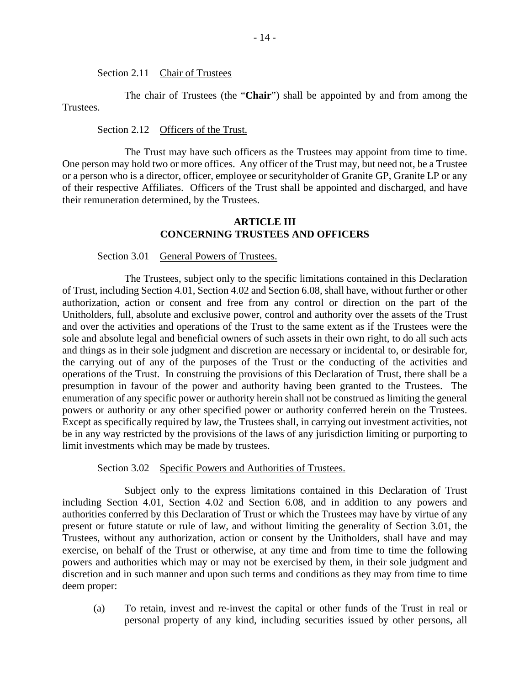Section 2.11 Chair of Trustees

The chair of Trustees (the "**Chair**") shall be appointed by and from among the Trustees.

Section 2.12 Officers of the Trust.

The Trust may have such officers as the Trustees may appoint from time to time. One person may hold two or more offices. Any officer of the Trust may, but need not, be a Trustee or a person who is a director, officer, employee or securityholder of Granite GP, Granite LP or any of their respective Affiliates. Officers of the Trust shall be appointed and discharged, and have their remuneration determined, by the Trustees.

### **ARTICLE III CONCERNING TRUSTEES AND OFFICERS**

#### Section 3.01 General Powers of Trustees.

The Trustees, subject only to the specific limitations contained in this Declaration of Trust, including Section 4.01, Section 4.02 and Section 6.08, shall have, without further or other authorization, action or consent and free from any control or direction on the part of the Unitholders, full, absolute and exclusive power, control and authority over the assets of the Trust and over the activities and operations of the Trust to the same extent as if the Trustees were the sole and absolute legal and beneficial owners of such assets in their own right, to do all such acts and things as in their sole judgment and discretion are necessary or incidental to, or desirable for, the carrying out of any of the purposes of the Trust or the conducting of the activities and operations of the Trust. In construing the provisions of this Declaration of Trust, there shall be a presumption in favour of the power and authority having been granted to the Trustees. The enumeration of any specific power or authority herein shall not be construed as limiting the general powers or authority or any other specified power or authority conferred herein on the Trustees. Except as specifically required by law, the Trustees shall, in carrying out investment activities, not be in any way restricted by the provisions of the laws of any jurisdiction limiting or purporting to limit investments which may be made by trustees.

Section 3.02 Specific Powers and Authorities of Trustees.

Subject only to the express limitations contained in this Declaration of Trust including Section 4.01, Section 4.02 and Section 6.08, and in addition to any powers and authorities conferred by this Declaration of Trust or which the Trustees may have by virtue of any present or future statute or rule of law, and without limiting the generality of Section 3.01, the Trustees, without any authorization, action or consent by the Unitholders, shall have and may exercise, on behalf of the Trust or otherwise, at any time and from time to time the following powers and authorities which may or may not be exercised by them, in their sole judgment and discretion and in such manner and upon such terms and conditions as they may from time to time deem proper:

(a) To retain, invest and re-invest the capital or other funds of the Trust in real or personal property of any kind, including securities issued by other persons, all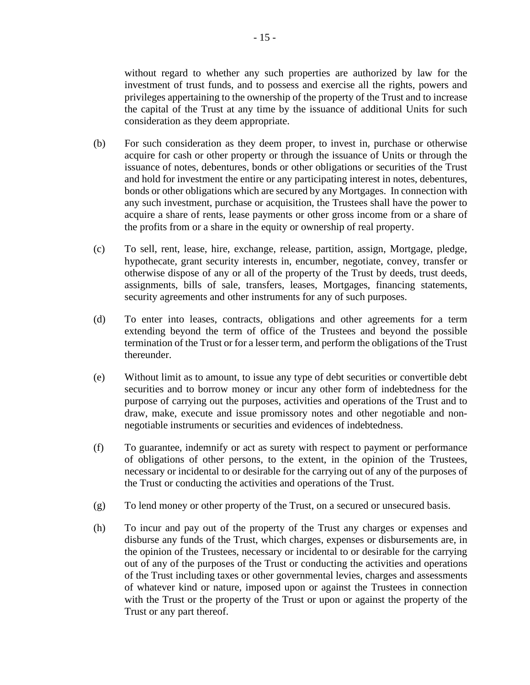without regard to whether any such properties are authorized by law for the investment of trust funds, and to possess and exercise all the rights, powers and privileges appertaining to the ownership of the property of the Trust and to increase the capital of the Trust at any time by the issuance of additional Units for such consideration as they deem appropriate.

- (b) For such consideration as they deem proper, to invest in, purchase or otherwise acquire for cash or other property or through the issuance of Units or through the issuance of notes, debentures, bonds or other obligations or securities of the Trust and hold for investment the entire or any participating interest in notes, debentures, bonds or other obligations which are secured by any Mortgages. In connection with any such investment, purchase or acquisition, the Trustees shall have the power to acquire a share of rents, lease payments or other gross income from or a share of the profits from or a share in the equity or ownership of real property.
- (c) To sell, rent, lease, hire, exchange, release, partition, assign, Mortgage, pledge, hypothecate, grant security interests in, encumber, negotiate, convey, transfer or otherwise dispose of any or all of the property of the Trust by deeds, trust deeds, assignments, bills of sale, transfers, leases, Mortgages, financing statements, security agreements and other instruments for any of such purposes.
- (d) To enter into leases, contracts, obligations and other agreements for a term extending beyond the term of office of the Trustees and beyond the possible termination of the Trust or for a lesser term, and perform the obligations of the Trust thereunder.
- (e) Without limit as to amount, to issue any type of debt securities or convertible debt securities and to borrow money or incur any other form of indebtedness for the purpose of carrying out the purposes, activities and operations of the Trust and to draw, make, execute and issue promissory notes and other negotiable and nonnegotiable instruments or securities and evidences of indebtedness.
- (f) To guarantee, indemnify or act as surety with respect to payment or performance of obligations of other persons, to the extent, in the opinion of the Trustees, necessary or incidental to or desirable for the carrying out of any of the purposes of the Trust or conducting the activities and operations of the Trust.
- (g) To lend money or other property of the Trust, on a secured or unsecured basis.
- (h) To incur and pay out of the property of the Trust any charges or expenses and disburse any funds of the Trust, which charges, expenses or disbursements are, in the opinion of the Trustees, necessary or incidental to or desirable for the carrying out of any of the purposes of the Trust or conducting the activities and operations of the Trust including taxes or other governmental levies, charges and assessments of whatever kind or nature, imposed upon or against the Trustees in connection with the Trust or the property of the Trust or upon or against the property of the Trust or any part thereof.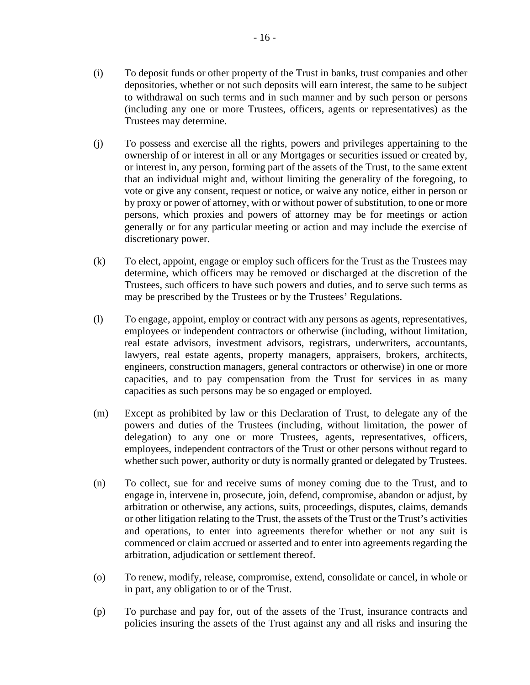- (i) To deposit funds or other property of the Trust in banks, trust companies and other depositories, whether or not such deposits will earn interest, the same to be subject to withdrawal on such terms and in such manner and by such person or persons (including any one or more Trustees, officers, agents or representatives) as the Trustees may determine.
- (j) To possess and exercise all the rights, powers and privileges appertaining to the ownership of or interest in all or any Mortgages or securities issued or created by, or interest in, any person, forming part of the assets of the Trust, to the same extent that an individual might and, without limiting the generality of the foregoing, to vote or give any consent, request or notice, or waive any notice, either in person or by proxy or power of attorney, with or without power of substitution, to one or more persons, which proxies and powers of attorney may be for meetings or action generally or for any particular meeting or action and may include the exercise of discretionary power.
- (k) To elect, appoint, engage or employ such officers for the Trust as the Trustees may determine, which officers may be removed or discharged at the discretion of the Trustees, such officers to have such powers and duties, and to serve such terms as may be prescribed by the Trustees or by the Trustees' Regulations.
- (l) To engage, appoint, employ or contract with any persons as agents, representatives, employees or independent contractors or otherwise (including, without limitation, real estate advisors, investment advisors, registrars, underwriters, accountants, lawyers, real estate agents, property managers, appraisers, brokers, architects, engineers, construction managers, general contractors or otherwise) in one or more capacities, and to pay compensation from the Trust for services in as many capacities as such persons may be so engaged or employed.
- (m) Except as prohibited by law or this Declaration of Trust, to delegate any of the powers and duties of the Trustees (including, without limitation, the power of delegation) to any one or more Trustees, agents, representatives, officers, employees, independent contractors of the Trust or other persons without regard to whether such power, authority or duty is normally granted or delegated by Trustees.
- (n) To collect, sue for and receive sums of money coming due to the Trust, and to engage in, intervene in, prosecute, join, defend, compromise, abandon or adjust, by arbitration or otherwise, any actions, suits, proceedings, disputes, claims, demands or other litigation relating to the Trust, the assets of the Trust or the Trust's activities and operations, to enter into agreements therefor whether or not any suit is commenced or claim accrued or asserted and to enter into agreements regarding the arbitration, adjudication or settlement thereof.
- (o) To renew, modify, release, compromise, extend, consolidate or cancel, in whole or in part, any obligation to or of the Trust.
- (p) To purchase and pay for, out of the assets of the Trust, insurance contracts and policies insuring the assets of the Trust against any and all risks and insuring the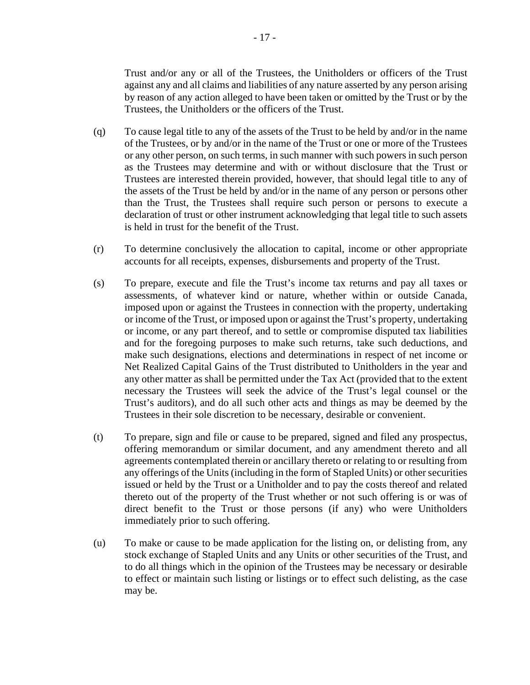Trust and/or any or all of the Trustees, the Unitholders or officers of the Trust against any and all claims and liabilities of any nature asserted by any person arising by reason of any action alleged to have been taken or omitted by the Trust or by the Trustees, the Unitholders or the officers of the Trust.

- (q) To cause legal title to any of the assets of the Trust to be held by and/or in the name of the Trustees, or by and/or in the name of the Trust or one or more of the Trustees or any other person, on such terms, in such manner with such powers in such person as the Trustees may determine and with or without disclosure that the Trust or Trustees are interested therein provided, however, that should legal title to any of the assets of the Trust be held by and/or in the name of any person or persons other than the Trust, the Trustees shall require such person or persons to execute a declaration of trust or other instrument acknowledging that legal title to such assets is held in trust for the benefit of the Trust.
- (r) To determine conclusively the allocation to capital, income or other appropriate accounts for all receipts, expenses, disbursements and property of the Trust.
- (s) To prepare, execute and file the Trust's income tax returns and pay all taxes or assessments, of whatever kind or nature, whether within or outside Canada, imposed upon or against the Trustees in connection with the property, undertaking or income of the Trust, or imposed upon or against the Trust's property, undertaking or income, or any part thereof, and to settle or compromise disputed tax liabilities and for the foregoing purposes to make such returns, take such deductions, and make such designations, elections and determinations in respect of net income or Net Realized Capital Gains of the Trust distributed to Unitholders in the year and any other matter as shall be permitted under the Tax Act (provided that to the extent necessary the Trustees will seek the advice of the Trust's legal counsel or the Trust's auditors), and do all such other acts and things as may be deemed by the Trustees in their sole discretion to be necessary, desirable or convenient.
- (t) To prepare, sign and file or cause to be prepared, signed and filed any prospectus, offering memorandum or similar document, and any amendment thereto and all agreements contemplated therein or ancillary thereto or relating to or resulting from any offerings of the Units (including in the form of Stapled Units) or other securities issued or held by the Trust or a Unitholder and to pay the costs thereof and related thereto out of the property of the Trust whether or not such offering is or was of direct benefit to the Trust or those persons (if any) who were Unitholders immediately prior to such offering.
- (u) To make or cause to be made application for the listing on, or delisting from, any stock exchange of Stapled Units and any Units or other securities of the Trust, and to do all things which in the opinion of the Trustees may be necessary or desirable to effect or maintain such listing or listings or to effect such delisting, as the case may be.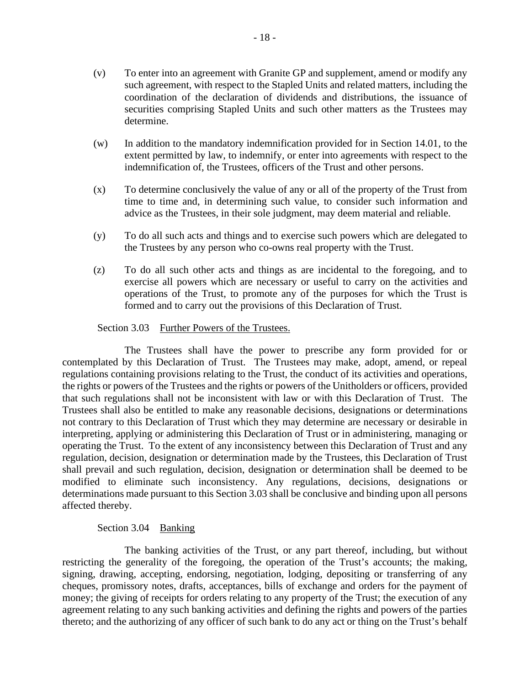- (w) In addition to the mandatory indemnification provided for in Section 14.01, to the extent permitted by law, to indemnify, or enter into agreements with respect to the indemnification of, the Trustees, officers of the Trust and other persons.
- (x) To determine conclusively the value of any or all of the property of the Trust from time to time and, in determining such value, to consider such information and advice as the Trustees, in their sole judgment, may deem material and reliable.
- (y) To do all such acts and things and to exercise such powers which are delegated to the Trustees by any person who co-owns real property with the Trust.
- (z) To do all such other acts and things as are incidental to the foregoing, and to exercise all powers which are necessary or useful to carry on the activities and operations of the Trust, to promote any of the purposes for which the Trust is formed and to carry out the provisions of this Declaration of Trust.

### Section 3.03 Further Powers of the Trustees.

The Trustees shall have the power to prescribe any form provided for or contemplated by this Declaration of Trust. The Trustees may make, adopt, amend, or repeal regulations containing provisions relating to the Trust, the conduct of its activities and operations, the rights or powers of the Trustees and the rights or powers of the Unitholders or officers, provided that such regulations shall not be inconsistent with law or with this Declaration of Trust. The Trustees shall also be entitled to make any reasonable decisions, designations or determinations not contrary to this Declaration of Trust which they may determine are necessary or desirable in interpreting, applying or administering this Declaration of Trust or in administering, managing or operating the Trust. To the extent of any inconsistency between this Declaration of Trust and any regulation, decision, designation or determination made by the Trustees, this Declaration of Trust shall prevail and such regulation, decision, designation or determination shall be deemed to be modified to eliminate such inconsistency. Any regulations, decisions, designations or determinations made pursuant to this Section 3.03 shall be conclusive and binding upon all persons affected thereby.

## Section 3.04 Banking

The banking activities of the Trust, or any part thereof, including, but without restricting the generality of the foregoing, the operation of the Trust's accounts; the making, signing, drawing, accepting, endorsing, negotiation, lodging, depositing or transferring of any cheques, promissory notes, drafts, acceptances, bills of exchange and orders for the payment of money; the giving of receipts for orders relating to any property of the Trust; the execution of any agreement relating to any such banking activities and defining the rights and powers of the parties thereto; and the authorizing of any officer of such bank to do any act or thing on the Trust's behalf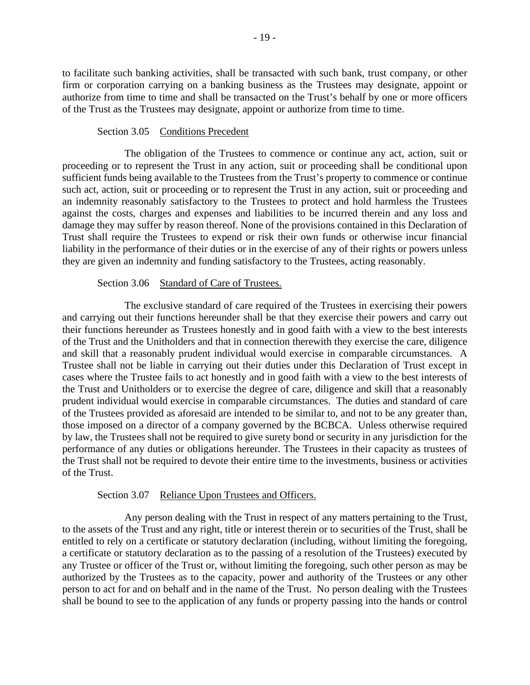to facilitate such banking activities, shall be transacted with such bank, trust company, or other firm or corporation carrying on a banking business as the Trustees may designate, appoint or authorize from time to time and shall be transacted on the Trust's behalf by one or more officers of the Trust as the Trustees may designate, appoint or authorize from time to time.

### Section 3.05 Conditions Precedent

The obligation of the Trustees to commence or continue any act, action, suit or proceeding or to represent the Trust in any action, suit or proceeding shall be conditional upon sufficient funds being available to the Trustees from the Trust's property to commence or continue such act, action, suit or proceeding or to represent the Trust in any action, suit or proceeding and an indemnity reasonably satisfactory to the Trustees to protect and hold harmless the Trustees against the costs, charges and expenses and liabilities to be incurred therein and any loss and damage they may suffer by reason thereof. None of the provisions contained in this Declaration of Trust shall require the Trustees to expend or risk their own funds or otherwise incur financial liability in the performance of their duties or in the exercise of any of their rights or powers unless they are given an indemnity and funding satisfactory to the Trustees, acting reasonably.

## Section 3.06 Standard of Care of Trustees.

The exclusive standard of care required of the Trustees in exercising their powers and carrying out their functions hereunder shall be that they exercise their powers and carry out their functions hereunder as Trustees honestly and in good faith with a view to the best interests of the Trust and the Unitholders and that in connection therewith they exercise the care, diligence and skill that a reasonably prudent individual would exercise in comparable circumstances. A Trustee shall not be liable in carrying out their duties under this Declaration of Trust except in cases where the Trustee fails to act honestly and in good faith with a view to the best interests of the Trust and Unitholders or to exercise the degree of care, diligence and skill that a reasonably prudent individual would exercise in comparable circumstances. The duties and standard of care of the Trustees provided as aforesaid are intended to be similar to, and not to be any greater than, those imposed on a director of a company governed by the BCBCA. Unless otherwise required by law, the Trustees shall not be required to give surety bond or security in any jurisdiction for the performance of any duties or obligations hereunder. The Trustees in their capacity as trustees of the Trust shall not be required to devote their entire time to the investments, business or activities of the Trust.

#### Section 3.07 Reliance Upon Trustees and Officers.

Any person dealing with the Trust in respect of any matters pertaining to the Trust, to the assets of the Trust and any right, title or interest therein or to securities of the Trust, shall be entitled to rely on a certificate or statutory declaration (including, without limiting the foregoing, a certificate or statutory declaration as to the passing of a resolution of the Trustees) executed by any Trustee or officer of the Trust or, without limiting the foregoing, such other person as may be authorized by the Trustees as to the capacity, power and authority of the Trustees or any other person to act for and on behalf and in the name of the Trust. No person dealing with the Trustees shall be bound to see to the application of any funds or property passing into the hands or control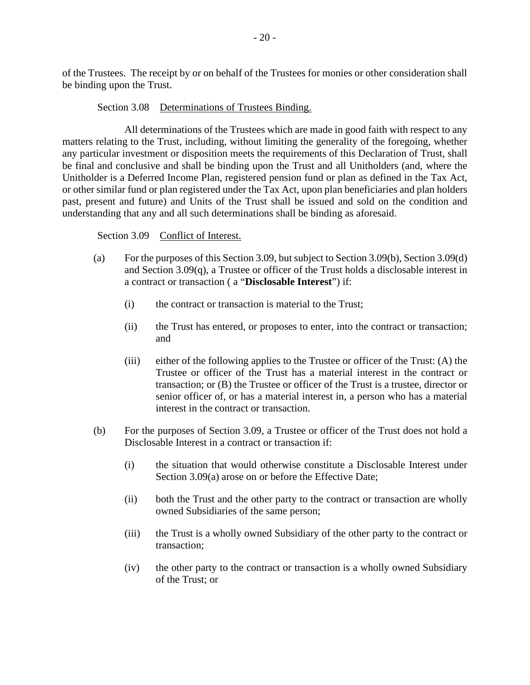of the Trustees. The receipt by or on behalf of the Trustees for monies or other consideration shall be binding upon the Trust.

### Section 3.08 Determinations of Trustees Binding.

All determinations of the Trustees which are made in good faith with respect to any matters relating to the Trust, including, without limiting the generality of the foregoing, whether any particular investment or disposition meets the requirements of this Declaration of Trust, shall be final and conclusive and shall be binding upon the Trust and all Unitholders (and, where the Unitholder is a Deferred Income Plan, registered pension fund or plan as defined in the Tax Act, or other similar fund or plan registered under the Tax Act, upon plan beneficiaries and plan holders past, present and future) and Units of the Trust shall be issued and sold on the condition and understanding that any and all such determinations shall be binding as aforesaid.

### Section 3.09 Conflict of Interest.

- (a) For the purposes of this Section 3.09, but subject to Section 3.09(b), Section 3.09(d) and Section 3.09(q), a Trustee or officer of the Trust holds a disclosable interest in a contract or transaction ( a "**Disclosable Interest**") if:
	- (i) the contract or transaction is material to the Trust;
	- (ii) the Trust has entered, or proposes to enter, into the contract or transaction; and
	- (iii) either of the following applies to the Trustee or officer of the Trust: (A) the Trustee or officer of the Trust has a material interest in the contract or transaction; or (B) the Trustee or officer of the Trust is a trustee, director or senior officer of, or has a material interest in, a person who has a material interest in the contract or transaction.
- (b) For the purposes of Section 3.09, a Trustee or officer of the Trust does not hold a Disclosable Interest in a contract or transaction if:
	- (i) the situation that would otherwise constitute a Disclosable Interest under Section 3.09(a) arose on or before the Effective Date;
	- (ii) both the Trust and the other party to the contract or transaction are wholly owned Subsidiaries of the same person;
	- (iii) the Trust is a wholly owned Subsidiary of the other party to the contract or transaction;
	- (iv) the other party to the contract or transaction is a wholly owned Subsidiary of the Trust; or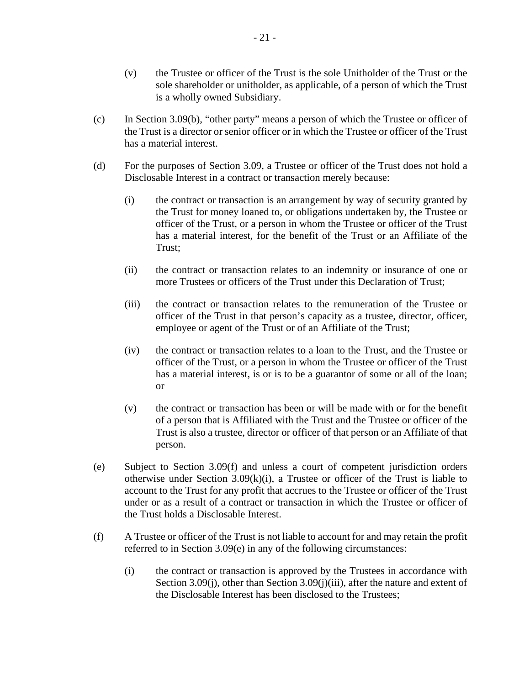- (v) the Trustee or officer of the Trust is the sole Unitholder of the Trust or the sole shareholder or unitholder, as applicable, of a person of which the Trust is a wholly owned Subsidiary.
- (c) In Section 3.09(b), "other party" means a person of which the Trustee or officer of the Trust is a director or senior officer or in which the Trustee or officer of the Trust has a material interest.
- (d) For the purposes of Section 3.09, a Trustee or officer of the Trust does not hold a Disclosable Interest in a contract or transaction merely because:
	- (i) the contract or transaction is an arrangement by way of security granted by the Trust for money loaned to, or obligations undertaken by, the Trustee or officer of the Trust, or a person in whom the Trustee or officer of the Trust has a material interest, for the benefit of the Trust or an Affiliate of the Trust;
	- (ii) the contract or transaction relates to an indemnity or insurance of one or more Trustees or officers of the Trust under this Declaration of Trust;
	- (iii) the contract or transaction relates to the remuneration of the Trustee or officer of the Trust in that person's capacity as a trustee, director, officer, employee or agent of the Trust or of an Affiliate of the Trust;
	- (iv) the contract or transaction relates to a loan to the Trust, and the Trustee or officer of the Trust, or a person in whom the Trustee or officer of the Trust has a material interest, is or is to be a guarantor of some or all of the loan; or
	- (v) the contract or transaction has been or will be made with or for the benefit of a person that is Affiliated with the Trust and the Trustee or officer of the Trust is also a trustee, director or officer of that person or an Affiliate of that person.
- (e) Subject to Section 3.09(f) and unless a court of competent jurisdiction orders otherwise under Section  $3.09(k)(i)$ , a Trustee or officer of the Trust is liable to account to the Trust for any profit that accrues to the Trustee or officer of the Trust under or as a result of a contract or transaction in which the Trustee or officer of the Trust holds a Disclosable Interest.
- (f) A Trustee or officer of the Trust is not liable to account for and may retain the profit referred to in Section 3.09(e) in any of the following circumstances:
	- (i) the contract or transaction is approved by the Trustees in accordance with Section 3.09(j), other than Section 3.09(j)(iii), after the nature and extent of the Disclosable Interest has been disclosed to the Trustees;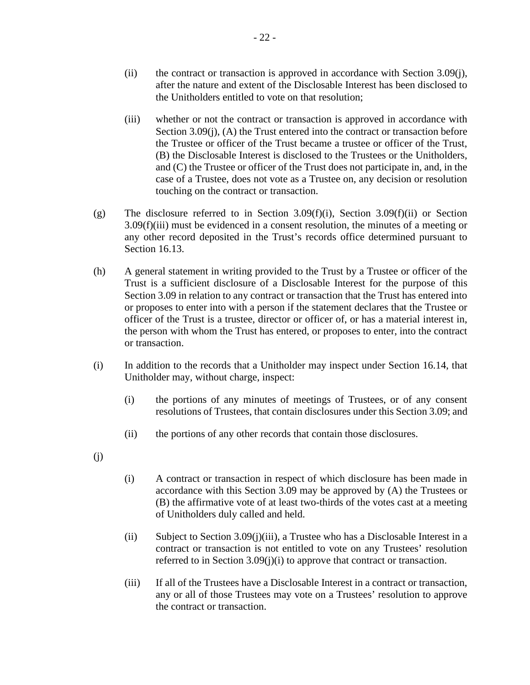- (ii) the contract or transaction is approved in accordance with Section 3.09(j), after the nature and extent of the Disclosable Interest has been disclosed to the Unitholders entitled to vote on that resolution;
- (iii) whether or not the contract or transaction is approved in accordance with Section 3.09(j), (A) the Trust entered into the contract or transaction before the Trustee or officer of the Trust became a trustee or officer of the Trust, (B) the Disclosable Interest is disclosed to the Trustees or the Unitholders, and (C) the Trustee or officer of the Trust does not participate in, and, in the case of a Trustee, does not vote as a Trustee on, any decision or resolution touching on the contract or transaction.
- (g) The disclosure referred to in Section 3.09(f)(i), Section 3.09(f)(ii) or Section 3.09(f)(iii) must be evidenced in a consent resolution, the minutes of a meeting or any other record deposited in the Trust's records office determined pursuant to Section 16.13.
- (h) A general statement in writing provided to the Trust by a Trustee or officer of the Trust is a sufficient disclosure of a Disclosable Interest for the purpose of this Section 3.09 in relation to any contract or transaction that the Trust has entered into or proposes to enter into with a person if the statement declares that the Trustee or officer of the Trust is a trustee, director or officer of, or has a material interest in, the person with whom the Trust has entered, or proposes to enter, into the contract or transaction.
- (i) In addition to the records that a Unitholder may inspect under Section 16.14, that Unitholder may, without charge, inspect:
	- (i) the portions of any minutes of meetings of Trustees, or of any consent resolutions of Trustees, that contain disclosures under this Section 3.09; and
	- (ii) the portions of any other records that contain those disclosures.
- (j)
- (i) A contract or transaction in respect of which disclosure has been made in accordance with this Section 3.09 may be approved by (A) the Trustees or (B) the affirmative vote of at least two-thirds of the votes cast at a meeting of Unitholders duly called and held.
- (ii) Subject to Section 3.09(j)(iii), a Trustee who has a Disclosable Interest in a contract or transaction is not entitled to vote on any Trustees' resolution referred to in Section 3.09(j)(i) to approve that contract or transaction.
- (iii) If all of the Trustees have a Disclosable Interest in a contract or transaction, any or all of those Trustees may vote on a Trustees' resolution to approve the contract or transaction.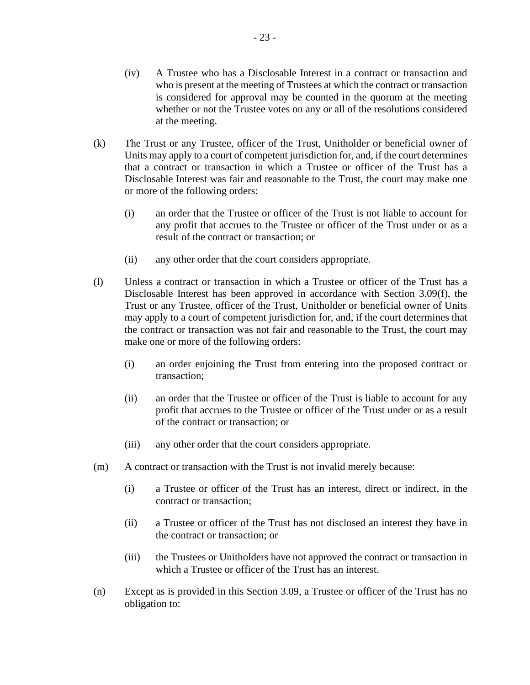- (iv) A Trustee who has a Disclosable Interest in a contract or transaction and who is present at the meeting of Trustees at which the contract or transaction is considered for approval may be counted in the quorum at the meeting whether or not the Trustee votes on any or all of the resolutions considered at the meeting.
- (k) The Trust or any Trustee, officer of the Trust, Unitholder or beneficial owner of Units may apply to a court of competent jurisdiction for, and, if the court determines that a contract or transaction in which a Trustee or officer of the Trust has a Disclosable Interest was fair and reasonable to the Trust, the court may make one or more of the following orders:
	- (i) an order that the Trustee or officer of the Trust is not liable to account for any profit that accrues to the Trustee or officer of the Trust under or as a result of the contract or transaction; or
	- (ii) any other order that the court considers appropriate.
- (l) Unless a contract or transaction in which a Trustee or officer of the Trust has a Disclosable Interest has been approved in accordance with Section 3.09(f), the Trust or any Trustee, officer of the Trust, Unitholder or beneficial owner of Units may apply to a court of competent jurisdiction for, and, if the court determines that the contract or transaction was not fair and reasonable to the Trust, the court may make one or more of the following orders:
	- (i) an order enjoining the Trust from entering into the proposed contract or transaction;
	- (ii) an order that the Trustee or officer of the Trust is liable to account for any profit that accrues to the Trustee or officer of the Trust under or as a result of the contract or transaction; or
	- (iii) any other order that the court considers appropriate.
- (m) A contract or transaction with the Trust is not invalid merely because:
	- (i) a Trustee or officer of the Trust has an interest, direct or indirect, in the contract or transaction;
	- (ii) a Trustee or officer of the Trust has not disclosed an interest they have in the contract or transaction; or
	- (iii) the Trustees or Unitholders have not approved the contract or transaction in which a Trustee or officer of the Trust has an interest.
- (n) Except as is provided in this Section 3.09, a Trustee or officer of the Trust has no obligation to: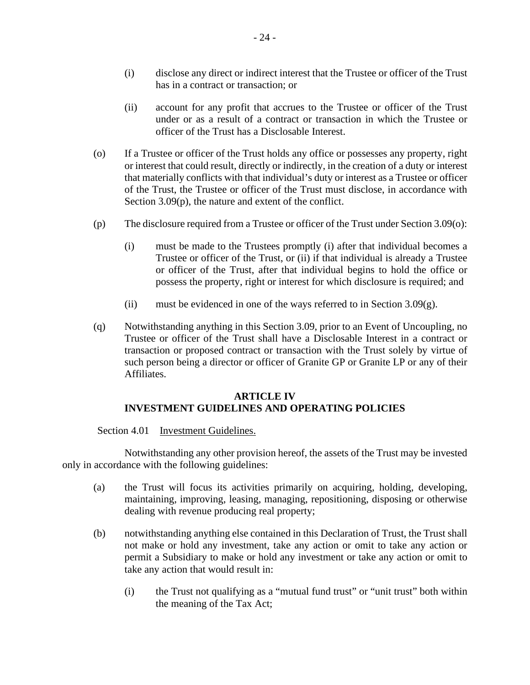- (i) disclose any direct or indirect interest that the Trustee or officer of the Trust has in a contract or transaction; or
- (ii) account for any profit that accrues to the Trustee or officer of the Trust under or as a result of a contract or transaction in which the Trustee or officer of the Trust has a Disclosable Interest.
- (o) If a Trustee or officer of the Trust holds any office or possesses any property, right or interest that could result, directly or indirectly, in the creation of a duty or interest that materially conflicts with that individual's duty or interest as a Trustee or officer of the Trust, the Trustee or officer of the Trust must disclose, in accordance with Section 3.09(p), the nature and extent of the conflict.
- (p) The disclosure required from a Trustee or officer of the Trust under Section 3.09(o):
	- (i) must be made to the Trustees promptly (i) after that individual becomes a Trustee or officer of the Trust, or (ii) if that individual is already a Trustee or officer of the Trust, after that individual begins to hold the office or possess the property, right or interest for which disclosure is required; and
	- (ii) must be evidenced in one of the ways referred to in Section  $3.09(g)$ .
- (q) Notwithstanding anything in this Section 3.09, prior to an Event of Uncoupling, no Trustee or officer of the Trust shall have a Disclosable Interest in a contract or transaction or proposed contract or transaction with the Trust solely by virtue of such person being a director or officer of Granite GP or Granite LP or any of their Affiliates.

## **ARTICLE IV INVESTMENT GUIDELINES AND OPERATING POLICIES**

Section 4.01 Investment Guidelines.

Notwithstanding any other provision hereof, the assets of the Trust may be invested only in accordance with the following guidelines:

- (a) the Trust will focus its activities primarily on acquiring, holding, developing, maintaining, improving, leasing, managing, repositioning, disposing or otherwise dealing with revenue producing real property;
- (b) notwithstanding anything else contained in this Declaration of Trust, the Trust shall not make or hold any investment, take any action or omit to take any action or permit a Subsidiary to make or hold any investment or take any action or omit to take any action that would result in:
	- (i) the Trust not qualifying as a "mutual fund trust" or "unit trust" both within the meaning of the Tax Act;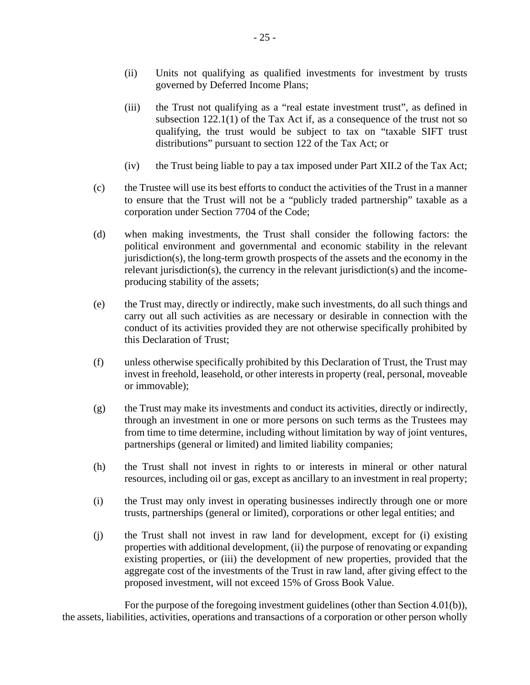- (ii) Units not qualifying as qualified investments for investment by trusts governed by Deferred Income Plans;
- (iii) the Trust not qualifying as a "real estate investment trust", as defined in subsection 122.1(1) of the Tax Act if, as a consequence of the trust not so qualifying, the trust would be subject to tax on "taxable SIFT trust distributions" pursuant to section 122 of the Tax Act; or
- (iv) the Trust being liable to pay a tax imposed under Part XII.2 of the Tax Act;
- (c) the Trustee will use its best efforts to conduct the activities of the Trust in a manner to ensure that the Trust will not be a "publicly traded partnership" taxable as a corporation under Section 7704 of the Code;
- (d) when making investments, the Trust shall consider the following factors: the political environment and governmental and economic stability in the relevant jurisdiction(s), the long-term growth prospects of the assets and the economy in the relevant jurisdiction(s), the currency in the relevant jurisdiction(s) and the incomeproducing stability of the assets;
- (e) the Trust may, directly or indirectly, make such investments, do all such things and carry out all such activities as are necessary or desirable in connection with the conduct of its activities provided they are not otherwise specifically prohibited by this Declaration of Trust;
- (f) unless otherwise specifically prohibited by this Declaration of Trust, the Trust may invest in freehold, leasehold, or other interests in property (real, personal, moveable or immovable);
- (g) the Trust may make its investments and conduct its activities, directly or indirectly, through an investment in one or more persons on such terms as the Trustees may from time to time determine, including without limitation by way of joint ventures, partnerships (general or limited) and limited liability companies;
- (h) the Trust shall not invest in rights to or interests in mineral or other natural resources, including oil or gas, except as ancillary to an investment in real property;
- (i) the Trust may only invest in operating businesses indirectly through one or more trusts, partnerships (general or limited), corporations or other legal entities; and
- (j) the Trust shall not invest in raw land for development, except for (i) existing properties with additional development, (ii) the purpose of renovating or expanding existing properties, or (iii) the development of new properties, provided that the aggregate cost of the investments of the Trust in raw land, after giving effect to the proposed investment, will not exceed 15% of Gross Book Value.

For the purpose of the foregoing investment guidelines (other than Section 4.01(b)), the assets, liabilities, activities, operations and transactions of a corporation or other person wholly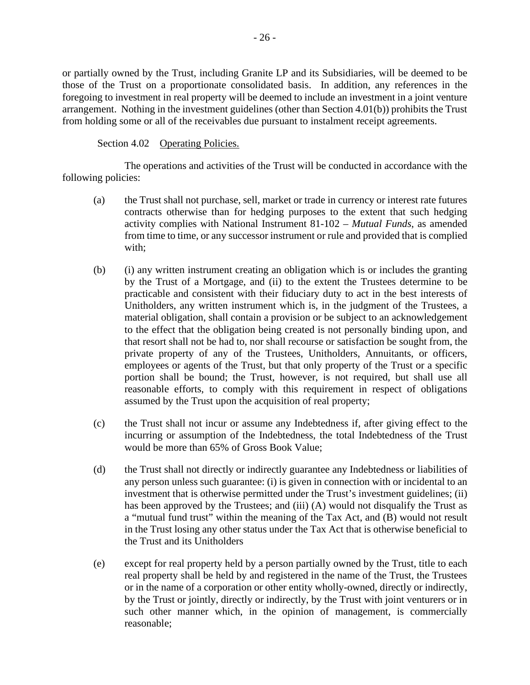or partially owned by the Trust, including Granite LP and its Subsidiaries, will be deemed to be those of the Trust on a proportionate consolidated basis. In addition, any references in the foregoing to investment in real property will be deemed to include an investment in a joint venture arrangement. Nothing in the investment guidelines (other than Section 4.01(b)) prohibits the Trust from holding some or all of the receivables due pursuant to instalment receipt agreements.

Section 4.02 Operating Policies.

The operations and activities of the Trust will be conducted in accordance with the following policies:

- (a) the Trust shall not purchase, sell, market or trade in currency or interest rate futures contracts otherwise than for hedging purposes to the extent that such hedging activity complies with National Instrument 81-102 – *Mutual Funds*, as amended from time to time, or any successor instrument or rule and provided that is complied with;
- (b) (i) any written instrument creating an obligation which is or includes the granting by the Trust of a Mortgage, and (ii) to the extent the Trustees determine to be practicable and consistent with their fiduciary duty to act in the best interests of Unitholders, any written instrument which is, in the judgment of the Trustees, a material obligation, shall contain a provision or be subject to an acknowledgement to the effect that the obligation being created is not personally binding upon, and that resort shall not be had to, nor shall recourse or satisfaction be sought from, the private property of any of the Trustees, Unitholders, Annuitants, or officers, employees or agents of the Trust, but that only property of the Trust or a specific portion shall be bound; the Trust, however, is not required, but shall use all reasonable efforts, to comply with this requirement in respect of obligations assumed by the Trust upon the acquisition of real property;
- (c) the Trust shall not incur or assume any Indebtedness if, after giving effect to the incurring or assumption of the Indebtedness, the total Indebtedness of the Trust would be more than 65% of Gross Book Value;
- (d) the Trust shall not directly or indirectly guarantee any Indebtedness or liabilities of any person unless such guarantee: (i) is given in connection with or incidental to an investment that is otherwise permitted under the Trust's investment guidelines; (ii) has been approved by the Trustees; and (iii) (A) would not disqualify the Trust as a "mutual fund trust" within the meaning of the Tax Act, and (B) would not result in the Trust losing any other status under the Tax Act that is otherwise beneficial to the Trust and its Unitholders
- (e) except for real property held by a person partially owned by the Trust, title to each real property shall be held by and registered in the name of the Trust, the Trustees or in the name of a corporation or other entity wholly-owned, directly or indirectly, by the Trust or jointly, directly or indirectly, by the Trust with joint venturers or in such other manner which, in the opinion of management, is commercially reasonable;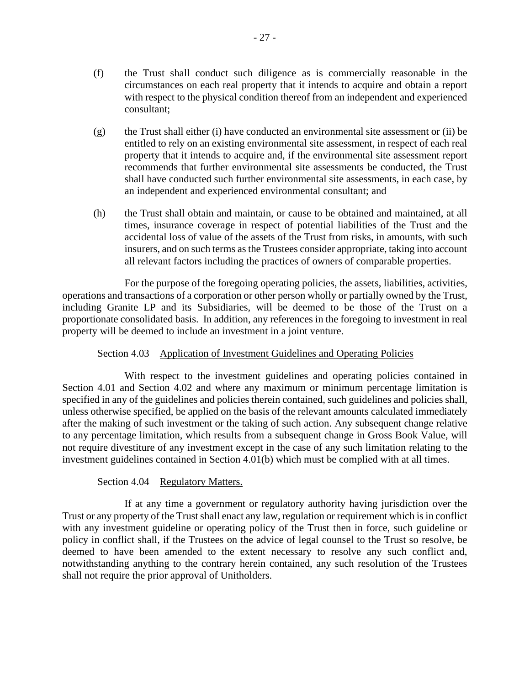- (f) the Trust shall conduct such diligence as is commercially reasonable in the circumstances on each real property that it intends to acquire and obtain a report with respect to the physical condition thereof from an independent and experienced consultant;
- (g) the Trust shall either (i) have conducted an environmental site assessment or (ii) be entitled to rely on an existing environmental site assessment, in respect of each real property that it intends to acquire and, if the environmental site assessment report recommends that further environmental site assessments be conducted, the Trust shall have conducted such further environmental site assessments, in each case, by an independent and experienced environmental consultant; and
- (h) the Trust shall obtain and maintain, or cause to be obtained and maintained, at all times, insurance coverage in respect of potential liabilities of the Trust and the accidental loss of value of the assets of the Trust from risks, in amounts, with such insurers, and on such terms as the Trustees consider appropriate, taking into account all relevant factors including the practices of owners of comparable properties.

For the purpose of the foregoing operating policies, the assets, liabilities, activities, operations and transactions of a corporation or other person wholly or partially owned by the Trust, including Granite LP and its Subsidiaries, will be deemed to be those of the Trust on a proportionate consolidated basis. In addition, any references in the foregoing to investment in real property will be deemed to include an investment in a joint venture.

## Section 4.03 Application of Investment Guidelines and Operating Policies

With respect to the investment guidelines and operating policies contained in Section 4.01 and Section 4.02 and where any maximum or minimum percentage limitation is specified in any of the guidelines and policies therein contained, such guidelines and policies shall, unless otherwise specified, be applied on the basis of the relevant amounts calculated immediately after the making of such investment or the taking of such action. Any subsequent change relative to any percentage limitation, which results from a subsequent change in Gross Book Value, will not require divestiture of any investment except in the case of any such limitation relating to the investment guidelines contained in Section 4.01(b) which must be complied with at all times.

## Section 4.04 Regulatory Matters.

If at any time a government or regulatory authority having jurisdiction over the Trust or any property of the Trust shall enact any law, regulation or requirement which is in conflict with any investment guideline or operating policy of the Trust then in force, such guideline or policy in conflict shall, if the Trustees on the advice of legal counsel to the Trust so resolve, be deemed to have been amended to the extent necessary to resolve any such conflict and, notwithstanding anything to the contrary herein contained, any such resolution of the Trustees shall not require the prior approval of Unitholders.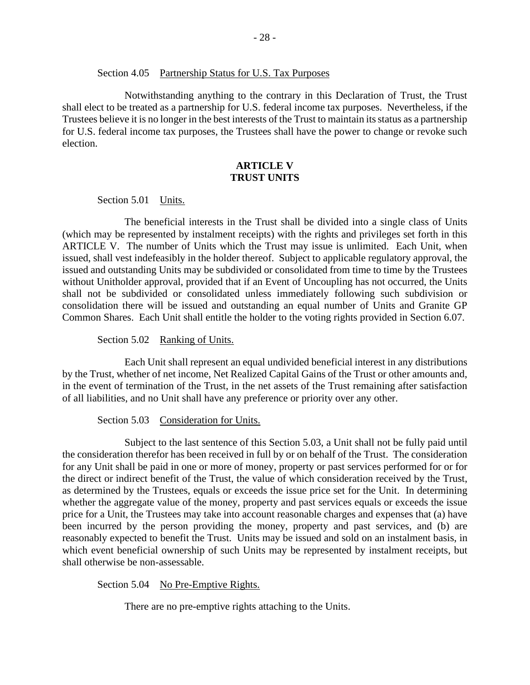#### Section 4.05 Partnership Status for U.S. Tax Purposes

Notwithstanding anything to the contrary in this Declaration of Trust, the Trust shall elect to be treated as a partnership for U.S. federal income tax purposes. Nevertheless, if the Trustees believe it is no longer in the best interests of the Trust to maintain its status as a partnership for U.S. federal income tax purposes, the Trustees shall have the power to change or revoke such election.

## **ARTICLE V TRUST UNITS**

Section 5.01 Units.

The beneficial interests in the Trust shall be divided into a single class of Units (which may be represented by instalment receipts) with the rights and privileges set forth in this ARTICLE V. The number of Units which the Trust may issue is unlimited. Each Unit, when issued, shall vest indefeasibly in the holder thereof. Subject to applicable regulatory approval, the issued and outstanding Units may be subdivided or consolidated from time to time by the Trustees without Unitholder approval, provided that if an Event of Uncoupling has not occurred, the Units shall not be subdivided or consolidated unless immediately following such subdivision or consolidation there will be issued and outstanding an equal number of Units and Granite GP Common Shares. Each Unit shall entitle the holder to the voting rights provided in Section 6.07.

Section 5.02 Ranking of Units.

Each Unit shall represent an equal undivided beneficial interest in any distributions by the Trust, whether of net income, Net Realized Capital Gains of the Trust or other amounts and, in the event of termination of the Trust, in the net assets of the Trust remaining after satisfaction of all liabilities, and no Unit shall have any preference or priority over any other.

Section 5.03 Consideration for Units.

Subject to the last sentence of this Section 5.03, a Unit shall not be fully paid until the consideration therefor has been received in full by or on behalf of the Trust. The consideration for any Unit shall be paid in one or more of money, property or past services performed for or for the direct or indirect benefit of the Trust, the value of which consideration received by the Trust, as determined by the Trustees, equals or exceeds the issue price set for the Unit. In determining whether the aggregate value of the money, property and past services equals or exceeds the issue price for a Unit, the Trustees may take into account reasonable charges and expenses that (a) have been incurred by the person providing the money, property and past services, and (b) are reasonably expected to benefit the Trust. Units may be issued and sold on an instalment basis, in which event beneficial ownership of such Units may be represented by instalment receipts, but shall otherwise be non-assessable.

Section 5.04 No Pre-Emptive Rights.

There are no pre-emptive rights attaching to the Units.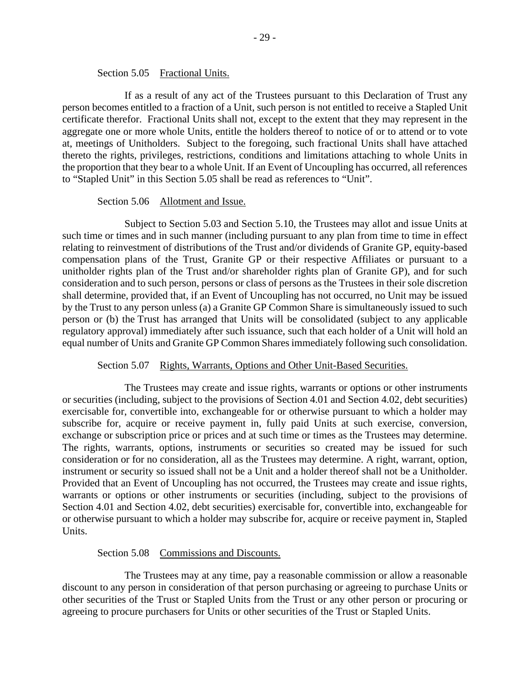#### Section 5.05 Fractional Units.

If as a result of any act of the Trustees pursuant to this Declaration of Trust any person becomes entitled to a fraction of a Unit, such person is not entitled to receive a Stapled Unit certificate therefor. Fractional Units shall not, except to the extent that they may represent in the aggregate one or more whole Units, entitle the holders thereof to notice of or to attend or to vote at, meetings of Unitholders. Subject to the foregoing, such fractional Units shall have attached thereto the rights, privileges, restrictions, conditions and limitations attaching to whole Units in the proportion that they bear to a whole Unit. If an Event of Uncoupling has occurred, all references to "Stapled Unit" in this Section 5.05 shall be read as references to "Unit".

#### Section 5.06 Allotment and Issue.

Subject to Section 5.03 and Section 5.10, the Trustees may allot and issue Units at such time or times and in such manner (including pursuant to any plan from time to time in effect relating to reinvestment of distributions of the Trust and/or dividends of Granite GP, equity-based compensation plans of the Trust, Granite GP or their respective Affiliates or pursuant to a unitholder rights plan of the Trust and/or shareholder rights plan of Granite GP), and for such consideration and to such person, persons or class of persons as the Trustees in their sole discretion shall determine, provided that, if an Event of Uncoupling has not occurred, no Unit may be issued by the Trust to any person unless (a) a Granite GP Common Share is simultaneously issued to such person or (b) the Trust has arranged that Units will be consolidated (subject to any applicable regulatory approval) immediately after such issuance, such that each holder of a Unit will hold an equal number of Units and Granite GP Common Shares immediately following such consolidation.

#### Section 5.07 Rights, Warrants, Options and Other Unit-Based Securities.

The Trustees may create and issue rights, warrants or options or other instruments or securities (including, subject to the provisions of Section 4.01 and Section 4.02, debt securities) exercisable for, convertible into, exchangeable for or otherwise pursuant to which a holder may subscribe for, acquire or receive payment in, fully paid Units at such exercise, conversion, exchange or subscription price or prices and at such time or times as the Trustees may determine. The rights, warrants, options, instruments or securities so created may be issued for such consideration or for no consideration, all as the Trustees may determine. A right, warrant, option, instrument or security so issued shall not be a Unit and a holder thereof shall not be a Unitholder. Provided that an Event of Uncoupling has not occurred, the Trustees may create and issue rights, warrants or options or other instruments or securities (including, subject to the provisions of Section 4.01 and Section 4.02, debt securities) exercisable for, convertible into, exchangeable for or otherwise pursuant to which a holder may subscribe for, acquire or receive payment in, Stapled Units.

#### Section 5.08 Commissions and Discounts.

The Trustees may at any time, pay a reasonable commission or allow a reasonable discount to any person in consideration of that person purchasing or agreeing to purchase Units or other securities of the Trust or Stapled Units from the Trust or any other person or procuring or agreeing to procure purchasers for Units or other securities of the Trust or Stapled Units.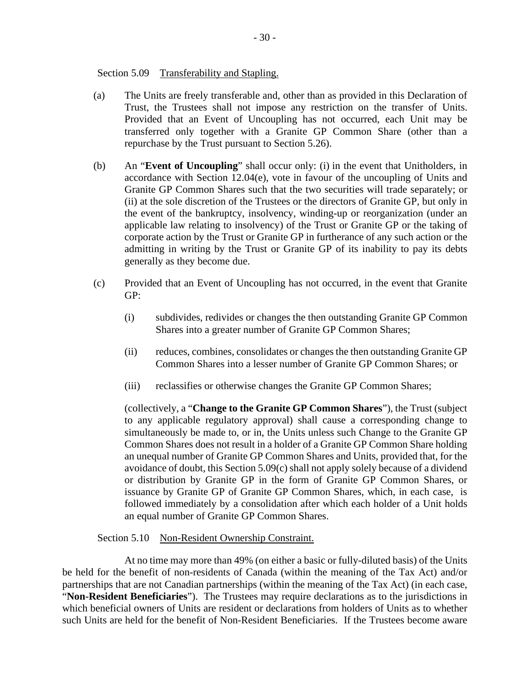Section 5.09 Transferability and Stapling.

- (a) The Units are freely transferable and, other than as provided in this Declaration of Trust, the Trustees shall not impose any restriction on the transfer of Units. Provided that an Event of Uncoupling has not occurred, each Unit may be transferred only together with a Granite GP Common Share (other than a repurchase by the Trust pursuant to Section 5.26).
- (b) An "**Event of Uncoupling**" shall occur only: (i) in the event that Unitholders, in accordance with Section 12.04(e), vote in favour of the uncoupling of Units and Granite GP Common Shares such that the two securities will trade separately; or (ii) at the sole discretion of the Trustees or the directors of Granite GP, but only in the event of the bankruptcy, insolvency, winding-up or reorganization (under an applicable law relating to insolvency) of the Trust or Granite GP or the taking of corporate action by the Trust or Granite GP in furtherance of any such action or the admitting in writing by the Trust or Granite GP of its inability to pay its debts generally as they become due.
- (c) Provided that an Event of Uncoupling has not occurred, in the event that Granite GP:
	- (i) subdivides, redivides or changes the then outstanding Granite GP Common Shares into a greater number of Granite GP Common Shares;
	- (ii) reduces, combines, consolidates or changes the then outstanding Granite GP Common Shares into a lesser number of Granite GP Common Shares; or
	- (iii) reclassifies or otherwise changes the Granite GP Common Shares;

(collectively, a "**Change to the Granite GP Common Shares**"), the Trust (subject to any applicable regulatory approval) shall cause a corresponding change to simultaneously be made to, or in, the Units unless such Change to the Granite GP Common Shares does not result in a holder of a Granite GP Common Share holding an unequal number of Granite GP Common Shares and Units, provided that, for the avoidance of doubt, this Section 5.09(c) shall not apply solely because of a dividend or distribution by Granite GP in the form of Granite GP Common Shares, or issuance by Granite GP of Granite GP Common Shares, which, in each case, is followed immediately by a consolidation after which each holder of a Unit holds an equal number of Granite GP Common Shares.

Section 5.10 Non-Resident Ownership Constraint.

At no time may more than 49% (on either a basic or fully-diluted basis) of the Units be held for the benefit of non-residents of Canada (within the meaning of the Tax Act) and/or partnerships that are not Canadian partnerships (within the meaning of the Tax Act) (in each case, "**Non-Resident Beneficiaries**"). The Trustees may require declarations as to the jurisdictions in which beneficial owners of Units are resident or declarations from holders of Units as to whether such Units are held for the benefit of Non-Resident Beneficiaries. If the Trustees become aware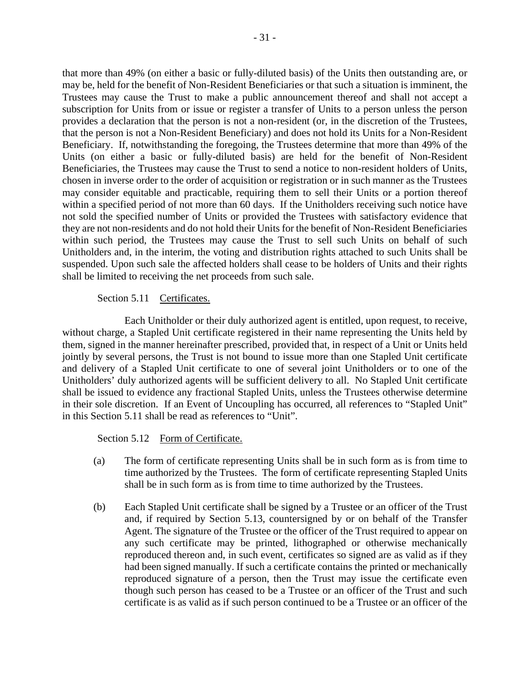that more than 49% (on either a basic or fully-diluted basis) of the Units then outstanding are, or may be, held for the benefit of Non-Resident Beneficiaries or that such a situation is imminent, the Trustees may cause the Trust to make a public announcement thereof and shall not accept a subscription for Units from or issue or register a transfer of Units to a person unless the person provides a declaration that the person is not a non-resident (or, in the discretion of the Trustees, that the person is not a Non-Resident Beneficiary) and does not hold its Units for a Non-Resident Beneficiary. If, notwithstanding the foregoing, the Trustees determine that more than 49% of the Units (on either a basic or fully-diluted basis) are held for the benefit of Non-Resident Beneficiaries, the Trustees may cause the Trust to send a notice to non-resident holders of Units, chosen in inverse order to the order of acquisition or registration or in such manner as the Trustees may consider equitable and practicable, requiring them to sell their Units or a portion thereof within a specified period of not more than 60 days. If the Unitholders receiving such notice have not sold the specified number of Units or provided the Trustees with satisfactory evidence that they are not non-residents and do not hold their Units for the benefit of Non-Resident Beneficiaries within such period, the Trustees may cause the Trust to sell such Units on behalf of such Unitholders and, in the interim, the voting and distribution rights attached to such Units shall be suspended. Upon such sale the affected holders shall cease to be holders of Units and their rights shall be limited to receiving the net proceeds from such sale.

# Section 5.11 Certificates.

Each Unitholder or their duly authorized agent is entitled, upon request, to receive, without charge, a Stapled Unit certificate registered in their name representing the Units held by them, signed in the manner hereinafter prescribed, provided that, in respect of a Unit or Units held jointly by several persons, the Trust is not bound to issue more than one Stapled Unit certificate and delivery of a Stapled Unit certificate to one of several joint Unitholders or to one of the Unitholders' duly authorized agents will be sufficient delivery to all. No Stapled Unit certificate shall be issued to evidence any fractional Stapled Units, unless the Trustees otherwise determine in their sole discretion. If an Event of Uncoupling has occurred, all references to "Stapled Unit" in this Section 5.11 shall be read as references to "Unit".

Section 5.12 Form of Certificate.

- (a) The form of certificate representing Units shall be in such form as is from time to time authorized by the Trustees. The form of certificate representing Stapled Units shall be in such form as is from time to time authorized by the Trustees.
- (b) Each Stapled Unit certificate shall be signed by a Trustee or an officer of the Trust and, if required by Section 5.13, countersigned by or on behalf of the Transfer Agent. The signature of the Trustee or the officer of the Trust required to appear on any such certificate may be printed, lithographed or otherwise mechanically reproduced thereon and, in such event, certificates so signed are as valid as if they had been signed manually. If such a certificate contains the printed or mechanically reproduced signature of a person, then the Trust may issue the certificate even though such person has ceased to be a Trustee or an officer of the Trust and such certificate is as valid as if such person continued to be a Trustee or an officer of the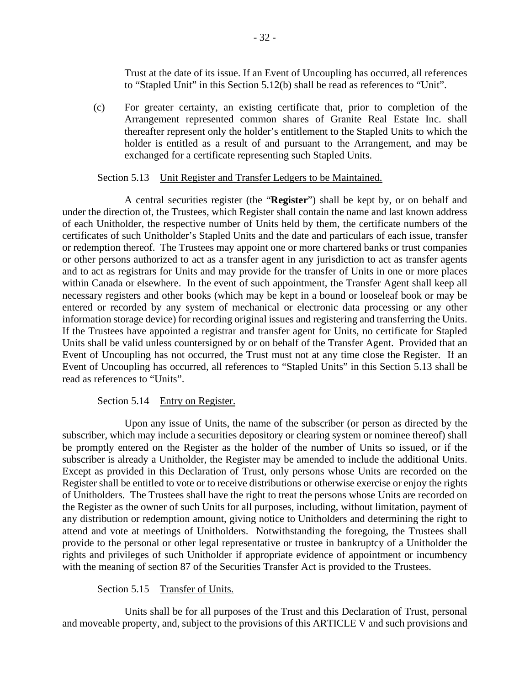Trust at the date of its issue. If an Event of Uncoupling has occurred, all references to "Stapled Unit" in this Section 5.12(b) shall be read as references to "Unit".

(c) For greater certainty, an existing certificate that, prior to completion of the Arrangement represented common shares of Granite Real Estate Inc. shall thereafter represent only the holder's entitlement to the Stapled Units to which the holder is entitled as a result of and pursuant to the Arrangement, and may be exchanged for a certificate representing such Stapled Units.

## Section 5.13 Unit Register and Transfer Ledgers to be Maintained.

A central securities register (the "**Register**") shall be kept by, or on behalf and under the direction of, the Trustees, which Register shall contain the name and last known address of each Unitholder, the respective number of Units held by them, the certificate numbers of the certificates of such Unitholder's Stapled Units and the date and particulars of each issue, transfer or redemption thereof. The Trustees may appoint one or more chartered banks or trust companies or other persons authorized to act as a transfer agent in any jurisdiction to act as transfer agents and to act as registrars for Units and may provide for the transfer of Units in one or more places within Canada or elsewhere. In the event of such appointment, the Transfer Agent shall keep all necessary registers and other books (which may be kept in a bound or looseleaf book or may be entered or recorded by any system of mechanical or electronic data processing or any other information storage device) for recording original issues and registering and transferring the Units. If the Trustees have appointed a registrar and transfer agent for Units, no certificate for Stapled Units shall be valid unless countersigned by or on behalf of the Transfer Agent. Provided that an Event of Uncoupling has not occurred, the Trust must not at any time close the Register. If an Event of Uncoupling has occurred, all references to "Stapled Units" in this Section 5.13 shall be read as references to "Units".

# Section 5.14 Entry on Register.

Upon any issue of Units, the name of the subscriber (or person as directed by the subscriber, which may include a securities depository or clearing system or nominee thereof) shall be promptly entered on the Register as the holder of the number of Units so issued, or if the subscriber is already a Unitholder, the Register may be amended to include the additional Units. Except as provided in this Declaration of Trust, only persons whose Units are recorded on the Register shall be entitled to vote or to receive distributions or otherwise exercise or enjoy the rights of Unitholders. The Trustees shall have the right to treat the persons whose Units are recorded on the Register as the owner of such Units for all purposes, including, without limitation, payment of any distribution or redemption amount, giving notice to Unitholders and determining the right to attend and vote at meetings of Unitholders. Notwithstanding the foregoing, the Trustees shall provide to the personal or other legal representative or trustee in bankruptcy of a Unitholder the rights and privileges of such Unitholder if appropriate evidence of appointment or incumbency with the meaning of section 87 of the Securities Transfer Act is provided to the Trustees.

# Section 5.15 Transfer of Units.

Units shall be for all purposes of the Trust and this Declaration of Trust, personal and moveable property, and, subject to the provisions of this ARTICLE V and such provisions and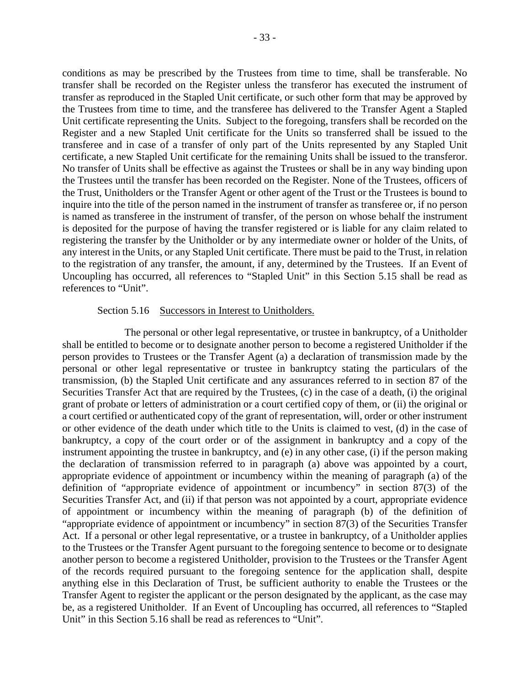conditions as may be prescribed by the Trustees from time to time, shall be transferable. No transfer shall be recorded on the Register unless the transferor has executed the instrument of transfer as reproduced in the Stapled Unit certificate, or such other form that may be approved by the Trustees from time to time, and the transferee has delivered to the Transfer Agent a Stapled Unit certificate representing the Units. Subject to the foregoing, transfers shall be recorded on the Register and a new Stapled Unit certificate for the Units so transferred shall be issued to the transferee and in case of a transfer of only part of the Units represented by any Stapled Unit certificate, a new Stapled Unit certificate for the remaining Units shall be issued to the transferor. No transfer of Units shall be effective as against the Trustees or shall be in any way binding upon the Trustees until the transfer has been recorded on the Register. None of the Trustees, officers of the Trust, Unitholders or the Transfer Agent or other agent of the Trust or the Trustees is bound to inquire into the title of the person named in the instrument of transfer as transferee or, if no person is named as transferee in the instrument of transfer, of the person on whose behalf the instrument is deposited for the purpose of having the transfer registered or is liable for any claim related to registering the transfer by the Unitholder or by any intermediate owner or holder of the Units, of any interest in the Units, or any Stapled Unit certificate. There must be paid to the Trust, in relation to the registration of any transfer, the amount, if any, determined by the Trustees. If an Event of Uncoupling has occurred, all references to "Stapled Unit" in this Section 5.15 shall be read as references to "Unit".

#### Section 5.16 Successors in Interest to Unitholders.

The personal or other legal representative, or trustee in bankruptcy, of a Unitholder shall be entitled to become or to designate another person to become a registered Unitholder if the person provides to Trustees or the Transfer Agent (a) a declaration of transmission made by the personal or other legal representative or trustee in bankruptcy stating the particulars of the transmission, (b) the Stapled Unit certificate and any assurances referred to in section 87 of the Securities Transfer Act that are required by the Trustees, (c) in the case of a death, (i) the original grant of probate or letters of administration or a court certified copy of them, or (ii) the original or a court certified or authenticated copy of the grant of representation, will, order or other instrument or other evidence of the death under which title to the Units is claimed to vest, (d) in the case of bankruptcy, a copy of the court order or of the assignment in bankruptcy and a copy of the instrument appointing the trustee in bankruptcy, and (e) in any other case, (i) if the person making the declaration of transmission referred to in paragraph (a) above was appointed by a court, appropriate evidence of appointment or incumbency within the meaning of paragraph (a) of the definition of "appropriate evidence of appointment or incumbency" in section 87(3) of the Securities Transfer Act, and (ii) if that person was not appointed by a court, appropriate evidence of appointment or incumbency within the meaning of paragraph (b) of the definition of "appropriate evidence of appointment or incumbency" in section 87(3) of the Securities Transfer Act. If a personal or other legal representative, or a trustee in bankruptcy, of a Unitholder applies to the Trustees or the Transfer Agent pursuant to the foregoing sentence to become or to designate another person to become a registered Unitholder, provision to the Trustees or the Transfer Agent of the records required pursuant to the foregoing sentence for the application shall, despite anything else in this Declaration of Trust, be sufficient authority to enable the Trustees or the Transfer Agent to register the applicant or the person designated by the applicant, as the case may be, as a registered Unitholder. If an Event of Uncoupling has occurred, all references to "Stapled Unit" in this Section 5.16 shall be read as references to "Unit".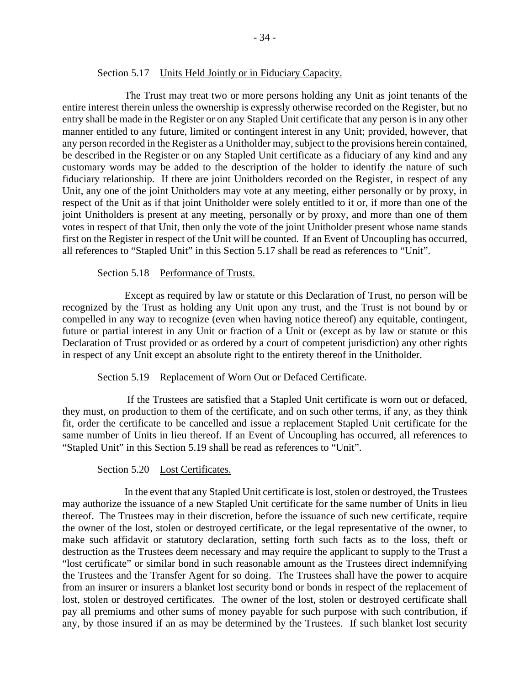### Section 5.17 Units Held Jointly or in Fiduciary Capacity.

The Trust may treat two or more persons holding any Unit as joint tenants of the entire interest therein unless the ownership is expressly otherwise recorded on the Register, but no entry shall be made in the Register or on any Stapled Unit certificate that any person is in any other manner entitled to any future, limited or contingent interest in any Unit; provided, however, that any person recorded in the Register as a Unitholder may, subject to the provisions herein contained, be described in the Register or on any Stapled Unit certificate as a fiduciary of any kind and any customary words may be added to the description of the holder to identify the nature of such fiduciary relationship. If there are joint Unitholders recorded on the Register, in respect of any Unit, any one of the joint Unitholders may vote at any meeting, either personally or by proxy, in respect of the Unit as if that joint Unitholder were solely entitled to it or, if more than one of the joint Unitholders is present at any meeting, personally or by proxy, and more than one of them votes in respect of that Unit, then only the vote of the joint Unitholder present whose name stands first on the Register in respect of the Unit will be counted. If an Event of Uncoupling has occurred, all references to "Stapled Unit" in this Section 5.17 shall be read as references to "Unit".

### Section 5.18 Performance of Trusts.

Except as required by law or statute or this Declaration of Trust, no person will be recognized by the Trust as holding any Unit upon any trust, and the Trust is not bound by or compelled in any way to recognize (even when having notice thereof) any equitable, contingent, future or partial interest in any Unit or fraction of a Unit or (except as by law or statute or this Declaration of Trust provided or as ordered by a court of competent jurisdiction) any other rights in respect of any Unit except an absolute right to the entirety thereof in the Unitholder.

### Section 5.19 Replacement of Worn Out or Defaced Certificate.

 If the Trustees are satisfied that a Stapled Unit certificate is worn out or defaced, they must, on production to them of the certificate, and on such other terms, if any, as they think fit, order the certificate to be cancelled and issue a replacement Stapled Unit certificate for the same number of Units in lieu thereof. If an Event of Uncoupling has occurred, all references to "Stapled Unit" in this Section 5.19 shall be read as references to "Unit".

### Section 5.20 Lost Certificates.

In the event that any Stapled Unit certificate is lost, stolen or destroyed, the Trustees may authorize the issuance of a new Stapled Unit certificate for the same number of Units in lieu thereof. The Trustees may in their discretion, before the issuance of such new certificate, require the owner of the lost, stolen or destroyed certificate, or the legal representative of the owner, to make such affidavit or statutory declaration, setting forth such facts as to the loss, theft or destruction as the Trustees deem necessary and may require the applicant to supply to the Trust a "lost certificate" or similar bond in such reasonable amount as the Trustees direct indemnifying the Trustees and the Transfer Agent for so doing. The Trustees shall have the power to acquire from an insurer or insurers a blanket lost security bond or bonds in respect of the replacement of lost, stolen or destroyed certificates. The owner of the lost, stolen or destroyed certificate shall pay all premiums and other sums of money payable for such purpose with such contribution, if any, by those insured if an as may be determined by the Trustees. If such blanket lost security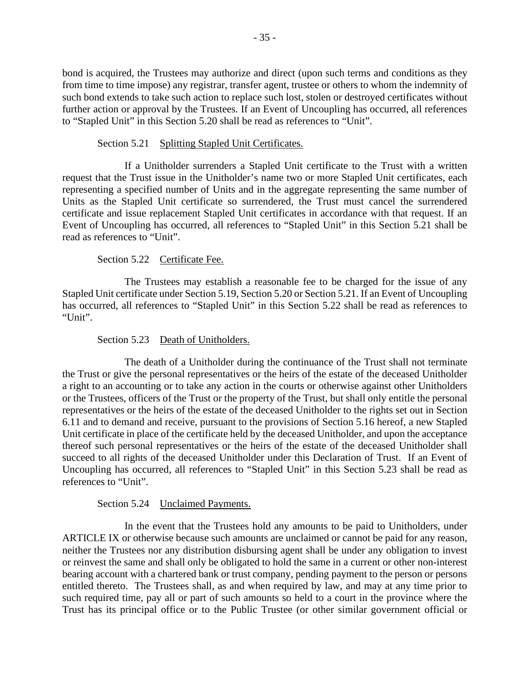bond is acquired, the Trustees may authorize and direct (upon such terms and conditions as they from time to time impose) any registrar, transfer agent, trustee or others to whom the indemnity of such bond extends to take such action to replace such lost, stolen or destroyed certificates without further action or approval by the Trustees. If an Event of Uncoupling has occurred, all references to "Stapled Unit" in this Section 5.20 shall be read as references to "Unit".

# Section 5.21 Splitting Stapled Unit Certificates.

If a Unitholder surrenders a Stapled Unit certificate to the Trust with a written request that the Trust issue in the Unitholder's name two or more Stapled Unit certificates, each representing a specified number of Units and in the aggregate representing the same number of Units as the Stapled Unit certificate so surrendered, the Trust must cancel the surrendered certificate and issue replacement Stapled Unit certificates in accordance with that request. If an Event of Uncoupling has occurred, all references to "Stapled Unit" in this Section 5.21 shall be read as references to "Unit".

# Section 5.22 Certificate Fee.

The Trustees may establish a reasonable fee to be charged for the issue of any Stapled Unit certificate under Section 5.19, Section 5.20 or Section 5.21. If an Event of Uncoupling has occurred, all references to "Stapled Unit" in this Section 5.22 shall be read as references to "Unit".

# Section 5.23 Death of Unitholders.

The death of a Unitholder during the continuance of the Trust shall not terminate the Trust or give the personal representatives or the heirs of the estate of the deceased Unitholder a right to an accounting or to take any action in the courts or otherwise against other Unitholders or the Trustees, officers of the Trust or the property of the Trust, but shall only entitle the personal representatives or the heirs of the estate of the deceased Unitholder to the rights set out in Section 6.11 and to demand and receive, pursuant to the provisions of Section 5.16 hereof, a new Stapled Unit certificate in place of the certificate held by the deceased Unitholder, and upon the acceptance thereof such personal representatives or the heirs of the estate of the deceased Unitholder shall succeed to all rights of the deceased Unitholder under this Declaration of Trust. If an Event of Uncoupling has occurred, all references to "Stapled Unit" in this Section 5.23 shall be read as references to "Unit".

# Section 5.24 Unclaimed Payments.

In the event that the Trustees hold any amounts to be paid to Unitholders, under ARTICLE IX or otherwise because such amounts are unclaimed or cannot be paid for any reason, neither the Trustees nor any distribution disbursing agent shall be under any obligation to invest or reinvest the same and shall only be obligated to hold the same in a current or other non-interest bearing account with a chartered bank or trust company, pending payment to the person or persons entitled thereto. The Trustees shall, as and when required by law, and may at any time prior to such required time, pay all or part of such amounts so held to a court in the province where the Trust has its principal office or to the Public Trustee (or other similar government official or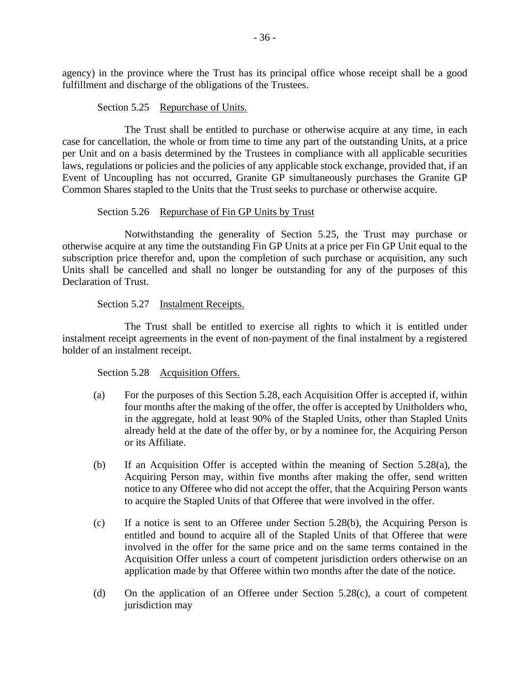agency) in the province where the Trust has its principal office whose receipt shall be a good fulfillment and discharge of the obligations of the Trustees.

## Section 5.25 Repurchase of Units.

The Trust shall be entitled to purchase or otherwise acquire at any time, in each case for cancellation, the whole or from time to time any part of the outstanding Units, at a price per Unit and on a basis determined by the Trustees in compliance with all applicable securities laws, regulations or policies and the policies of any applicable stock exchange, provided that, if an Event of Uncoupling has not occurred, Granite GP simultaneously purchases the Granite GP Common Shares stapled to the Units that the Trust seeks to purchase or otherwise acquire.

## Section 5.26 Repurchase of Fin GP Units by Trust

Notwithstanding the generality of Section 5.25, the Trust may purchase or otherwise acquire at any time the outstanding Fin GP Units at a price per Fin GP Unit equal to the subscription price therefor and, upon the completion of such purchase or acquisition, any such Units shall be cancelled and shall no longer be outstanding for any of the purposes of this Declaration of Trust.

## Section 5.27 Instalment Receipts.

The Trust shall be entitled to exercise all rights to which it is entitled under instalment receipt agreements in the event of non-payment of the final instalment by a registered holder of an instalment receipt.

# Section 5.28 Acquisition Offers.

- (a) For the purposes of this Section 5.28, each Acquisition Offer is accepted if, within four months after the making of the offer, the offer is accepted by Unitholders who, in the aggregate, hold at least 90% of the Stapled Units, other than Stapled Units already held at the date of the offer by, or by a nominee for, the Acquiring Person or its Affiliate.
- (b) If an Acquisition Offer is accepted within the meaning of Section 5.28(a), the Acquiring Person may, within five months after making the offer, send written notice to any Offeree who did not accept the offer, that the Acquiring Person wants to acquire the Stapled Units of that Offeree that were involved in the offer.
- (c) If a notice is sent to an Offeree under Section 5.28(b), the Acquiring Person is entitled and bound to acquire all of the Stapled Units of that Offeree that were involved in the offer for the same price and on the same terms contained in the Acquisition Offer unless a court of competent jurisdiction orders otherwise on an application made by that Offeree within two months after the date of the notice.
- (d) On the application of an Offeree under Section 5.28(c), a court of competent jurisdiction may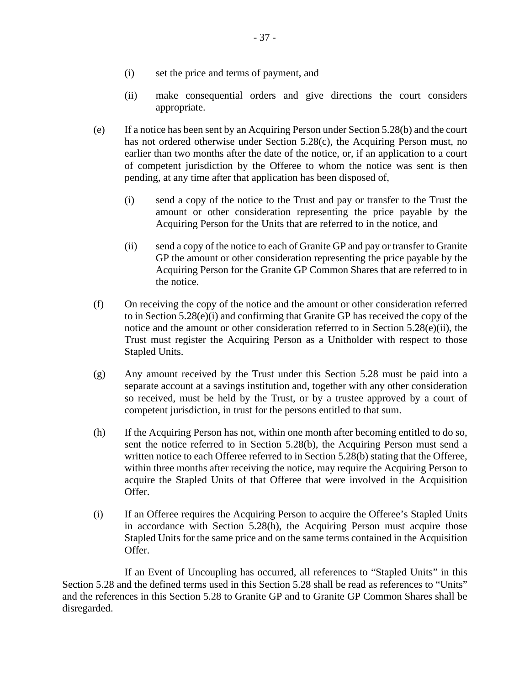- (i) set the price and terms of payment, and
- (ii) make consequential orders and give directions the court considers appropriate.
- (e) If a notice has been sent by an Acquiring Person under Section 5.28(b) and the court has not ordered otherwise under Section 5.28(c), the Acquiring Person must, no earlier than two months after the date of the notice, or, if an application to a court of competent jurisdiction by the Offeree to whom the notice was sent is then pending, at any time after that application has been disposed of,
	- (i) send a copy of the notice to the Trust and pay or transfer to the Trust the amount or other consideration representing the price payable by the Acquiring Person for the Units that are referred to in the notice, and
	- (ii) send a copy of the notice to each of Granite GP and pay or transfer to Granite GP the amount or other consideration representing the price payable by the Acquiring Person for the Granite GP Common Shares that are referred to in the notice.
- (f) On receiving the copy of the notice and the amount or other consideration referred to in Section 5.28(e)(i) and confirming that Granite GP has received the copy of the notice and the amount or other consideration referred to in Section 5.28(e)(ii), the Trust must register the Acquiring Person as a Unitholder with respect to those Stapled Units.
- (g) Any amount received by the Trust under this Section 5.28 must be paid into a separate account at a savings institution and, together with any other consideration so received, must be held by the Trust, or by a trustee approved by a court of competent jurisdiction, in trust for the persons entitled to that sum.
- (h) If the Acquiring Person has not, within one month after becoming entitled to do so, sent the notice referred to in Section 5.28(b), the Acquiring Person must send a written notice to each Offeree referred to in Section 5.28(b) stating that the Offeree, within three months after receiving the notice, may require the Acquiring Person to acquire the Stapled Units of that Offeree that were involved in the Acquisition Offer.
- (i) If an Offeree requires the Acquiring Person to acquire the Offeree's Stapled Units in accordance with Section 5.28(h), the Acquiring Person must acquire those Stapled Units for the same price and on the same terms contained in the Acquisition Offer.

If an Event of Uncoupling has occurred, all references to "Stapled Units" in this Section 5.28 and the defined terms used in this Section 5.28 shall be read as references to "Units" and the references in this Section 5.28 to Granite GP and to Granite GP Common Shares shall be disregarded.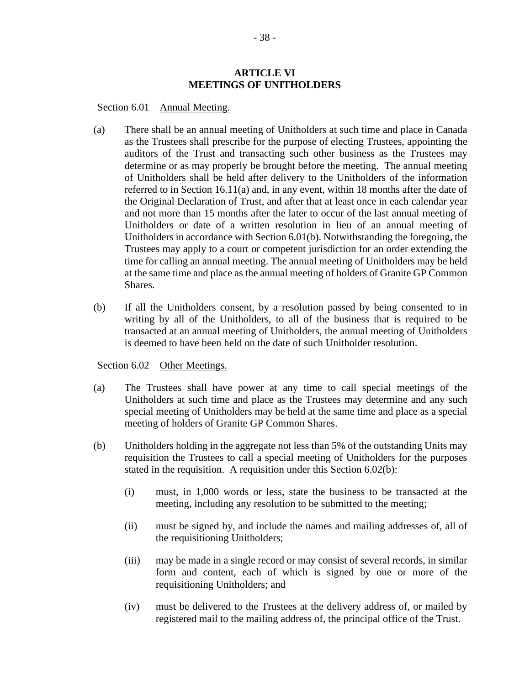### **ARTICLE VI MEETINGS OF UNITHOLDERS**

Section 6.01 Annual Meeting.

- (a) There shall be an annual meeting of Unitholders at such time and place in Canada as the Trustees shall prescribe for the purpose of electing Trustees, appointing the auditors of the Trust and transacting such other business as the Trustees may determine or as may properly be brought before the meeting. The annual meeting of Unitholders shall be held after delivery to the Unitholders of the information referred to in Section 16.11(a) and, in any event, within 18 months after the date of the Original Declaration of Trust, and after that at least once in each calendar year and not more than 15 months after the later to occur of the last annual meeting of Unitholders or date of a written resolution in lieu of an annual meeting of Unitholders in accordance with Section 6.01(b). Notwithstanding the foregoing, the Trustees may apply to a court or competent jurisdiction for an order extending the time for calling an annual meeting. The annual meeting of Unitholders may be held at the same time and place as the annual meeting of holders of Granite GP Common Shares.
- (b) If all the Unitholders consent, by a resolution passed by being consented to in writing by all of the Unitholders, to all of the business that is required to be transacted at an annual meeting of Unitholders, the annual meeting of Unitholders is deemed to have been held on the date of such Unitholder resolution.

Section 6.02 Other Meetings.

- (a) The Trustees shall have power at any time to call special meetings of the Unitholders at such time and place as the Trustees may determine and any such special meeting of Unitholders may be held at the same time and place as a special meeting of holders of Granite GP Common Shares.
- (b) Unitholders holding in the aggregate not less than 5% of the outstanding Units may requisition the Trustees to call a special meeting of Unitholders for the purposes stated in the requisition. A requisition under this Section 6.02(b):
	- (i) must, in 1,000 words or less, state the business to be transacted at the meeting, including any resolution to be submitted to the meeting;
	- (ii) must be signed by, and include the names and mailing addresses of, all of the requisitioning Unitholders;
	- (iii) may be made in a single record or may consist of several records, in similar form and content, each of which is signed by one or more of the requisitioning Unitholders; and
	- (iv) must be delivered to the Trustees at the delivery address of, or mailed by registered mail to the mailing address of, the principal office of the Trust.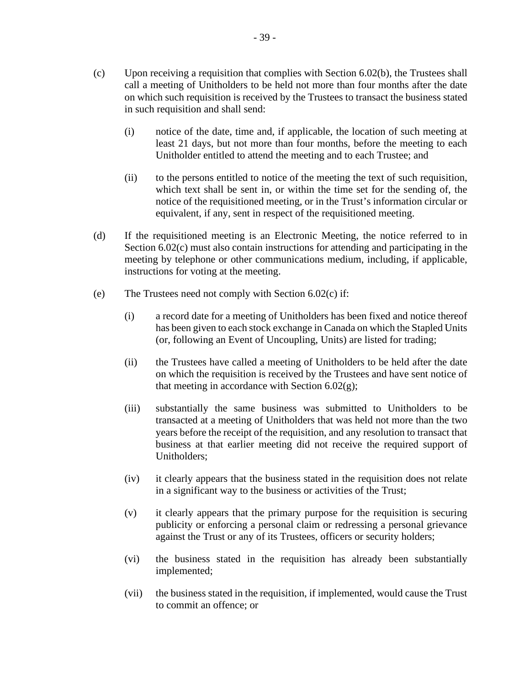- (i) notice of the date, time and, if applicable, the location of such meeting at least 21 days, but not more than four months, before the meeting to each Unitholder entitled to attend the meeting and to each Trustee; and
- (ii) to the persons entitled to notice of the meeting the text of such requisition, which text shall be sent in, or within the time set for the sending of, the notice of the requisitioned meeting, or in the Trust's information circular or equivalent, if any, sent in respect of the requisitioned meeting.
- (d) If the requisitioned meeting is an Electronic Meeting, the notice referred to in Section 6.02(c) must also contain instructions for attending and participating in the meeting by telephone or other communications medium, including, if applicable, instructions for voting at the meeting.
- (e) The Trustees need not comply with Section 6.02(c) if:
	- (i) a record date for a meeting of Unitholders has been fixed and notice thereof has been given to each stock exchange in Canada on which the Stapled Units (or, following an Event of Uncoupling, Units) are listed for trading;
	- (ii) the Trustees have called a meeting of Unitholders to be held after the date on which the requisition is received by the Trustees and have sent notice of that meeting in accordance with Section  $6.02(g)$ ;
	- (iii) substantially the same business was submitted to Unitholders to be transacted at a meeting of Unitholders that was held not more than the two years before the receipt of the requisition, and any resolution to transact that business at that earlier meeting did not receive the required support of Unitholders;
	- (iv) it clearly appears that the business stated in the requisition does not relate in a significant way to the business or activities of the Trust;
	- (v) it clearly appears that the primary purpose for the requisition is securing publicity or enforcing a personal claim or redressing a personal grievance against the Trust or any of its Trustees, officers or security holders;
	- (vi) the business stated in the requisition has already been substantially implemented;
	- (vii) the business stated in the requisition, if implemented, would cause the Trust to commit an offence; or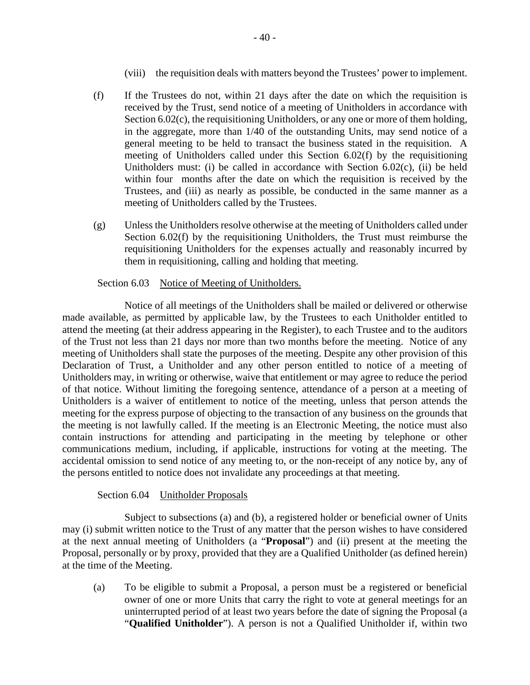- (viii) the requisition deals with matters beyond the Trustees' power to implement.
- (f) If the Trustees do not, within 21 days after the date on which the requisition is received by the Trust, send notice of a meeting of Unitholders in accordance with Section 6.02(c), the requisitioning Unitholders, or any one or more of them holding, in the aggregate, more than 1/40 of the outstanding Units, may send notice of a general meeting to be held to transact the business stated in the requisition. A meeting of Unitholders called under this Section 6.02(f) by the requisitioning Unitholders must: (i) be called in accordance with Section 6.02(c), (ii) be held within four months after the date on which the requisition is received by the Trustees, and (iii) as nearly as possible, be conducted in the same manner as a meeting of Unitholders called by the Trustees.
- (g) Unless the Unitholders resolve otherwise at the meeting of Unitholders called under Section 6.02(f) by the requisitioning Unitholders, the Trust must reimburse the requisitioning Unitholders for the expenses actually and reasonably incurred by them in requisitioning, calling and holding that meeting.

## Section 6.03 Notice of Meeting of Unitholders.

Notice of all meetings of the Unitholders shall be mailed or delivered or otherwise made available, as permitted by applicable law, by the Trustees to each Unitholder entitled to attend the meeting (at their address appearing in the Register), to each Trustee and to the auditors of the Trust not less than 21 days nor more than two months before the meeting. Notice of any meeting of Unitholders shall state the purposes of the meeting. Despite any other provision of this Declaration of Trust, a Unitholder and any other person entitled to notice of a meeting of Unitholders may, in writing or otherwise, waive that entitlement or may agree to reduce the period of that notice. Without limiting the foregoing sentence, attendance of a person at a meeting of Unitholders is a waiver of entitlement to notice of the meeting, unless that person attends the meeting for the express purpose of objecting to the transaction of any business on the grounds that the meeting is not lawfully called. If the meeting is an Electronic Meeting, the notice must also contain instructions for attending and participating in the meeting by telephone or other communications medium, including, if applicable, instructions for voting at the meeting. The accidental omission to send notice of any meeting to, or the non-receipt of any notice by, any of the persons entitled to notice does not invalidate any proceedings at that meeting.

### Section 6.04 Unitholder Proposals

Subject to subsections (a) and (b), a registered holder or beneficial owner of Units may (i) submit written notice to the Trust of any matter that the person wishes to have considered at the next annual meeting of Unitholders (a "**Proposal**") and (ii) present at the meeting the Proposal, personally or by proxy, provided that they are a Qualified Unitholder (as defined herein) at the time of the Meeting.

(a) To be eligible to submit a Proposal, a person must be a registered or beneficial owner of one or more Units that carry the right to vote at general meetings for an uninterrupted period of at least two years before the date of signing the Proposal (a "**Qualified Unitholder**"). A person is not a Qualified Unitholder if, within two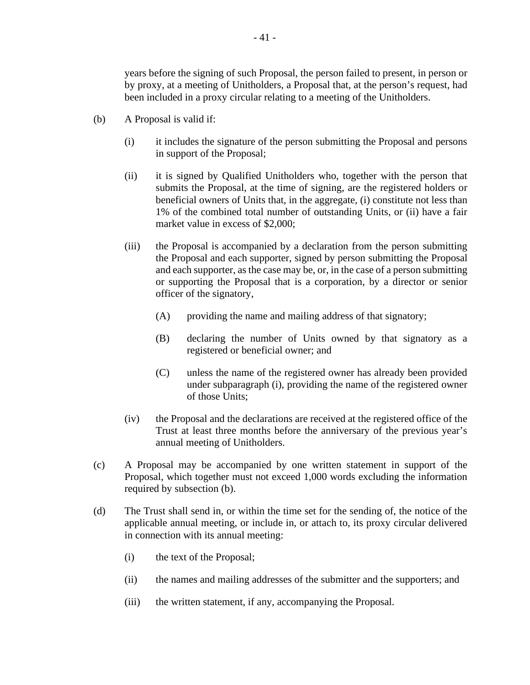years before the signing of such Proposal, the person failed to present, in person or by proxy, at a meeting of Unitholders, a Proposal that, at the person's request, had been included in a proxy circular relating to a meeting of the Unitholders.

- (b) A Proposal is valid if:
	- (i) it includes the signature of the person submitting the Proposal and persons in support of the Proposal;
	- (ii) it is signed by Qualified Unitholders who, together with the person that submits the Proposal, at the time of signing, are the registered holders or beneficial owners of Units that, in the aggregate, (i) constitute not less than 1% of the combined total number of outstanding Units, or (ii) have a fair market value in excess of \$2,000;
	- (iii) the Proposal is accompanied by a declaration from the person submitting the Proposal and each supporter, signed by person submitting the Proposal and each supporter, as the case may be, or, in the case of a person submitting or supporting the Proposal that is a corporation, by a director or senior officer of the signatory,
		- (A) providing the name and mailing address of that signatory;
		- (B) declaring the number of Units owned by that signatory as a registered or beneficial owner; and
		- (C) unless the name of the registered owner has already been provided under subparagraph (i), providing the name of the registered owner of those Units;
	- (iv) the Proposal and the declarations are received at the registered office of the Trust at least three months before the anniversary of the previous year's annual meeting of Unitholders.
- (c) A Proposal may be accompanied by one written statement in support of the Proposal, which together must not exceed 1,000 words excluding the information required by subsection (b).
- (d) The Trust shall send in, or within the time set for the sending of, the notice of the applicable annual meeting, or include in, or attach to, its proxy circular delivered in connection with its annual meeting:
	- (i) the text of the Proposal;
	- (ii) the names and mailing addresses of the submitter and the supporters; and
	- (iii) the written statement, if any, accompanying the Proposal.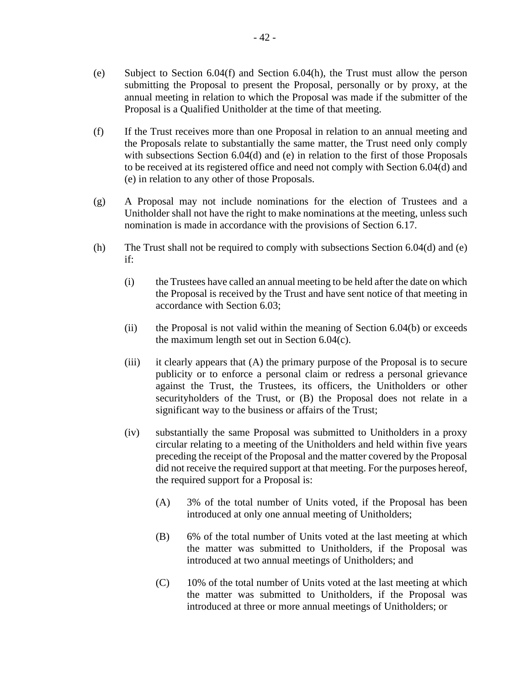- (e) Subject to Section 6.04(f) and Section 6.04(h), the Trust must allow the person submitting the Proposal to present the Proposal, personally or by proxy, at the annual meeting in relation to which the Proposal was made if the submitter of the Proposal is a Qualified Unitholder at the time of that meeting.
- (f) If the Trust receives more than one Proposal in relation to an annual meeting and the Proposals relate to substantially the same matter, the Trust need only comply with subsections Section 6.04(d) and (e) in relation to the first of those Proposals to be received at its registered office and need not comply with Section 6.04(d) and (e) in relation to any other of those Proposals.
- (g) A Proposal may not include nominations for the election of Trustees and a Unitholder shall not have the right to make nominations at the meeting, unless such nomination is made in accordance with the provisions of Section 6.17.
- (h) The Trust shall not be required to comply with subsections Section 6.04(d) and (e) if:
	- (i) the Trustees have called an annual meeting to be held after the date on which the Proposal is received by the Trust and have sent notice of that meeting in accordance with Section 6.03;
	- (ii) the Proposal is not valid within the meaning of Section 6.04(b) or exceeds the maximum length set out in Section 6.04(c).
	- (iii) it clearly appears that (A) the primary purpose of the Proposal is to secure publicity or to enforce a personal claim or redress a personal grievance against the Trust, the Trustees, its officers, the Unitholders or other securityholders of the Trust, or (B) the Proposal does not relate in a significant way to the business or affairs of the Trust;
	- (iv) substantially the same Proposal was submitted to Unitholders in a proxy circular relating to a meeting of the Unitholders and held within five years preceding the receipt of the Proposal and the matter covered by the Proposal did not receive the required support at that meeting. For the purposes hereof, the required support for a Proposal is:
		- (A) 3% of the total number of Units voted, if the Proposal has been introduced at only one annual meeting of Unitholders;
		- (B) 6% of the total number of Units voted at the last meeting at which the matter was submitted to Unitholders, if the Proposal was introduced at two annual meetings of Unitholders; and
		- (C) 10% of the total number of Units voted at the last meeting at which the matter was submitted to Unitholders, if the Proposal was introduced at three or more annual meetings of Unitholders; or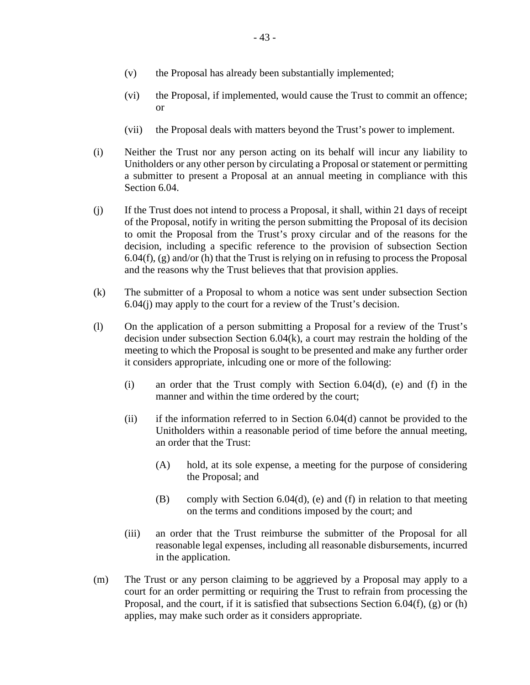- (v) the Proposal has already been substantially implemented;
- (vi) the Proposal, if implemented, would cause the Trust to commit an offence; or
- (vii) the Proposal deals with matters beyond the Trust's power to implement.
- (i) Neither the Trust nor any person acting on its behalf will incur any liability to Unitholders or any other person by circulating a Proposal or statement or permitting a submitter to present a Proposal at an annual meeting in compliance with this Section 6.04.
- (j) If the Trust does not intend to process a Proposal, it shall, within 21 days of receipt of the Proposal, notify in writing the person submitting the Proposal of its decision to omit the Proposal from the Trust's proxy circular and of the reasons for the decision, including a specific reference to the provision of subsection Section  $6.04(f)$ , (g) and/or (h) that the Trust is relying on in refusing to process the Proposal and the reasons why the Trust believes that that provision applies.
- (k) The submitter of a Proposal to whom a notice was sent under subsection Section 6.04(j) may apply to the court for a review of the Trust's decision.
- (l) On the application of a person submitting a Proposal for a review of the Trust's decision under subsection Section 6.04(k), a court may restrain the holding of the meeting to which the Proposal is sought to be presented and make any further order it considers appropriate, inlcuding one or more of the following:
	- (i) an order that the Trust comply with Section 6.04(d), (e) and (f) in the manner and within the time ordered by the court;
	- (ii) if the information referred to in Section 6.04(d) cannot be provided to the Unitholders within a reasonable period of time before the annual meeting, an order that the Trust:
		- (A) hold, at its sole expense, a meeting for the purpose of considering the Proposal; and
		- (B) comply with Section 6.04(d), (e) and (f) in relation to that meeting on the terms and conditions imposed by the court; and
	- (iii) an order that the Trust reimburse the submitter of the Proposal for all reasonable legal expenses, including all reasonable disbursements, incurred in the application.
- (m) The Trust or any person claiming to be aggrieved by a Proposal may apply to a court for an order permitting or requiring the Trust to refrain from processing the Proposal, and the court, if it is satisfied that subsections Section  $6.04(f)$ , (g) or (h) applies, may make such order as it considers appropriate.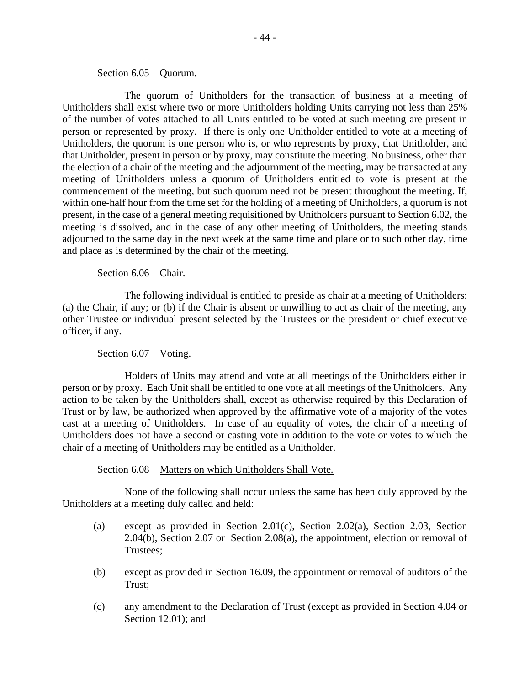## Section 6.05 Quorum.

The quorum of Unitholders for the transaction of business at a meeting of Unitholders shall exist where two or more Unitholders holding Units carrying not less than 25% of the number of votes attached to all Units entitled to be voted at such meeting are present in person or represented by proxy. If there is only one Unitholder entitled to vote at a meeting of Unitholders, the quorum is one person who is, or who represents by proxy, that Unitholder, and that Unitholder, present in person or by proxy, may constitute the meeting. No business, other than the election of a chair of the meeting and the adjournment of the meeting, may be transacted at any meeting of Unitholders unless a quorum of Unitholders entitled to vote is present at the commencement of the meeting, but such quorum need not be present throughout the meeting. If, within one-half hour from the time set for the holding of a meeting of Unitholders, a quorum is not present, in the case of a general meeting requisitioned by Unitholders pursuant to Section 6.02, the meeting is dissolved, and in the case of any other meeting of Unitholders, the meeting stands adjourned to the same day in the next week at the same time and place or to such other day, time and place as is determined by the chair of the meeting.

## Section 6.06 Chair.

The following individual is entitled to preside as chair at a meeting of Unitholders: (a) the Chair, if any; or (b) if the Chair is absent or unwilling to act as chair of the meeting, any other Trustee or individual present selected by the Trustees or the president or chief executive officer, if any.

# Section 6.07 Voting.

Holders of Units may attend and vote at all meetings of the Unitholders either in person or by proxy. Each Unit shall be entitled to one vote at all meetings of the Unitholders. Any action to be taken by the Unitholders shall, except as otherwise required by this Declaration of Trust or by law, be authorized when approved by the affirmative vote of a majority of the votes cast at a meeting of Unitholders. In case of an equality of votes, the chair of a meeting of Unitholders does not have a second or casting vote in addition to the vote or votes to which the chair of a meeting of Unitholders may be entitled as a Unitholder.

Section 6.08 Matters on which Unitholders Shall Vote.

None of the following shall occur unless the same has been duly approved by the Unitholders at a meeting duly called and held:

- (a) except as provided in Section 2.01(c), Section 2.02(a), Section 2.03, Section 2.04(b), Section 2.07 or Section 2.08(a), the appointment, election or removal of Trustees;
- (b) except as provided in Section 16.09, the appointment or removal of auditors of the Trust;
- (c) any amendment to the Declaration of Trust (except as provided in Section 4.04 or Section 12.01); and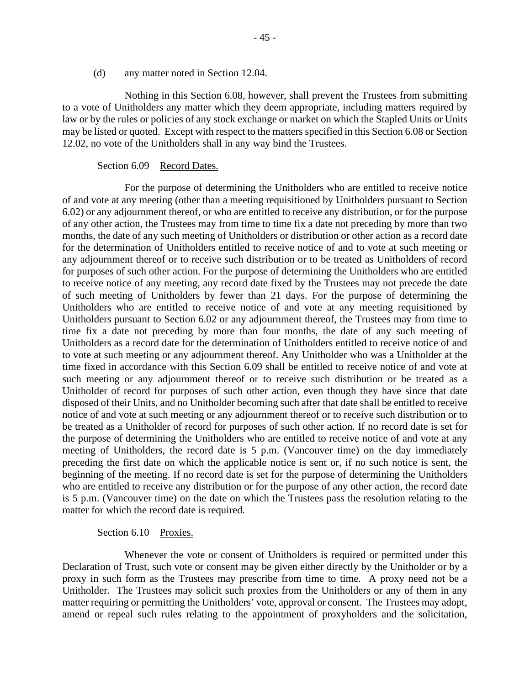(d) any matter noted in Section 12.04.

Nothing in this Section 6.08, however, shall prevent the Trustees from submitting to a vote of Unitholders any matter which they deem appropriate, including matters required by law or by the rules or policies of any stock exchange or market on which the Stapled Units or Units may be listed or quoted. Except with respect to the matters specified in this Section 6.08 or Section 12.02, no vote of the Unitholders shall in any way bind the Trustees.

#### Section 6.09 Record Dates.

For the purpose of determining the Unitholders who are entitled to receive notice of and vote at any meeting (other than a meeting requisitioned by Unitholders pursuant to Section 6.02) or any adjournment thereof, or who are entitled to receive any distribution, or for the purpose of any other action, the Trustees may from time to time fix a date not preceding by more than two months, the date of any such meeting of Unitholders or distribution or other action as a record date for the determination of Unitholders entitled to receive notice of and to vote at such meeting or any adjournment thereof or to receive such distribution or to be treated as Unitholders of record for purposes of such other action. For the purpose of determining the Unitholders who are entitled to receive notice of any meeting, any record date fixed by the Trustees may not precede the date of such meeting of Unitholders by fewer than 21 days. For the purpose of determining the Unitholders who are entitled to receive notice of and vote at any meeting requisitioned by Unitholders pursuant to Section 6.02 or any adjournment thereof, the Trustees may from time to time fix a date not preceding by more than four months, the date of any such meeting of Unitholders as a record date for the determination of Unitholders entitled to receive notice of and to vote at such meeting or any adjournment thereof. Any Unitholder who was a Unitholder at the time fixed in accordance with this Section 6.09 shall be entitled to receive notice of and vote at such meeting or any adjournment thereof or to receive such distribution or be treated as a Unitholder of record for purposes of such other action, even though they have since that date disposed of their Units, and no Unitholder becoming such after that date shall be entitled to receive notice of and vote at such meeting or any adjournment thereof or to receive such distribution or to be treated as a Unitholder of record for purposes of such other action. If no record date is set for the purpose of determining the Unitholders who are entitled to receive notice of and vote at any meeting of Unitholders, the record date is 5 p.m. (Vancouver time) on the day immediately preceding the first date on which the applicable notice is sent or, if no such notice is sent, the beginning of the meeting. If no record date is set for the purpose of determining the Unitholders who are entitled to receive any distribution or for the purpose of any other action, the record date is 5 p.m. (Vancouver time) on the date on which the Trustees pass the resolution relating to the matter for which the record date is required.

#### Section 6.10 Proxies.

Whenever the vote or consent of Unitholders is required or permitted under this Declaration of Trust, such vote or consent may be given either directly by the Unitholder or by a proxy in such form as the Trustees may prescribe from time to time. A proxy need not be a Unitholder. The Trustees may solicit such proxies from the Unitholders or any of them in any matter requiring or permitting the Unitholders' vote, approval or consent. The Trustees may adopt, amend or repeal such rules relating to the appointment of proxyholders and the solicitation,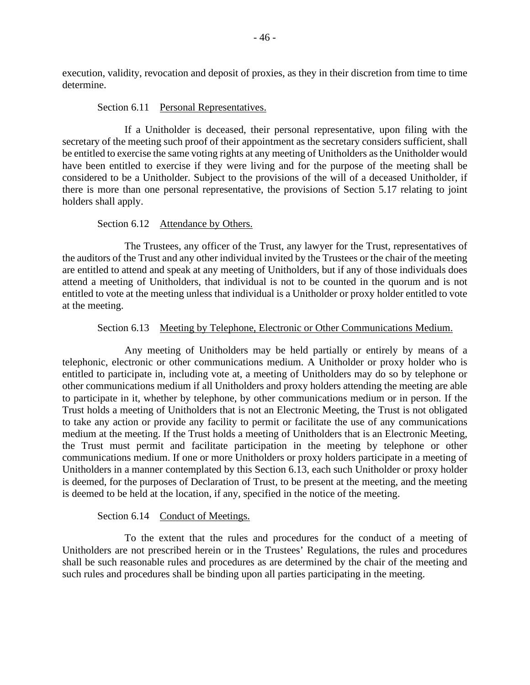execution, validity, revocation and deposit of proxies, as they in their discretion from time to time determine.

### Section 6.11 Personal Representatives.

If a Unitholder is deceased, their personal representative, upon filing with the secretary of the meeting such proof of their appointment as the secretary considers sufficient, shall be entitled to exercise the same voting rights at any meeting of Unitholders as the Unitholder would have been entitled to exercise if they were living and for the purpose of the meeting shall be considered to be a Unitholder. Subject to the provisions of the will of a deceased Unitholder, if there is more than one personal representative, the provisions of Section 5.17 relating to joint holders shall apply.

## Section 6.12 Attendance by Others.

The Trustees, any officer of the Trust, any lawyer for the Trust, representatives of the auditors of the Trust and any other individual invited by the Trustees or the chair of the meeting are entitled to attend and speak at any meeting of Unitholders, but if any of those individuals does attend a meeting of Unitholders, that individual is not to be counted in the quorum and is not entitled to vote at the meeting unless that individual is a Unitholder or proxy holder entitled to vote at the meeting.

## Section 6.13 Meeting by Telephone, Electronic or Other Communications Medium.

Any meeting of Unitholders may be held partially or entirely by means of a telephonic, electronic or other communications medium. A Unitholder or proxy holder who is entitled to participate in, including vote at, a meeting of Unitholders may do so by telephone or other communications medium if all Unitholders and proxy holders attending the meeting are able to participate in it, whether by telephone, by other communications medium or in person. If the Trust holds a meeting of Unitholders that is not an Electronic Meeting, the Trust is not obligated to take any action or provide any facility to permit or facilitate the use of any communications medium at the meeting. If the Trust holds a meeting of Unitholders that is an Electronic Meeting, the Trust must permit and facilitate participation in the meeting by telephone or other communications medium. If one or more Unitholders or proxy holders participate in a meeting of Unitholders in a manner contemplated by this Section 6.13, each such Unitholder or proxy holder is deemed, for the purposes of Declaration of Trust, to be present at the meeting, and the meeting is deemed to be held at the location, if any, specified in the notice of the meeting.

### Section 6.14 Conduct of Meetings.

To the extent that the rules and procedures for the conduct of a meeting of Unitholders are not prescribed herein or in the Trustees' Regulations, the rules and procedures shall be such reasonable rules and procedures as are determined by the chair of the meeting and such rules and procedures shall be binding upon all parties participating in the meeting.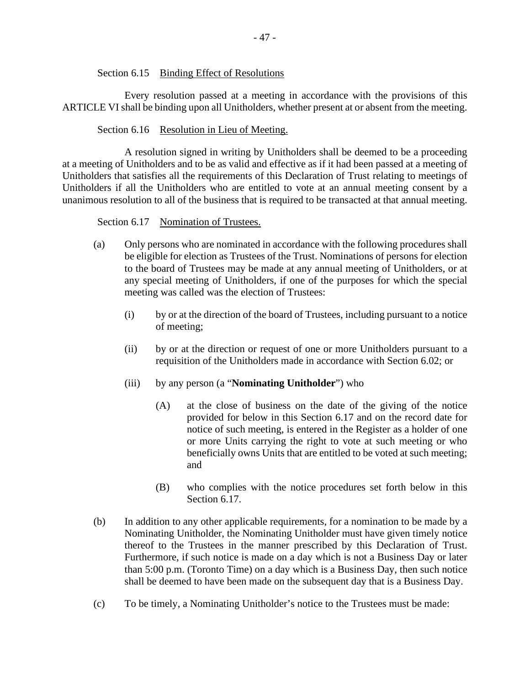Section 6.15 Binding Effect of Resolutions

Every resolution passed at a meeting in accordance with the provisions of this ARTICLE VI shall be binding upon all Unitholders, whether present at or absent from the meeting.

## Section 6.16 Resolution in Lieu of Meeting.

A resolution signed in writing by Unitholders shall be deemed to be a proceeding at a meeting of Unitholders and to be as valid and effective as if it had been passed at a meeting of Unitholders that satisfies all the requirements of this Declaration of Trust relating to meetings of Unitholders if all the Unitholders who are entitled to vote at an annual meeting consent by a unanimous resolution to all of the business that is required to be transacted at that annual meeting.

## Section 6.17 Nomination of Trustees.

- (a) Only persons who are nominated in accordance with the following procedures shall be eligible for election as Trustees of the Trust. Nominations of persons for election to the board of Trustees may be made at any annual meeting of Unitholders, or at any special meeting of Unitholders, if one of the purposes for which the special meeting was called was the election of Trustees:
	- (i) by or at the direction of the board of Trustees, including pursuant to a notice of meeting;
	- (ii) by or at the direction or request of one or more Unitholders pursuant to a requisition of the Unitholders made in accordance with Section 6.02; or
	- (iii) by any person (a "**Nominating Unitholder**") who
		- (A) at the close of business on the date of the giving of the notice provided for below in this Section 6.17 and on the record date for notice of such meeting, is entered in the Register as a holder of one or more Units carrying the right to vote at such meeting or who beneficially owns Units that are entitled to be voted at such meeting; and
		- (B) who complies with the notice procedures set forth below in this Section 6.17.
- (b) In addition to any other applicable requirements, for a nomination to be made by a Nominating Unitholder, the Nominating Unitholder must have given timely notice thereof to the Trustees in the manner prescribed by this Declaration of Trust. Furthermore, if such notice is made on a day which is not a Business Day or later than 5:00 p.m. (Toronto Time) on a day which is a Business Day, then such notice shall be deemed to have been made on the subsequent day that is a Business Day.
- (c) To be timely, a Nominating Unitholder's notice to the Trustees must be made: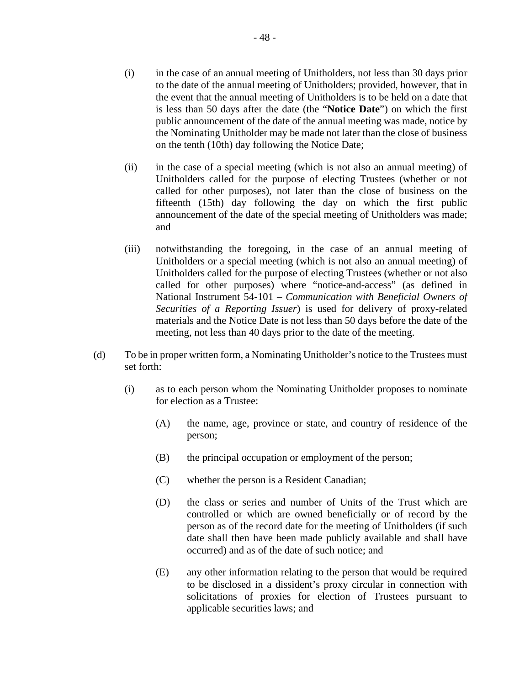- (i) in the case of an annual meeting of Unitholders, not less than 30 days prior to the date of the annual meeting of Unitholders; provided, however, that in the event that the annual meeting of Unitholders is to be held on a date that is less than 50 days after the date (the "**Notice Date**") on which the first public announcement of the date of the annual meeting was made, notice by the Nominating Unitholder may be made not later than the close of business on the tenth (10th) day following the Notice Date;
- (ii) in the case of a special meeting (which is not also an annual meeting) of Unitholders called for the purpose of electing Trustees (whether or not called for other purposes), not later than the close of business on the fifteenth (15th) day following the day on which the first public announcement of the date of the special meeting of Unitholders was made; and
- (iii) notwithstanding the foregoing, in the case of an annual meeting of Unitholders or a special meeting (which is not also an annual meeting) of Unitholders called for the purpose of electing Trustees (whether or not also called for other purposes) where "notice-and-access" (as defined in National Instrument 54-101 – *Communication with Beneficial Owners of Securities of a Reporting Issuer*) is used for delivery of proxy-related materials and the Notice Date is not less than 50 days before the date of the meeting, not less than 40 days prior to the date of the meeting.
- (d) To be in proper written form, a Nominating Unitholder's notice to the Trustees must set forth:
	- (i) as to each person whom the Nominating Unitholder proposes to nominate for election as a Trustee:
		- (A) the name, age, province or state, and country of residence of the person;
		- (B) the principal occupation or employment of the person;
		- (C) whether the person is a Resident Canadian;
		- (D) the class or series and number of Units of the Trust which are controlled or which are owned beneficially or of record by the person as of the record date for the meeting of Unitholders (if such date shall then have been made publicly available and shall have occurred) and as of the date of such notice; and
		- (E) any other information relating to the person that would be required to be disclosed in a dissident's proxy circular in connection with solicitations of proxies for election of Trustees pursuant to applicable securities laws; and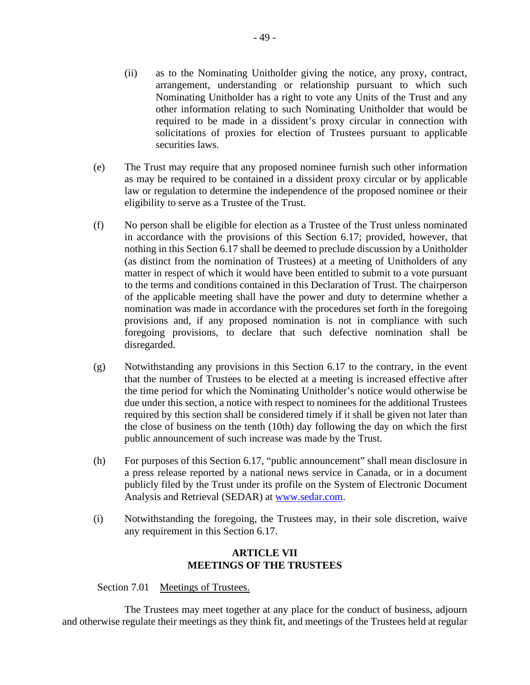- (ii) as to the Nominating Unitholder giving the notice, any proxy, contract, arrangement, understanding or relationship pursuant to which such Nominating Unitholder has a right to vote any Units of the Trust and any other information relating to such Nominating Unitholder that would be required to be made in a dissident's proxy circular in connection with solicitations of proxies for election of Trustees pursuant to applicable securities laws.
- (e) The Trust may require that any proposed nominee furnish such other information as may be required to be contained in a dissident proxy circular or by applicable law or regulation to determine the independence of the proposed nominee or their eligibility to serve as a Trustee of the Trust.
- (f) No person shall be eligible for election as a Trustee of the Trust unless nominated in accordance with the provisions of this Section 6.17; provided, however, that nothing in this Section 6.17 shall be deemed to preclude discussion by a Unitholder (as distinct from the nomination of Trustees) at a meeting of Unitholders of any matter in respect of which it would have been entitled to submit to a vote pursuant to the terms and conditions contained in this Declaration of Trust. The chairperson of the applicable meeting shall have the power and duty to determine whether a nomination was made in accordance with the procedures set forth in the foregoing provisions and, if any proposed nomination is not in compliance with such foregoing provisions, to declare that such defective nomination shall be disregarded.
- (g) Notwithstanding any provisions in this Section 6.17 to the contrary, in the event that the number of Trustees to be elected at a meeting is increased effective after the time period for which the Nominating Unitholder's notice would otherwise be due under this section, a notice with respect to nominees for the additional Trustees required by this section shall be considered timely if it shall be given not later than the close of business on the tenth (10th) day following the day on which the first public announcement of such increase was made by the Trust.
- (h) For purposes of this Section 6.17, "public announcement" shall mean disclosure in a press release reported by a national news service in Canada, or in a document publicly filed by the Trust under its profile on the System of Electronic Document Analysis and Retrieval (SEDAR) at www.sedar.com.
- (i) Notwithstanding the foregoing, the Trustees may, in their sole discretion, waive any requirement in this Section 6.17.

# **ARTICLE VII MEETINGS OF THE TRUSTEES**

Section 7.01 Meetings of Trustees.

The Trustees may meet together at any place for the conduct of business, adjourn and otherwise regulate their meetings as they think fit, and meetings of the Trustees held at regular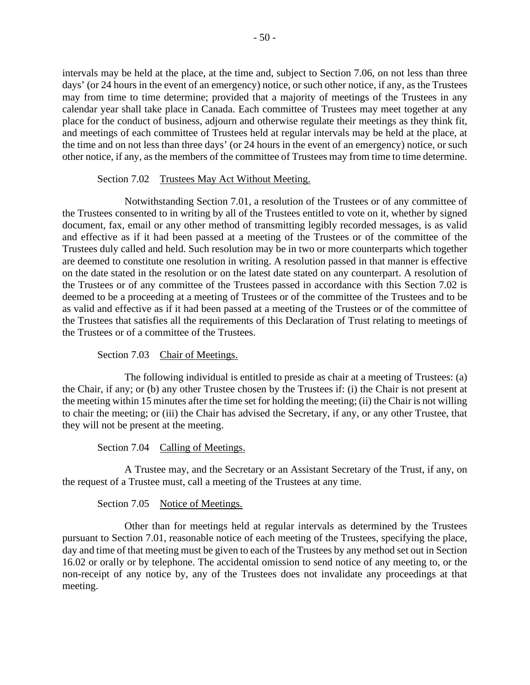intervals may be held at the place, at the time and, subject to Section 7.06, on not less than three days' (or 24 hours in the event of an emergency) notice, or such other notice, if any, as the Trustees may from time to time determine; provided that a majority of meetings of the Trustees in any calendar year shall take place in Canada. Each committee of Trustees may meet together at any place for the conduct of business, adjourn and otherwise regulate their meetings as they think fit, and meetings of each committee of Trustees held at regular intervals may be held at the place, at the time and on not less than three days' (or 24 hours in the event of an emergency) notice, or such other notice, if any, as the members of the committee of Trustees may from time to time determine.

# Section 7.02 Trustees May Act Without Meeting.

Notwithstanding Section 7.01, a resolution of the Trustees or of any committee of the Trustees consented to in writing by all of the Trustees entitled to vote on it, whether by signed document, fax, email or any other method of transmitting legibly recorded messages, is as valid and effective as if it had been passed at a meeting of the Trustees or of the committee of the Trustees duly called and held. Such resolution may be in two or more counterparts which together are deemed to constitute one resolution in writing. A resolution passed in that manner is effective on the date stated in the resolution or on the latest date stated on any counterpart. A resolution of the Trustees or of any committee of the Trustees passed in accordance with this Section 7.02 is deemed to be a proceeding at a meeting of Trustees or of the committee of the Trustees and to be as valid and effective as if it had been passed at a meeting of the Trustees or of the committee of the Trustees that satisfies all the requirements of this Declaration of Trust relating to meetings of the Trustees or of a committee of the Trustees.

Section 7.03 Chair of Meetings.

The following individual is entitled to preside as chair at a meeting of Trustees: (a) the Chair, if any; or (b) any other Trustee chosen by the Trustees if: (i) the Chair is not present at the meeting within 15 minutes after the time set for holding the meeting; (ii) the Chair is not willing to chair the meeting; or (iii) the Chair has advised the Secretary, if any, or any other Trustee, that they will not be present at the meeting.

Section 7.04 Calling of Meetings.

A Trustee may, and the Secretary or an Assistant Secretary of the Trust, if any, on the request of a Trustee must, call a meeting of the Trustees at any time.

# Section 7.05 Notice of Meetings.

Other than for meetings held at regular intervals as determined by the Trustees pursuant to Section 7.01, reasonable notice of each meeting of the Trustees, specifying the place, day and time of that meeting must be given to each of the Trustees by any method set out in Section 16.02 or orally or by telephone. The accidental omission to send notice of any meeting to, or the non-receipt of any notice by, any of the Trustees does not invalidate any proceedings at that meeting.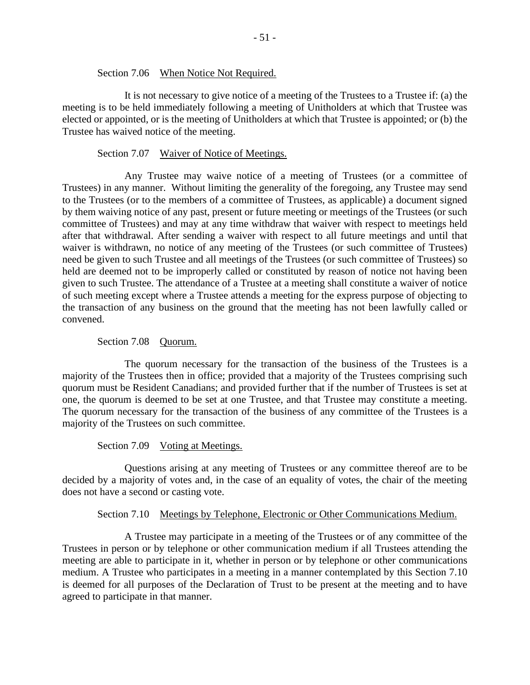Section 7.06 When Notice Not Required.

It is not necessary to give notice of a meeting of the Trustees to a Trustee if: (a) the meeting is to be held immediately following a meeting of Unitholders at which that Trustee was elected or appointed, or is the meeting of Unitholders at which that Trustee is appointed; or (b) the Trustee has waived notice of the meeting.

#### Section 7.07 Waiver of Notice of Meetings.

Any Trustee may waive notice of a meeting of Trustees (or a committee of Trustees) in any manner. Without limiting the generality of the foregoing, any Trustee may send to the Trustees (or to the members of a committee of Trustees, as applicable) a document signed by them waiving notice of any past, present or future meeting or meetings of the Trustees (or such committee of Trustees) and may at any time withdraw that waiver with respect to meetings held after that withdrawal. After sending a waiver with respect to all future meetings and until that waiver is withdrawn, no notice of any meeting of the Trustees (or such committee of Trustees) need be given to such Trustee and all meetings of the Trustees (or such committee of Trustees) so held are deemed not to be improperly called or constituted by reason of notice not having been given to such Trustee. The attendance of a Trustee at a meeting shall constitute a waiver of notice of such meeting except where a Trustee attends a meeting for the express purpose of objecting to the transaction of any business on the ground that the meeting has not been lawfully called or convened.

### Section 7.08 Quorum.

The quorum necessary for the transaction of the business of the Trustees is a majority of the Trustees then in office; provided that a majority of the Trustees comprising such quorum must be Resident Canadians; and provided further that if the number of Trustees is set at one, the quorum is deemed to be set at one Trustee, and that Trustee may constitute a meeting. The quorum necessary for the transaction of the business of any committee of the Trustees is a majority of the Trustees on such committee.

Section 7.09 Voting at Meetings.

Questions arising at any meeting of Trustees or any committee thereof are to be decided by a majority of votes and, in the case of an equality of votes, the chair of the meeting does not have a second or casting vote.

### Section 7.10 Meetings by Telephone, Electronic or Other Communications Medium.

A Trustee may participate in a meeting of the Trustees or of any committee of the Trustees in person or by telephone or other communication medium if all Trustees attending the meeting are able to participate in it, whether in person or by telephone or other communications medium. A Trustee who participates in a meeting in a manner contemplated by this Section 7.10 is deemed for all purposes of the Declaration of Trust to be present at the meeting and to have agreed to participate in that manner.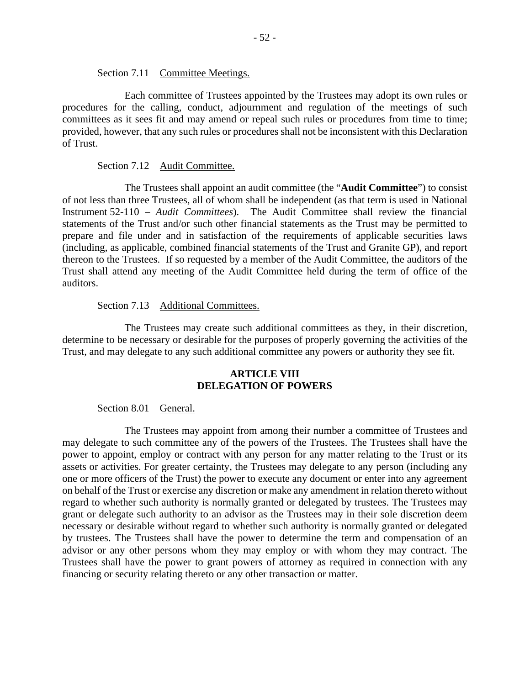Section 7.11 Committee Meetings.

Each committee of Trustees appointed by the Trustees may adopt its own rules or procedures for the calling, conduct, adjournment and regulation of the meetings of such committees as it sees fit and may amend or repeal such rules or procedures from time to time; provided, however, that any such rules or procedures shall not be inconsistent with this Declaration of Trust.

#### Section 7.12 Audit Committee.

The Trustees shall appoint an audit committee (the "**Audit Committee**") to consist of not less than three Trustees, all of whom shall be independent (as that term is used in National Instrument 52-110 – *Audit Committees*). The Audit Committee shall review the financial statements of the Trust and/or such other financial statements as the Trust may be permitted to prepare and file under and in satisfaction of the requirements of applicable securities laws (including, as applicable, combined financial statements of the Trust and Granite GP), and report thereon to the Trustees. If so requested by a member of the Audit Committee, the auditors of the Trust shall attend any meeting of the Audit Committee held during the term of office of the auditors.

#### Section 7.13 Additional Committees.

The Trustees may create such additional committees as they, in their discretion, determine to be necessary or desirable for the purposes of properly governing the activities of the Trust, and may delegate to any such additional committee any powers or authority they see fit.

### **ARTICLE VIII DELEGATION OF POWERS**

### Section 8.01 General.

The Trustees may appoint from among their number a committee of Trustees and may delegate to such committee any of the powers of the Trustees. The Trustees shall have the power to appoint, employ or contract with any person for any matter relating to the Trust or its assets or activities. For greater certainty, the Trustees may delegate to any person (including any one or more officers of the Trust) the power to execute any document or enter into any agreement on behalf of the Trust or exercise any discretion or make any amendment in relation thereto without regard to whether such authority is normally granted or delegated by trustees. The Trustees may grant or delegate such authority to an advisor as the Trustees may in their sole discretion deem necessary or desirable without regard to whether such authority is normally granted or delegated by trustees. The Trustees shall have the power to determine the term and compensation of an advisor or any other persons whom they may employ or with whom they may contract. The Trustees shall have the power to grant powers of attorney as required in connection with any financing or security relating thereto or any other transaction or matter.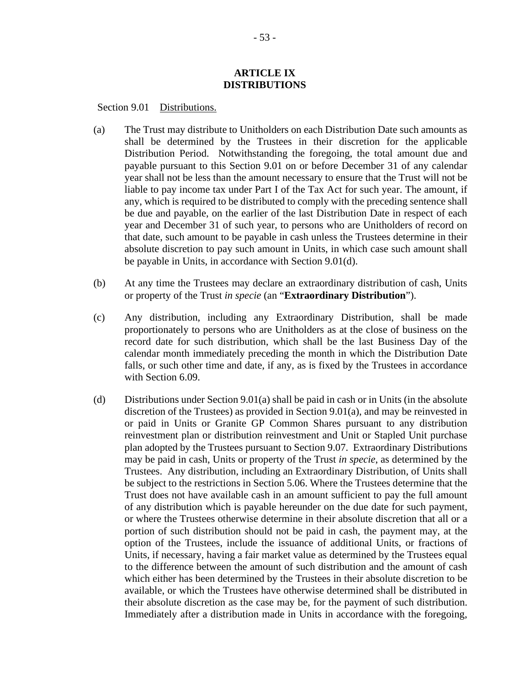## **ARTICLE IX DISTRIBUTIONS**

Section 9.01 Distributions.

- (a) The Trust may distribute to Unitholders on each Distribution Date such amounts as shall be determined by the Trustees in their discretion for the applicable Distribution Period. Notwithstanding the foregoing, the total amount due and payable pursuant to this Section 9.01 on or before December 31 of any calendar year shall not be less than the amount necessary to ensure that the Trust will not be liable to pay income tax under Part I of the Tax Act for such year. The amount, if any, which is required to be distributed to comply with the preceding sentence shall be due and payable, on the earlier of the last Distribution Date in respect of each year and December 31 of such year, to persons who are Unitholders of record on that date, such amount to be payable in cash unless the Trustees determine in their absolute discretion to pay such amount in Units, in which case such amount shall be payable in Units, in accordance with Section 9.01(d).
- (b) At any time the Trustees may declare an extraordinary distribution of cash, Units or property of the Trust *in specie* (an "**Extraordinary Distribution**").
- (c) Any distribution, including any Extraordinary Distribution, shall be made proportionately to persons who are Unitholders as at the close of business on the record date for such distribution, which shall be the last Business Day of the calendar month immediately preceding the month in which the Distribution Date falls, or such other time and date, if any, as is fixed by the Trustees in accordance with Section 6.09.
- (d) Distributions under Section 9.01(a) shall be paid in cash or in Units (in the absolute discretion of the Trustees) as provided in Section 9.01(a), and may be reinvested in or paid in Units or Granite GP Common Shares pursuant to any distribution reinvestment plan or distribution reinvestment and Unit or Stapled Unit purchase plan adopted by the Trustees pursuant to Section 9.07. Extraordinary Distributions may be paid in cash, Units or property of the Trust *in specie*, as determined by the Trustees. Any distribution, including an Extraordinary Distribution, of Units shall be subject to the restrictions in Section 5.06. Where the Trustees determine that the Trust does not have available cash in an amount sufficient to pay the full amount of any distribution which is payable hereunder on the due date for such payment, or where the Trustees otherwise determine in their absolute discretion that all or a portion of such distribution should not be paid in cash, the payment may, at the option of the Trustees, include the issuance of additional Units, or fractions of Units, if necessary, having a fair market value as determined by the Trustees equal to the difference between the amount of such distribution and the amount of cash which either has been determined by the Trustees in their absolute discretion to be available, or which the Trustees have otherwise determined shall be distributed in their absolute discretion as the case may be, for the payment of such distribution. Immediately after a distribution made in Units in accordance with the foregoing,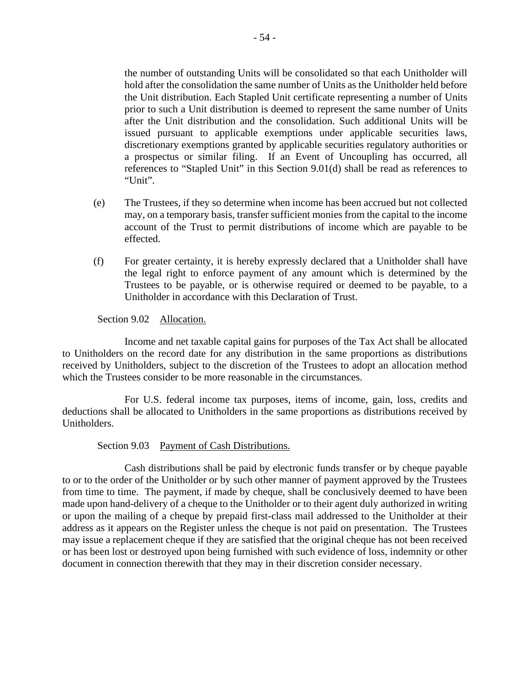the number of outstanding Units will be consolidated so that each Unitholder will hold after the consolidation the same number of Units as the Unitholder held before the Unit distribution. Each Stapled Unit certificate representing a number of Units prior to such a Unit distribution is deemed to represent the same number of Units after the Unit distribution and the consolidation. Such additional Units will be issued pursuant to applicable exemptions under applicable securities laws, discretionary exemptions granted by applicable securities regulatory authorities or a prospectus or similar filing. If an Event of Uncoupling has occurred, all references to "Stapled Unit" in this Section 9.01(d) shall be read as references to "Unit".

- (e) The Trustees, if they so determine when income has been accrued but not collected may, on a temporary basis, transfer sufficient monies from the capital to the income account of the Trust to permit distributions of income which are payable to be effected.
- (f) For greater certainty, it is hereby expressly declared that a Unitholder shall have the legal right to enforce payment of any amount which is determined by the Trustees to be payable, or is otherwise required or deemed to be payable, to a Unitholder in accordance with this Declaration of Trust.

Section 9.02 Allocation.

Income and net taxable capital gains for purposes of the Tax Act shall be allocated to Unitholders on the record date for any distribution in the same proportions as distributions received by Unitholders, subject to the discretion of the Trustees to adopt an allocation method which the Trustees consider to be more reasonable in the circumstances.

For U.S. federal income tax purposes, items of income, gain, loss, credits and deductions shall be allocated to Unitholders in the same proportions as distributions received by Unitholders.

Section 9.03 Payment of Cash Distributions.

Cash distributions shall be paid by electronic funds transfer or by cheque payable to or to the order of the Unitholder or by such other manner of payment approved by the Trustees from time to time. The payment, if made by cheque, shall be conclusively deemed to have been made upon hand-delivery of a cheque to the Unitholder or to their agent duly authorized in writing or upon the mailing of a cheque by prepaid first-class mail addressed to the Unitholder at their address as it appears on the Register unless the cheque is not paid on presentation. The Trustees may issue a replacement cheque if they are satisfied that the original cheque has not been received or has been lost or destroyed upon being furnished with such evidence of loss, indemnity or other document in connection therewith that they may in their discretion consider necessary.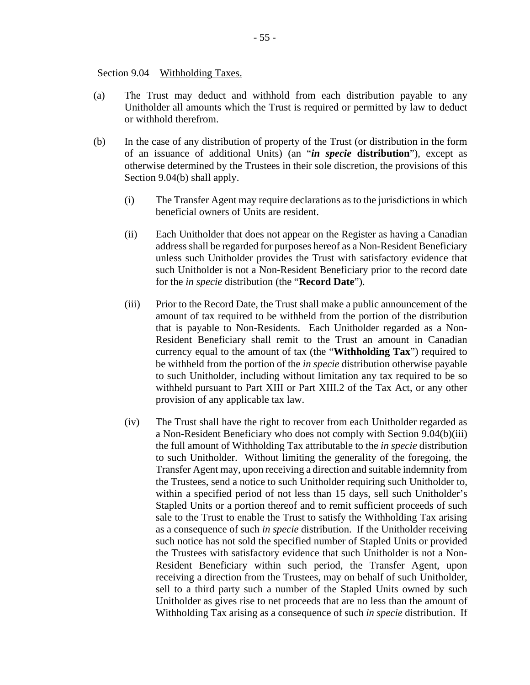Section 9.04 Withholding Taxes.

- (a) The Trust may deduct and withhold from each distribution payable to any Unitholder all amounts which the Trust is required or permitted by law to deduct or withhold therefrom.
- (b) In the case of any distribution of property of the Trust (or distribution in the form of an issuance of additional Units) (an "*in specie* **distribution**"), except as otherwise determined by the Trustees in their sole discretion, the provisions of this Section 9.04(b) shall apply.
	- (i) The Transfer Agent may require declarations as to the jurisdictions in which beneficial owners of Units are resident.
	- (ii) Each Unitholder that does not appear on the Register as having a Canadian address shall be regarded for purposes hereof as a Non-Resident Beneficiary unless such Unitholder provides the Trust with satisfactory evidence that such Unitholder is not a Non-Resident Beneficiary prior to the record date for the *in specie* distribution (the "**Record Date**").
	- (iii) Prior to the Record Date, the Trust shall make a public announcement of the amount of tax required to be withheld from the portion of the distribution that is payable to Non-Residents. Each Unitholder regarded as a Non-Resident Beneficiary shall remit to the Trust an amount in Canadian currency equal to the amount of tax (the "**Withholding Tax**") required to be withheld from the portion of the *in specie* distribution otherwise payable to such Unitholder, including without limitation any tax required to be so withheld pursuant to Part XIII or Part XIII.2 of the Tax Act, or any other provision of any applicable tax law.
	- (iv) The Trust shall have the right to recover from each Unitholder regarded as a Non-Resident Beneficiary who does not comply with Section 9.04(b)(iii) the full amount of Withholding Tax attributable to the *in specie* distribution to such Unitholder. Without limiting the generality of the foregoing, the Transfer Agent may, upon receiving a direction and suitable indemnity from the Trustees, send a notice to such Unitholder requiring such Unitholder to, within a specified period of not less than 15 days, sell such Unitholder's Stapled Units or a portion thereof and to remit sufficient proceeds of such sale to the Trust to enable the Trust to satisfy the Withholding Tax arising as a consequence of such *in specie* distribution. If the Unitholder receiving such notice has not sold the specified number of Stapled Units or provided the Trustees with satisfactory evidence that such Unitholder is not a Non-Resident Beneficiary within such period, the Transfer Agent, upon receiving a direction from the Trustees, may on behalf of such Unitholder, sell to a third party such a number of the Stapled Units owned by such Unitholder as gives rise to net proceeds that are no less than the amount of Withholding Tax arising as a consequence of such *in specie* distribution. If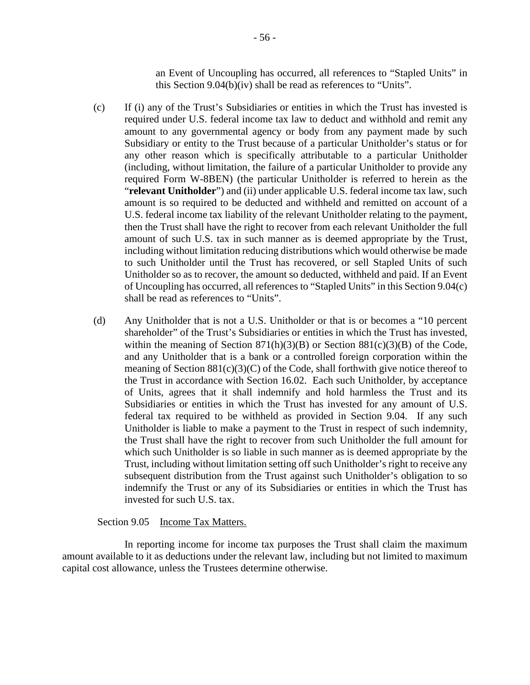an Event of Uncoupling has occurred, all references to "Stapled Units" in this Section 9.04(b)(iv) shall be read as references to "Units".

- (c) If (i) any of the Trust's Subsidiaries or entities in which the Trust has invested is required under U.S. federal income tax law to deduct and withhold and remit any amount to any governmental agency or body from any payment made by such Subsidiary or entity to the Trust because of a particular Unitholder's status or for any other reason which is specifically attributable to a particular Unitholder (including, without limitation, the failure of a particular Unitholder to provide any required Form W-8BEN) (the particular Unitholder is referred to herein as the "**relevant Unitholder**") and (ii) under applicable U.S. federal income tax law, such amount is so required to be deducted and withheld and remitted on account of a U.S. federal income tax liability of the relevant Unitholder relating to the payment, then the Trust shall have the right to recover from each relevant Unitholder the full amount of such U.S. tax in such manner as is deemed appropriate by the Trust, including without limitation reducing distributions which would otherwise be made to such Unitholder until the Trust has recovered, or sell Stapled Units of such Unitholder so as to recover, the amount so deducted, withheld and paid. If an Event of Uncoupling has occurred, all references to "Stapled Units" in this Section 9.04(c) shall be read as references to "Units".
- (d) Any Unitholder that is not a U.S. Unitholder or that is or becomes a "10 percent shareholder" of the Trust's Subsidiaries or entities in which the Trust has invested, within the meaning of Section  $871(h)(3)(B)$  or Section  $881(c)(3)(B)$  of the Code, and any Unitholder that is a bank or a controlled foreign corporation within the meaning of Section  $881(c)(3)(C)$  of the Code, shall forthwith give notice thereof to the Trust in accordance with Section 16.02. Each such Unitholder, by acceptance of Units, agrees that it shall indemnify and hold harmless the Trust and its Subsidiaries or entities in which the Trust has invested for any amount of U.S. federal tax required to be withheld as provided in Section 9.04. If any such Unitholder is liable to make a payment to the Trust in respect of such indemnity, the Trust shall have the right to recover from such Unitholder the full amount for which such Unitholder is so liable in such manner as is deemed appropriate by the Trust, including without limitation setting off such Unitholder's right to receive any subsequent distribution from the Trust against such Unitholder's obligation to so indemnify the Trust or any of its Subsidiaries or entities in which the Trust has invested for such U.S. tax.

## Section 9.05 Income Tax Matters.

In reporting income for income tax purposes the Trust shall claim the maximum amount available to it as deductions under the relevant law, including but not limited to maximum capital cost allowance, unless the Trustees determine otherwise.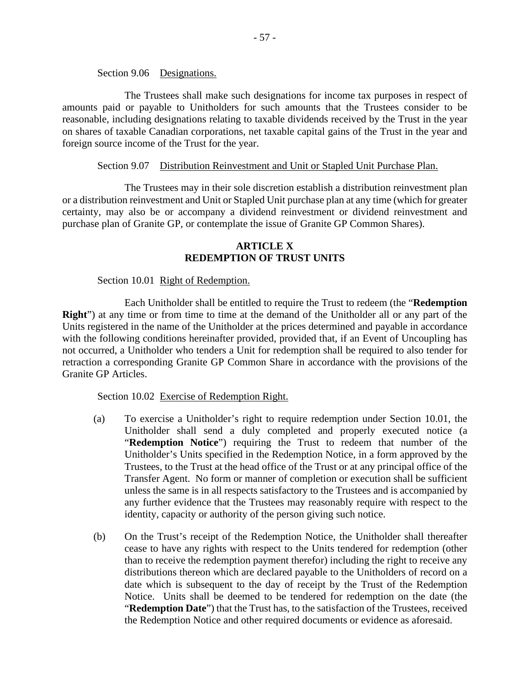Section 9.06 Designations.

The Trustees shall make such designations for income tax purposes in respect of amounts paid or payable to Unitholders for such amounts that the Trustees consider to be reasonable, including designations relating to taxable dividends received by the Trust in the year on shares of taxable Canadian corporations, net taxable capital gains of the Trust in the year and foreign source income of the Trust for the year.

## Section 9.07 Distribution Reinvestment and Unit or Stapled Unit Purchase Plan.

The Trustees may in their sole discretion establish a distribution reinvestment plan or a distribution reinvestment and Unit or Stapled Unit purchase plan at any time (which for greater certainty, may also be or accompany a dividend reinvestment or dividend reinvestment and purchase plan of Granite GP, or contemplate the issue of Granite GP Common Shares).

## **ARTICLE X REDEMPTION OF TRUST UNITS**

## Section 10.01 Right of Redemption.

Each Unitholder shall be entitled to require the Trust to redeem (the "**Redemption Right**") at any time or from time to time at the demand of the Unitholder all or any part of the Units registered in the name of the Unitholder at the prices determined and payable in accordance with the following conditions hereinafter provided, provided that, if an Event of Uncoupling has not occurred, a Unitholder who tenders a Unit for redemption shall be required to also tender for retraction a corresponding Granite GP Common Share in accordance with the provisions of the Granite GP Articles.

Section 10.02 Exercise of Redemption Right.

- (a) To exercise a Unitholder's right to require redemption under Section 10.01, the Unitholder shall send a duly completed and properly executed notice (a "**Redemption Notice**") requiring the Trust to redeem that number of the Unitholder's Units specified in the Redemption Notice, in a form approved by the Trustees, to the Trust at the head office of the Trust or at any principal office of the Transfer Agent. No form or manner of completion or execution shall be sufficient unless the same is in all respects satisfactory to the Trustees and is accompanied by any further evidence that the Trustees may reasonably require with respect to the identity, capacity or authority of the person giving such notice.
- (b) On the Trust's receipt of the Redemption Notice, the Unitholder shall thereafter cease to have any rights with respect to the Units tendered for redemption (other than to receive the redemption payment therefor) including the right to receive any distributions thereon which are declared payable to the Unitholders of record on a date which is subsequent to the day of receipt by the Trust of the Redemption Notice. Units shall be deemed to be tendered for redemption on the date (the "**Redemption Date**") that the Trust has, to the satisfaction of the Trustees, received the Redemption Notice and other required documents or evidence as aforesaid.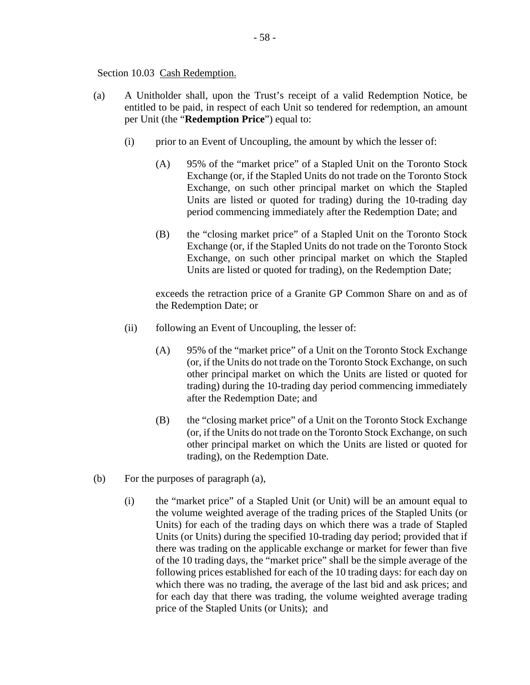### Section 10.03 Cash Redemption.

- (a) A Unitholder shall, upon the Trust's receipt of a valid Redemption Notice, be entitled to be paid, in respect of each Unit so tendered for redemption, an amount per Unit (the "**Redemption Price**") equal to:
	- (i) prior to an Event of Uncoupling, the amount by which the lesser of:
		- (A) 95% of the "market price" of a Stapled Unit on the Toronto Stock Exchange (or, if the Stapled Units do not trade on the Toronto Stock Exchange, on such other principal market on which the Stapled Units are listed or quoted for trading) during the 10-trading day period commencing immediately after the Redemption Date; and
		- (B) the "closing market price" of a Stapled Unit on the Toronto Stock Exchange (or, if the Stapled Units do not trade on the Toronto Stock Exchange, on such other principal market on which the Stapled Units are listed or quoted for trading), on the Redemption Date;

exceeds the retraction price of a Granite GP Common Share on and as of the Redemption Date; or

- (ii) following an Event of Uncoupling, the lesser of:
	- (A) 95% of the "market price" of a Unit on the Toronto Stock Exchange (or, if the Units do not trade on the Toronto Stock Exchange, on such other principal market on which the Units are listed or quoted for trading) during the 10-trading day period commencing immediately after the Redemption Date; and
	- (B) the "closing market price" of a Unit on the Toronto Stock Exchange (or, if the Units do not trade on the Toronto Stock Exchange, on such other principal market on which the Units are listed or quoted for trading), on the Redemption Date.
- (b) For the purposes of paragraph (a),
	- (i) the "market price" of a Stapled Unit (or Unit) will be an amount equal to the volume weighted average of the trading prices of the Stapled Units (or Units) for each of the trading days on which there was a trade of Stapled Units (or Units) during the specified 10-trading day period; provided that if there was trading on the applicable exchange or market for fewer than five of the 10 trading days, the "market price" shall be the simple average of the following prices established for each of the 10 trading days: for each day on which there was no trading, the average of the last bid and ask prices; and for each day that there was trading, the volume weighted average trading price of the Stapled Units (or Units); and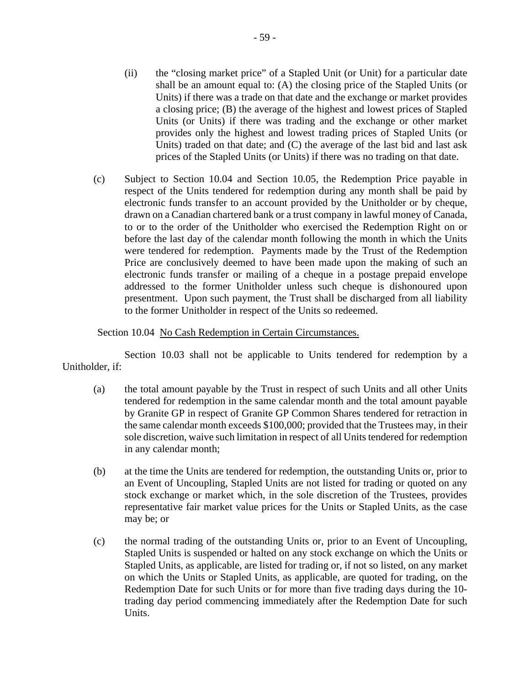- (ii) the "closing market price" of a Stapled Unit (or Unit) for a particular date shall be an amount equal to: (A) the closing price of the Stapled Units (or Units) if there was a trade on that date and the exchange or market provides a closing price; (B) the average of the highest and lowest prices of Stapled Units (or Units) if there was trading and the exchange or other market provides only the highest and lowest trading prices of Stapled Units (or Units) traded on that date; and (C) the average of the last bid and last ask prices of the Stapled Units (or Units) if there was no trading on that date.
- (c) Subject to Section 10.04 and Section 10.05, the Redemption Price payable in respect of the Units tendered for redemption during any month shall be paid by electronic funds transfer to an account provided by the Unitholder or by cheque, drawn on a Canadian chartered bank or a trust company in lawful money of Canada, to or to the order of the Unitholder who exercised the Redemption Right on or before the last day of the calendar month following the month in which the Units were tendered for redemption. Payments made by the Trust of the Redemption Price are conclusively deemed to have been made upon the making of such an electronic funds transfer or mailing of a cheque in a postage prepaid envelope addressed to the former Unitholder unless such cheque is dishonoured upon presentment. Upon such payment, the Trust shall be discharged from all liability to the former Unitholder in respect of the Units so redeemed.

## Section 10.04 No Cash Redemption in Certain Circumstances.

Section 10.03 shall not be applicable to Units tendered for redemption by a Unitholder, if:

- (a) the total amount payable by the Trust in respect of such Units and all other Units tendered for redemption in the same calendar month and the total amount payable by Granite GP in respect of Granite GP Common Shares tendered for retraction in the same calendar month exceeds \$100,000; provided that the Trustees may, in their sole discretion, waive such limitation in respect of all Units tendered for redemption in any calendar month;
- (b) at the time the Units are tendered for redemption, the outstanding Units or, prior to an Event of Uncoupling, Stapled Units are not listed for trading or quoted on any stock exchange or market which, in the sole discretion of the Trustees, provides representative fair market value prices for the Units or Stapled Units, as the case may be; or
- (c) the normal trading of the outstanding Units or, prior to an Event of Uncoupling, Stapled Units is suspended or halted on any stock exchange on which the Units or Stapled Units, as applicable, are listed for trading or, if not so listed, on any market on which the Units or Stapled Units, as applicable, are quoted for trading, on the Redemption Date for such Units or for more than five trading days during the 10 trading day period commencing immediately after the Redemption Date for such Units.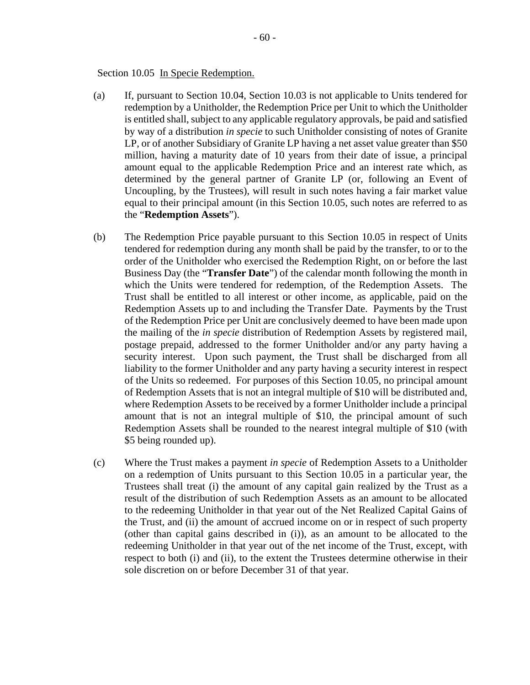Section 10.05 In Specie Redemption.

- (a) If, pursuant to Section 10.04, Section 10.03 is not applicable to Units tendered for redemption by a Unitholder, the Redemption Price per Unit to which the Unitholder is entitled shall, subject to any applicable regulatory approvals, be paid and satisfied by way of a distribution *in specie* to such Unitholder consisting of notes of Granite LP, or of another Subsidiary of Granite LP having a net asset value greater than \$50 million, having a maturity date of 10 years from their date of issue, a principal amount equal to the applicable Redemption Price and an interest rate which, as determined by the general partner of Granite LP (or, following an Event of Uncoupling, by the Trustees), will result in such notes having a fair market value equal to their principal amount (in this Section 10.05, such notes are referred to as the "**Redemption Assets**").
- (b) The Redemption Price payable pursuant to this Section 10.05 in respect of Units tendered for redemption during any month shall be paid by the transfer, to or to the order of the Unitholder who exercised the Redemption Right, on or before the last Business Day (the "**Transfer Date**") of the calendar month following the month in which the Units were tendered for redemption, of the Redemption Assets. The Trust shall be entitled to all interest or other income, as applicable, paid on the Redemption Assets up to and including the Transfer Date. Payments by the Trust of the Redemption Price per Unit are conclusively deemed to have been made upon the mailing of the *in specie* distribution of Redemption Assets by registered mail, postage prepaid, addressed to the former Unitholder and/or any party having a security interest. Upon such payment, the Trust shall be discharged from all liability to the former Unitholder and any party having a security interest in respect of the Units so redeemed. For purposes of this Section 10.05, no principal amount of Redemption Assets that is not an integral multiple of \$10 will be distributed and, where Redemption Assets to be received by a former Unitholder include a principal amount that is not an integral multiple of \$10, the principal amount of such Redemption Assets shall be rounded to the nearest integral multiple of \$10 (with \$5 being rounded up).
- (c) Where the Trust makes a payment *in specie* of Redemption Assets to a Unitholder on a redemption of Units pursuant to this Section 10.05 in a particular year, the Trustees shall treat (i) the amount of any capital gain realized by the Trust as a result of the distribution of such Redemption Assets as an amount to be allocated to the redeeming Unitholder in that year out of the Net Realized Capital Gains of the Trust, and (ii) the amount of accrued income on or in respect of such property (other than capital gains described in (i)), as an amount to be allocated to the redeeming Unitholder in that year out of the net income of the Trust, except, with respect to both (i) and (ii), to the extent the Trustees determine otherwise in their sole discretion on or before December 31 of that year.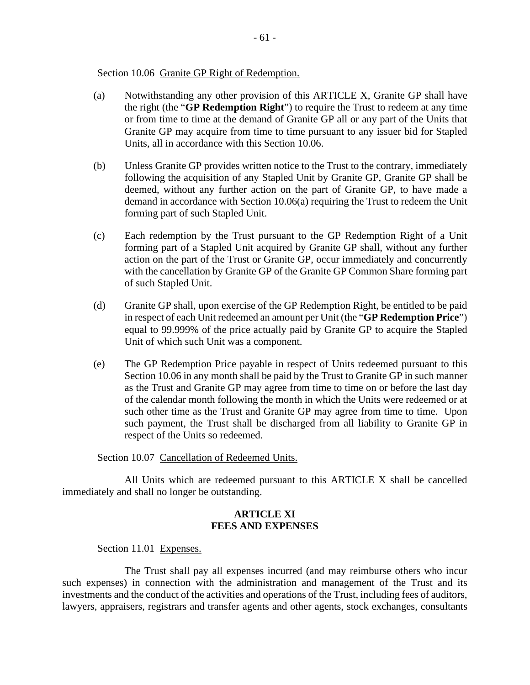Section 10.06 Granite GP Right of Redemption.

- (a) Notwithstanding any other provision of this ARTICLE X, Granite GP shall have the right (the "**GP Redemption Right**") to require the Trust to redeem at any time or from time to time at the demand of Granite GP all or any part of the Units that Granite GP may acquire from time to time pursuant to any issuer bid for Stapled Units, all in accordance with this Section 10.06.
- (b) Unless Granite GP provides written notice to the Trust to the contrary, immediately following the acquisition of any Stapled Unit by Granite GP, Granite GP shall be deemed, without any further action on the part of Granite GP, to have made a demand in accordance with Section 10.06(a) requiring the Trust to redeem the Unit forming part of such Stapled Unit.
- (c) Each redemption by the Trust pursuant to the GP Redemption Right of a Unit forming part of a Stapled Unit acquired by Granite GP shall, without any further action on the part of the Trust or Granite GP, occur immediately and concurrently with the cancellation by Granite GP of the Granite GP Common Share forming part of such Stapled Unit.
- (d) Granite GP shall, upon exercise of the GP Redemption Right, be entitled to be paid in respect of each Unit redeemed an amount per Unit (the "**GP Redemption Price**") equal to 99.999% of the price actually paid by Granite GP to acquire the Stapled Unit of which such Unit was a component.
- (e) The GP Redemption Price payable in respect of Units redeemed pursuant to this Section 10.06 in any month shall be paid by the Trust to Granite GP in such manner as the Trust and Granite GP may agree from time to time on or before the last day of the calendar month following the month in which the Units were redeemed or at such other time as the Trust and Granite GP may agree from time to time. Upon such payment, the Trust shall be discharged from all liability to Granite GP in respect of the Units so redeemed.

### Section 10.07 Cancellation of Redeemed Units.

All Units which are redeemed pursuant to this ARTICLE X shall be cancelled immediately and shall no longer be outstanding.

# **ARTICLE XI FEES AND EXPENSES**

### Section 11.01 Expenses.

The Trust shall pay all expenses incurred (and may reimburse others who incur such expenses) in connection with the administration and management of the Trust and its investments and the conduct of the activities and operations of the Trust, including fees of auditors, lawyers, appraisers, registrars and transfer agents and other agents, stock exchanges, consultants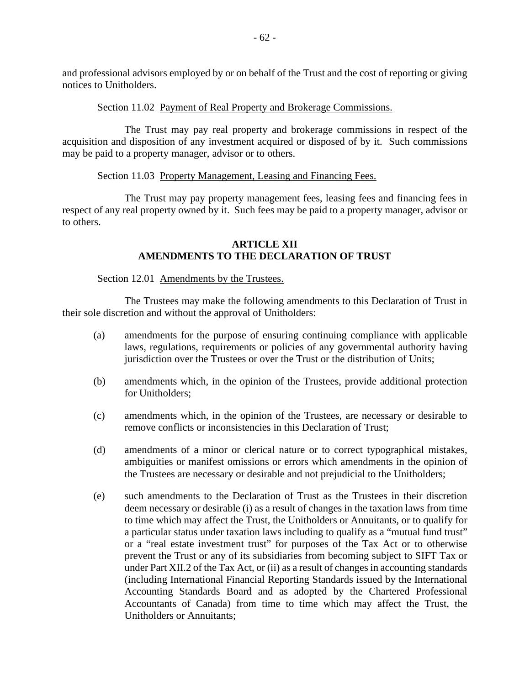and professional advisors employed by or on behalf of the Trust and the cost of reporting or giving notices to Unitholders.

## Section 11.02 Payment of Real Property and Brokerage Commissions.

The Trust may pay real property and brokerage commissions in respect of the acquisition and disposition of any investment acquired or disposed of by it. Such commissions may be paid to a property manager, advisor or to others.

# Section 11.03 Property Management, Leasing and Financing Fees.

The Trust may pay property management fees, leasing fees and financing fees in respect of any real property owned by it. Such fees may be paid to a property manager, advisor or to others.

## **ARTICLE XII AMENDMENTS TO THE DECLARATION OF TRUST**

## Section 12.01 Amendments by the Trustees.

The Trustees may make the following amendments to this Declaration of Trust in their sole discretion and without the approval of Unitholders:

- (a) amendments for the purpose of ensuring continuing compliance with applicable laws, regulations, requirements or policies of any governmental authority having jurisdiction over the Trustees or over the Trust or the distribution of Units;
- (b) amendments which, in the opinion of the Trustees, provide additional protection for Unitholders;
- (c) amendments which, in the opinion of the Trustees, are necessary or desirable to remove conflicts or inconsistencies in this Declaration of Trust;
- (d) amendments of a minor or clerical nature or to correct typographical mistakes, ambiguities or manifest omissions or errors which amendments in the opinion of the Trustees are necessary or desirable and not prejudicial to the Unitholders;
- (e) such amendments to the Declaration of Trust as the Trustees in their discretion deem necessary or desirable (i) as a result of changes in the taxation laws from time to time which may affect the Trust, the Unitholders or Annuitants, or to qualify for a particular status under taxation laws including to qualify as a "mutual fund trust" or a "real estate investment trust" for purposes of the Tax Act or to otherwise prevent the Trust or any of its subsidiaries from becoming subject to SIFT Tax or under Part XII.2 of the Tax Act, or (ii) as a result of changes in accounting standards (including International Financial Reporting Standards issued by the International Accounting Standards Board and as adopted by the Chartered Professional Accountants of Canada) from time to time which may affect the Trust, the Unitholders or Annuitants;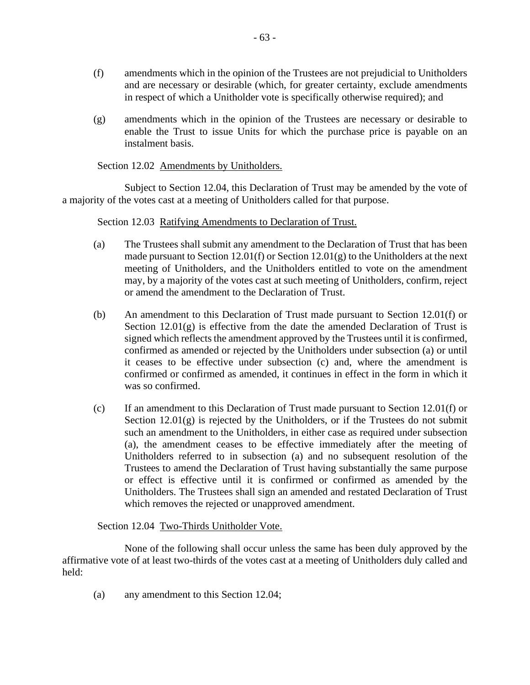- (f) amendments which in the opinion of the Trustees are not prejudicial to Unitholders and are necessary or desirable (which, for greater certainty, exclude amendments in respect of which a Unitholder vote is specifically otherwise required); and
- (g) amendments which in the opinion of the Trustees are necessary or desirable to enable the Trust to issue Units for which the purchase price is payable on an instalment basis.

## Section 12.02 Amendments by Unitholders.

Subject to Section 12.04, this Declaration of Trust may be amended by the vote of a majority of the votes cast at a meeting of Unitholders called for that purpose.

Section 12.03 Ratifying Amendments to Declaration of Trust.

- (a) The Trustees shall submit any amendment to the Declaration of Trust that has been made pursuant to Section 12.01(f) or Section 12.01(g) to the Unitholders at the next meeting of Unitholders, and the Unitholders entitled to vote on the amendment may, by a majority of the votes cast at such meeting of Unitholders, confirm, reject or amend the amendment to the Declaration of Trust.
- (b) An amendment to this Declaration of Trust made pursuant to Section 12.01(f) or Section  $12.01(g)$  is effective from the date the amended Declaration of Trust is signed which reflects the amendment approved by the Trustees until it is confirmed, confirmed as amended or rejected by the Unitholders under subsection (a) or until it ceases to be effective under subsection (c) and, where the amendment is confirmed or confirmed as amended, it continues in effect in the form in which it was so confirmed.
- (c) If an amendment to this Declaration of Trust made pursuant to Section 12.01(f) or Section  $12.01(g)$  is rejected by the Unitholders, or if the Trustees do not submit such an amendment to the Unitholders, in either case as required under subsection (a), the amendment ceases to be effective immediately after the meeting of Unitholders referred to in subsection (a) and no subsequent resolution of the Trustees to amend the Declaration of Trust having substantially the same purpose or effect is effective until it is confirmed or confirmed as amended by the Unitholders. The Trustees shall sign an amended and restated Declaration of Trust which removes the rejected or unapproved amendment.

Section 12.04 Two-Thirds Unitholder Vote.

None of the following shall occur unless the same has been duly approved by the affirmative vote of at least two-thirds of the votes cast at a meeting of Unitholders duly called and held:

(a) any amendment to this Section 12.04;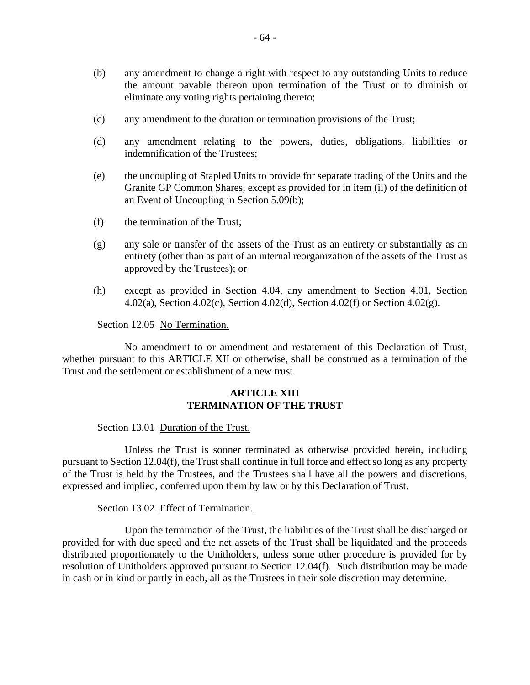- (b) any amendment to change a right with respect to any outstanding Units to reduce the amount payable thereon upon termination of the Trust or to diminish or eliminate any voting rights pertaining thereto;
- (c) any amendment to the duration or termination provisions of the Trust;
- (d) any amendment relating to the powers, duties, obligations, liabilities or indemnification of the Trustees;
- (e) the uncoupling of Stapled Units to provide for separate trading of the Units and the Granite GP Common Shares, except as provided for in item (ii) of the definition of an Event of Uncoupling in Section 5.09(b);
- (f) the termination of the Trust;
- (g) any sale or transfer of the assets of the Trust as an entirety or substantially as an entirety (other than as part of an internal reorganization of the assets of the Trust as approved by the Trustees); or
- (h) except as provided in Section 4.04, any amendment to Section 4.01, Section 4.02(a), Section 4.02(c), Section 4.02(d), Section 4.02(f) or Section 4.02(g).

Section 12.05 No Termination.

No amendment to or amendment and restatement of this Declaration of Trust, whether pursuant to this ARTICLE XII or otherwise, shall be construed as a termination of the Trust and the settlement or establishment of a new trust.

# **ARTICLE XIII TERMINATION OF THE TRUST**

Section 13.01 Duration of the Trust.

Unless the Trust is sooner terminated as otherwise provided herein, including pursuant to Section 12.04(f), the Trust shall continue in full force and effect so long as any property of the Trust is held by the Trustees, and the Trustees shall have all the powers and discretions, expressed and implied, conferred upon them by law or by this Declaration of Trust.

Section 13.02 Effect of Termination.

Upon the termination of the Trust, the liabilities of the Trust shall be discharged or provided for with due speed and the net assets of the Trust shall be liquidated and the proceeds distributed proportionately to the Unitholders, unless some other procedure is provided for by resolution of Unitholders approved pursuant to Section 12.04(f). Such distribution may be made in cash or in kind or partly in each, all as the Trustees in their sole discretion may determine.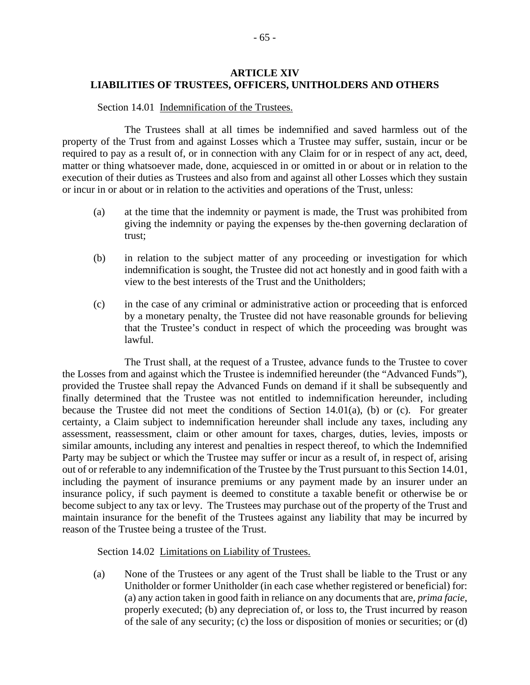# **ARTICLE XIV LIABILITIES OF TRUSTEES, OFFICERS, UNITHOLDERS AND OTHERS**

#### Section 14.01 Indemnification of the Trustees.

The Trustees shall at all times be indemnified and saved harmless out of the property of the Trust from and against Losses which a Trustee may suffer, sustain, incur or be required to pay as a result of, or in connection with any Claim for or in respect of any act, deed, matter or thing whatsoever made, done, acquiesced in or omitted in or about or in relation to the execution of their duties as Trustees and also from and against all other Losses which they sustain or incur in or about or in relation to the activities and operations of the Trust, unless:

- (a) at the time that the indemnity or payment is made, the Trust was prohibited from giving the indemnity or paying the expenses by the-then governing declaration of trust;
- (b) in relation to the subject matter of any proceeding or investigation for which indemnification is sought, the Trustee did not act honestly and in good faith with a view to the best interests of the Trust and the Unitholders;
- (c) in the case of any criminal or administrative action or proceeding that is enforced by a monetary penalty, the Trustee did not have reasonable grounds for believing that the Trustee's conduct in respect of which the proceeding was brought was lawful.

The Trust shall, at the request of a Trustee, advance funds to the Trustee to cover the Losses from and against which the Trustee is indemnified hereunder (the "Advanced Funds"), provided the Trustee shall repay the Advanced Funds on demand if it shall be subsequently and finally determined that the Trustee was not entitled to indemnification hereunder, including because the Trustee did not meet the conditions of Section 14.01(a), (b) or (c). For greater certainty, a Claim subject to indemnification hereunder shall include any taxes, including any assessment, reassessment, claim or other amount for taxes, charges, duties, levies, imposts or similar amounts, including any interest and penalties in respect thereof, to which the Indemnified Party may be subject or which the Trustee may suffer or incur as a result of, in respect of, arising out of or referable to any indemnification of the Trustee by the Trust pursuant to this Section 14.01, including the payment of insurance premiums or any payment made by an insurer under an insurance policy, if such payment is deemed to constitute a taxable benefit or otherwise be or become subject to any tax or levy. The Trustees may purchase out of the property of the Trust and maintain insurance for the benefit of the Trustees against any liability that may be incurred by reason of the Trustee being a trustee of the Trust.

Section 14.02 Limitations on Liability of Trustees.

(a) None of the Trustees or any agent of the Trust shall be liable to the Trust or any Unitholder or former Unitholder (in each case whether registered or beneficial) for: (a) any action taken in good faith in reliance on any documents that are, *prima facie*, properly executed; (b) any depreciation of, or loss to, the Trust incurred by reason of the sale of any security; (c) the loss or disposition of monies or securities; or (d)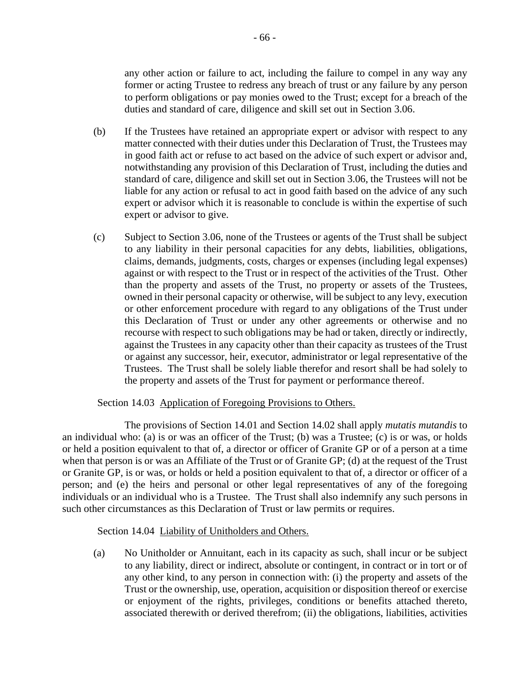any other action or failure to act, including the failure to compel in any way any former or acting Trustee to redress any breach of trust or any failure by any person to perform obligations or pay monies owed to the Trust; except for a breach of the duties and standard of care, diligence and skill set out in Section 3.06.

- (b) If the Trustees have retained an appropriate expert or advisor with respect to any matter connected with their duties under this Declaration of Trust, the Trustees may in good faith act or refuse to act based on the advice of such expert or advisor and, notwithstanding any provision of this Declaration of Trust, including the duties and standard of care, diligence and skill set out in Section 3.06, the Trustees will not be liable for any action or refusal to act in good faith based on the advice of any such expert or advisor which it is reasonable to conclude is within the expertise of such expert or advisor to give.
- (c) Subject to Section 3.06, none of the Trustees or agents of the Trust shall be subject to any liability in their personal capacities for any debts, liabilities, obligations, claims, demands, judgments, costs, charges or expenses (including legal expenses) against or with respect to the Trust or in respect of the activities of the Trust. Other than the property and assets of the Trust, no property or assets of the Trustees, owned in their personal capacity or otherwise, will be subject to any levy, execution or other enforcement procedure with regard to any obligations of the Trust under this Declaration of Trust or under any other agreements or otherwise and no recourse with respect to such obligations may be had or taken, directly or indirectly, against the Trustees in any capacity other than their capacity as trustees of the Trust or against any successor, heir, executor, administrator or legal representative of the Trustees. The Trust shall be solely liable therefor and resort shall be had solely to the property and assets of the Trust for payment or performance thereof.

### Section 14.03 Application of Foregoing Provisions to Others.

The provisions of Section 14.01 and Section 14.02 shall apply *mutatis mutandis* to an individual who: (a) is or was an officer of the Trust; (b) was a Trustee; (c) is or was, or holds or held a position equivalent to that of, a director or officer of Granite GP or of a person at a time when that person is or was an Affiliate of the Trust or of Granite GP; (d) at the request of the Trust or Granite GP, is or was, or holds or held a position equivalent to that of, a director or officer of a person; and (e) the heirs and personal or other legal representatives of any of the foregoing individuals or an individual who is a Trustee. The Trust shall also indemnify any such persons in such other circumstances as this Declaration of Trust or law permits or requires.

### Section 14.04 Liability of Unitholders and Others.

(a) No Unitholder or Annuitant, each in its capacity as such, shall incur or be subject to any liability, direct or indirect, absolute or contingent, in contract or in tort or of any other kind, to any person in connection with: (i) the property and assets of the Trust or the ownership, use, operation, acquisition or disposition thereof or exercise or enjoyment of the rights, privileges, conditions or benefits attached thereto, associated therewith or derived therefrom; (ii) the obligations, liabilities, activities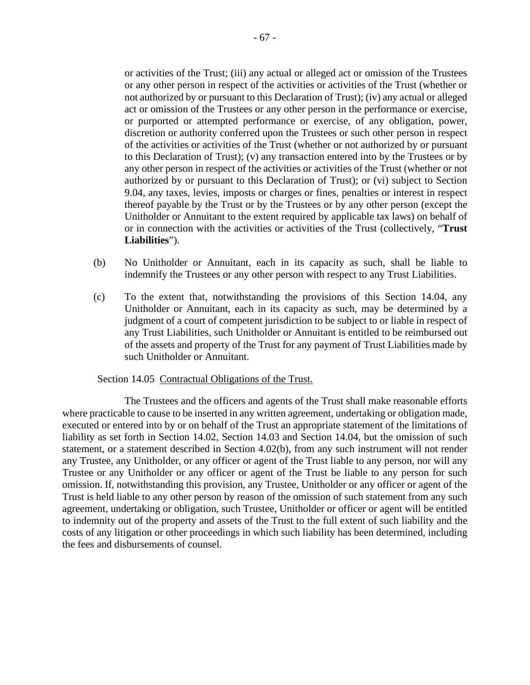or activities of the Trust; (iii) any actual or alleged act or omission of the Trustees or any other person in respect of the activities or activities of the Trust (whether or not authorized by or pursuant to this Declaration of Trust); (iv) any actual or alleged act or omission of the Trustees or any other person in the performance or exercise, or purported or attempted performance or exercise, of any obligation, power, discretion or authority conferred upon the Trustees or such other person in respect of the activities or activities of the Trust (whether or not authorized by or pursuant to this Declaration of Trust); (v) any transaction entered into by the Trustees or by any other person in respect of the activities or activities of the Trust (whether or not authorized by or pursuant to this Declaration of Trust); or (vi) subject to Section 9.04, any taxes, levies, imposts or charges or fines, penalties or interest in respect thereof payable by the Trust or by the Trustees or by any other person (except the Unitholder or Annuitant to the extent required by applicable tax laws) on behalf of or in connection with the activities or activities of the Trust (collectively, "**Trust Liabilities**").

- (b) No Unitholder or Annuitant, each in its capacity as such, shall be liable to indemnify the Trustees or any other person with respect to any Trust Liabilities.
- (c) To the extent that, notwithstanding the provisions of this Section 14.04, any Unitholder or Annuitant, each in its capacity as such, may be determined by a judgment of a court of competent jurisdiction to be subject to or liable in respect of any Trust Liabilities, such Unitholder or Annuitant is entitled to be reimbursed out of the assets and property of the Trust for any payment of Trust Liabilities made by such Unitholder or Annuitant.

#### Section 14.05 Contractual Obligations of the Trust.

The Trustees and the officers and agents of the Trust shall make reasonable efforts where practicable to cause to be inserted in any written agreement, undertaking or obligation made, executed or entered into by or on behalf of the Trust an appropriate statement of the limitations of liability as set forth in Section 14.02, Section 14.03 and Section 14.04, but the omission of such statement, or a statement described in Section 4.02(b), from any such instrument will not render any Trustee, any Unitholder, or any officer or agent of the Trust liable to any person, nor will any Trustee or any Unitholder or any officer or agent of the Trust be liable to any person for such omission. If, notwithstanding this provision, any Trustee, Unitholder or any officer or agent of the Trust is held liable to any other person by reason of the omission of such statement from any such agreement, undertaking or obligation, such Trustee, Unitholder or officer or agent will be entitled to indemnity out of the property and assets of the Trust to the full extent of such liability and the costs of any litigation or other proceedings in which such liability has been determined, including the fees and disbursements of counsel.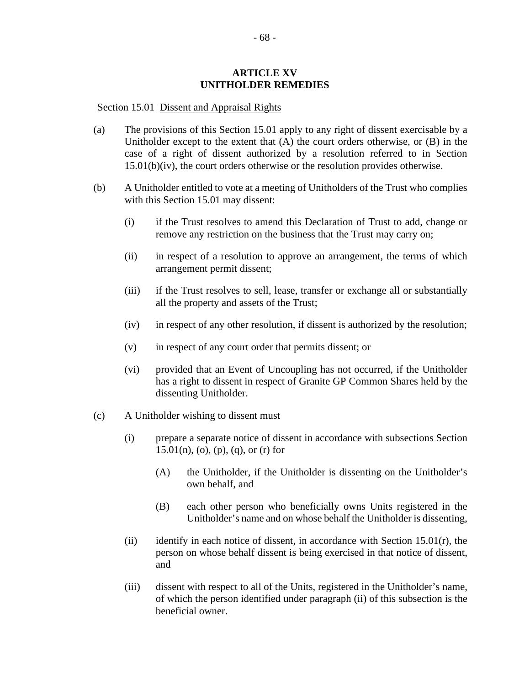#### **ARTICLE XV UNITHOLDER REMEDIES**

#### Section 15.01 Dissent and Appraisal Rights

- (a) The provisions of this Section 15.01 apply to any right of dissent exercisable by a Unitholder except to the extent that (A) the court orders otherwise, or (B) in the case of a right of dissent authorized by a resolution referred to in Section 15.01(b)(iv), the court orders otherwise or the resolution provides otherwise.
- (b) A Unitholder entitled to vote at a meeting of Unitholders of the Trust who complies with this Section 15.01 may dissent:
	- (i) if the Trust resolves to amend this Declaration of Trust to add, change or remove any restriction on the business that the Trust may carry on;
	- (ii) in respect of a resolution to approve an arrangement, the terms of which arrangement permit dissent;
	- (iii) if the Trust resolves to sell, lease, transfer or exchange all or substantially all the property and assets of the Trust;
	- (iv) in respect of any other resolution, if dissent is authorized by the resolution;
	- (v) in respect of any court order that permits dissent; or
	- (vi) provided that an Event of Uncoupling has not occurred, if the Unitholder has a right to dissent in respect of Granite GP Common Shares held by the dissenting Unitholder.
- (c) A Unitholder wishing to dissent must
	- (i) prepare a separate notice of dissent in accordance with subsections Section 15.01(n), (o), (p), (q), or (r) for
		- (A) the Unitholder, if the Unitholder is dissenting on the Unitholder's own behalf, and
		- (B) each other person who beneficially owns Units registered in the Unitholder's name and on whose behalf the Unitholder is dissenting,
	- (ii) identify in each notice of dissent, in accordance with Section 15.01 $(r)$ , the person on whose behalf dissent is being exercised in that notice of dissent, and
	- (iii) dissent with respect to all of the Units, registered in the Unitholder's name, of which the person identified under paragraph (ii) of this subsection is the beneficial owner.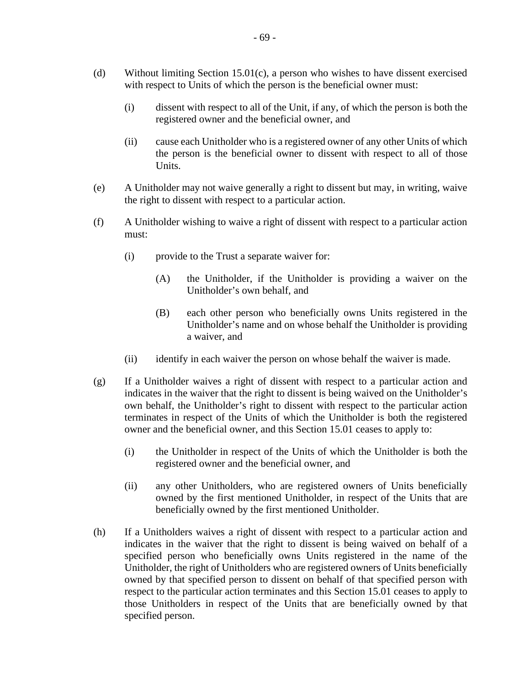- (d) Without limiting Section 15.01(c), a person who wishes to have dissent exercised with respect to Units of which the person is the beneficial owner must:
	- (i) dissent with respect to all of the Unit, if any, of which the person is both the registered owner and the beneficial owner, and
	- (ii) cause each Unitholder who is a registered owner of any other Units of which the person is the beneficial owner to dissent with respect to all of those Units.
- (e) A Unitholder may not waive generally a right to dissent but may, in writing, waive the right to dissent with respect to a particular action.
- (f) A Unitholder wishing to waive a right of dissent with respect to a particular action must:
	- (i) provide to the Trust a separate waiver for:
		- (A) the Unitholder, if the Unitholder is providing a waiver on the Unitholder's own behalf, and
		- (B) each other person who beneficially owns Units registered in the Unitholder's name and on whose behalf the Unitholder is providing a waiver, and
	- (ii) identify in each waiver the person on whose behalf the waiver is made.
- (g) If a Unitholder waives a right of dissent with respect to a particular action and indicates in the waiver that the right to dissent is being waived on the Unitholder's own behalf, the Unitholder's right to dissent with respect to the particular action terminates in respect of the Units of which the Unitholder is both the registered owner and the beneficial owner, and this Section 15.01 ceases to apply to:
	- (i) the Unitholder in respect of the Units of which the Unitholder is both the registered owner and the beneficial owner, and
	- (ii) any other Unitholders, who are registered owners of Units beneficially owned by the first mentioned Unitholder, in respect of the Units that are beneficially owned by the first mentioned Unitholder.
- (h) If a Unitholders waives a right of dissent with respect to a particular action and indicates in the waiver that the right to dissent is being waived on behalf of a specified person who beneficially owns Units registered in the name of the Unitholder, the right of Unitholders who are registered owners of Units beneficially owned by that specified person to dissent on behalf of that specified person with respect to the particular action terminates and this Section 15.01 ceases to apply to those Unitholders in respect of the Units that are beneficially owned by that specified person.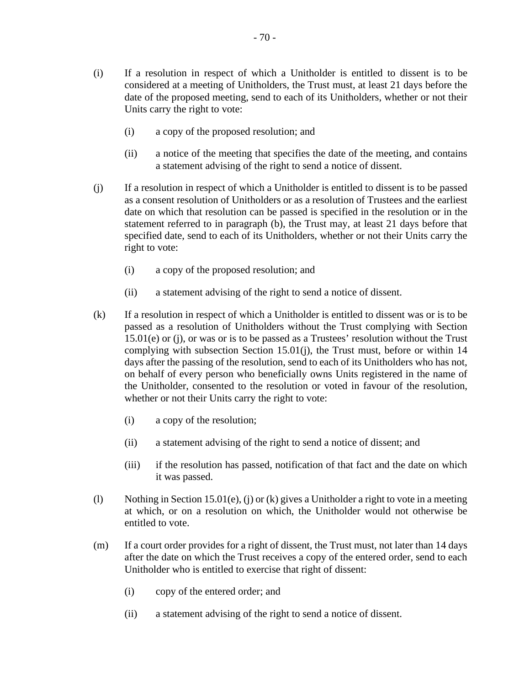- (i) If a resolution in respect of which a Unitholder is entitled to dissent is to be considered at a meeting of Unitholders, the Trust must, at least 21 days before the date of the proposed meeting, send to each of its Unitholders, whether or not their Units carry the right to vote:
	- (i) a copy of the proposed resolution; and
	- (ii) a notice of the meeting that specifies the date of the meeting, and contains a statement advising of the right to send a notice of dissent.
- (j) If a resolution in respect of which a Unitholder is entitled to dissent is to be passed as a consent resolution of Unitholders or as a resolution of Trustees and the earliest date on which that resolution can be passed is specified in the resolution or in the statement referred to in paragraph (b), the Trust may, at least 21 days before that specified date, send to each of its Unitholders, whether or not their Units carry the right to vote:
	- (i) a copy of the proposed resolution; and
	- (ii) a statement advising of the right to send a notice of dissent.
- (k) If a resolution in respect of which a Unitholder is entitled to dissent was or is to be passed as a resolution of Unitholders without the Trust complying with Section 15.01(e) or (j), or was or is to be passed as a Trustees' resolution without the Trust complying with subsection Section 15.01(j), the Trust must, before or within 14 days after the passing of the resolution, send to each of its Unitholders who has not, on behalf of every person who beneficially owns Units registered in the name of the Unitholder, consented to the resolution or voted in favour of the resolution, whether or not their Units carry the right to vote:
	- (i) a copy of the resolution;
	- (ii) a statement advising of the right to send a notice of dissent; and
	- (iii) if the resolution has passed, notification of that fact and the date on which it was passed.
- (l) Nothing in Section 15.01(e), (j) or (k) gives a Unitholder a right to vote in a meeting at which, or on a resolution on which, the Unitholder would not otherwise be entitled to vote.
- (m) If a court order provides for a right of dissent, the Trust must, not later than 14 days after the date on which the Trust receives a copy of the entered order, send to each Unitholder who is entitled to exercise that right of dissent:
	- (i) copy of the entered order; and
	- (ii) a statement advising of the right to send a notice of dissent.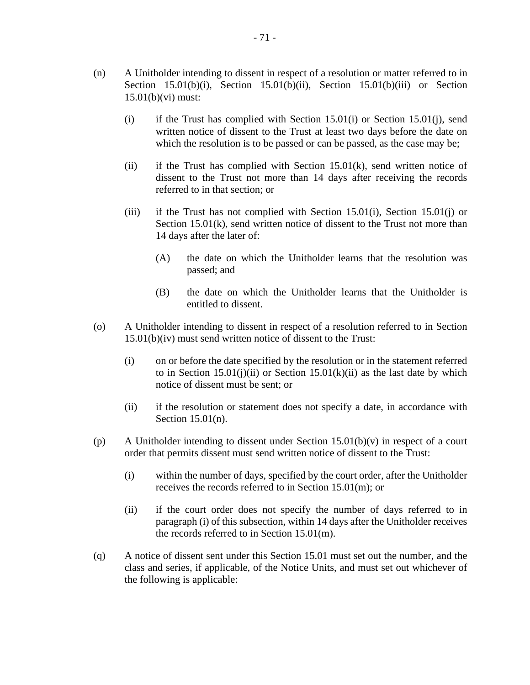- (n) A Unitholder intending to dissent in respect of a resolution or matter referred to in Section 15.01(b)(i), Section 15.01(b)(ii), Section 15.01(b)(iii) or Section 15.01(b)(vi) must:
	- (i) if the Trust has complied with Section  $15.01(i)$  or Section  $15.01(i)$ , send written notice of dissent to the Trust at least two days before the date on which the resolution is to be passed or can be passed, as the case may be;
	- (ii) if the Trust has complied with Section  $15.01(k)$ , send written notice of dissent to the Trust not more than 14 days after receiving the records referred to in that section; or
	- (iii) if the Trust has not complied with Section 15.01(i), Section 15.01(j) or Section 15.01(k), send written notice of dissent to the Trust not more than 14 days after the later of:
		- (A) the date on which the Unitholder learns that the resolution was passed; and
		- (B) the date on which the Unitholder learns that the Unitholder is entitled to dissent.
- (o) A Unitholder intending to dissent in respect of a resolution referred to in Section 15.01(b)(iv) must send written notice of dissent to the Trust:
	- (i) on or before the date specified by the resolution or in the statement referred to in Section  $15.01(i)(ii)$  or Section  $15.01(k)(ii)$  as the last date by which notice of dissent must be sent; or
	- (ii) if the resolution or statement does not specify a date, in accordance with Section 15.01(n).
- (p) A Unitholder intending to dissent under Section 15.01(b)(v) in respect of a court order that permits dissent must send written notice of dissent to the Trust:
	- (i) within the number of days, specified by the court order, after the Unitholder receives the records referred to in Section 15.01(m); or
	- (ii) if the court order does not specify the number of days referred to in paragraph (i) of this subsection, within 14 days after the Unitholder receives the records referred to in Section 15.01(m).
- (q) A notice of dissent sent under this Section 15.01 must set out the number, and the class and series, if applicable, of the Notice Units, and must set out whichever of the following is applicable: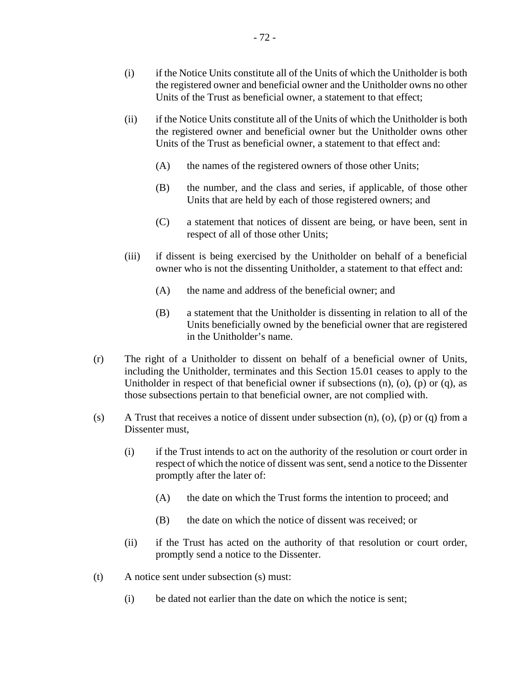- (i) if the Notice Units constitute all of the Units of which the Unitholder is both the registered owner and beneficial owner and the Unitholder owns no other Units of the Trust as beneficial owner, a statement to that effect;
- (ii) if the Notice Units constitute all of the Units of which the Unitholder is both the registered owner and beneficial owner but the Unitholder owns other Units of the Trust as beneficial owner, a statement to that effect and:
	- (A) the names of the registered owners of those other Units;
	- (B) the number, and the class and series, if applicable, of those other Units that are held by each of those registered owners; and
	- (C) a statement that notices of dissent are being, or have been, sent in respect of all of those other Units;
- (iii) if dissent is being exercised by the Unitholder on behalf of a beneficial owner who is not the dissenting Unitholder, a statement to that effect and:
	- (A) the name and address of the beneficial owner; and
	- (B) a statement that the Unitholder is dissenting in relation to all of the Units beneficially owned by the beneficial owner that are registered in the Unitholder's name.
- (r) The right of a Unitholder to dissent on behalf of a beneficial owner of Units, including the Unitholder, terminates and this Section 15.01 ceases to apply to the Unitholder in respect of that beneficial owner if subsections  $(n)$ ,  $(o)$ ,  $(p)$  or  $(q)$ , as those subsections pertain to that beneficial owner, are not complied with.
- (s) A Trust that receives a notice of dissent under subsection  $(n)$ ,  $(o)$ ,  $(p)$  or  $(q)$  from a Dissenter must,
	- (i) if the Trust intends to act on the authority of the resolution or court order in respect of which the notice of dissent was sent, send a notice to the Dissenter promptly after the later of:
		- (A) the date on which the Trust forms the intention to proceed; and
		- (B) the date on which the notice of dissent was received; or
	- (ii) if the Trust has acted on the authority of that resolution or court order, promptly send a notice to the Dissenter.
- (t) A notice sent under subsection (s) must:
	- (i) be dated not earlier than the date on which the notice is sent;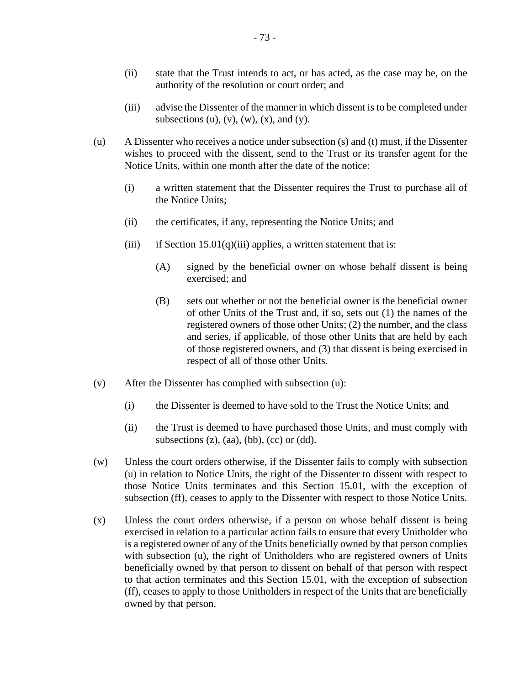- (ii) state that the Trust intends to act, or has acted, as the case may be, on the authority of the resolution or court order; and
- (iii) advise the Dissenter of the manner in which dissent is to be completed under subsections (u), (v), (w), (x), and (y).
- (u) A Dissenter who receives a notice under subsection (s) and (t) must, if the Dissenter wishes to proceed with the dissent, send to the Trust or its transfer agent for the Notice Units, within one month after the date of the notice:
	- (i) a written statement that the Dissenter requires the Trust to purchase all of the Notice Units;
	- (ii) the certificates, if any, representing the Notice Units; and
	- (iii) if Section  $15.01(q)$ (iii) applies, a written statement that is:
		- (A) signed by the beneficial owner on whose behalf dissent is being exercised; and
		- (B) sets out whether or not the beneficial owner is the beneficial owner of other Units of the Trust and, if so, sets out (1) the names of the registered owners of those other Units; (2) the number, and the class and series, if applicable, of those other Units that are held by each of those registered owners, and (3) that dissent is being exercised in respect of all of those other Units.
- (v) After the Dissenter has complied with subsection (u):
	- (i) the Dissenter is deemed to have sold to the Trust the Notice Units; and
	- (ii) the Trust is deemed to have purchased those Units, and must comply with subsections  $(z)$ ,  $(aa)$ ,  $(bb)$ ,  $(cc)$  or  $(dd)$ .
- (w) Unless the court orders otherwise, if the Dissenter fails to comply with subsection (u) in relation to Notice Units, the right of the Dissenter to dissent with respect to those Notice Units terminates and this Section 15.01, with the exception of subsection (ff), ceases to apply to the Dissenter with respect to those Notice Units.
- (x) Unless the court orders otherwise, if a person on whose behalf dissent is being exercised in relation to a particular action fails to ensure that every Unitholder who is a registered owner of any of the Units beneficially owned by that person complies with subsection (u), the right of Unitholders who are registered owners of Units beneficially owned by that person to dissent on behalf of that person with respect to that action terminates and this Section 15.01, with the exception of subsection (ff), ceases to apply to those Unitholders in respect of the Units that are beneficially owned by that person.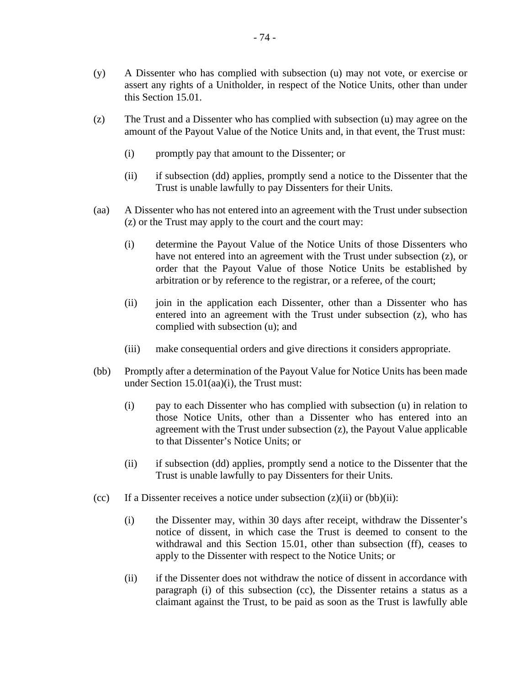- (z) The Trust and a Dissenter who has complied with subsection (u) may agree on the amount of the Payout Value of the Notice Units and, in that event, the Trust must:
	- (i) promptly pay that amount to the Dissenter; or
	- (ii) if subsection (dd) applies, promptly send a notice to the Dissenter that the Trust is unable lawfully to pay Dissenters for their Units.
- (aa) A Dissenter who has not entered into an agreement with the Trust under subsection (z) or the Trust may apply to the court and the court may:
	- (i) determine the Payout Value of the Notice Units of those Dissenters who have not entered into an agreement with the Trust under subsection (z), or order that the Payout Value of those Notice Units be established by arbitration or by reference to the registrar, or a referee, of the court;
	- (ii) join in the application each Dissenter, other than a Dissenter who has entered into an agreement with the Trust under subsection (z), who has complied with subsection (u); and
	- (iii) make consequential orders and give directions it considers appropriate.
- (bb) Promptly after a determination of the Payout Value for Notice Units has been made under Section 15.01(aa)(i), the Trust must:
	- (i) pay to each Dissenter who has complied with subsection (u) in relation to those Notice Units, other than a Dissenter who has entered into an agreement with the Trust under subsection (z), the Payout Value applicable to that Dissenter's Notice Units; or
	- (ii) if subsection (dd) applies, promptly send a notice to the Dissenter that the Trust is unable lawfully to pay Dissenters for their Units.
- (cc) If a Dissenter receives a notice under subsection  $(z)(ii)$  or  $(bb)(ii)$ :
	- (i) the Dissenter may, within 30 days after receipt, withdraw the Dissenter's notice of dissent, in which case the Trust is deemed to consent to the withdrawal and this Section 15.01, other than subsection (ff), ceases to apply to the Dissenter with respect to the Notice Units; or
	- (ii) if the Dissenter does not withdraw the notice of dissent in accordance with paragraph (i) of this subsection (cc), the Dissenter retains a status as a claimant against the Trust, to be paid as soon as the Trust is lawfully able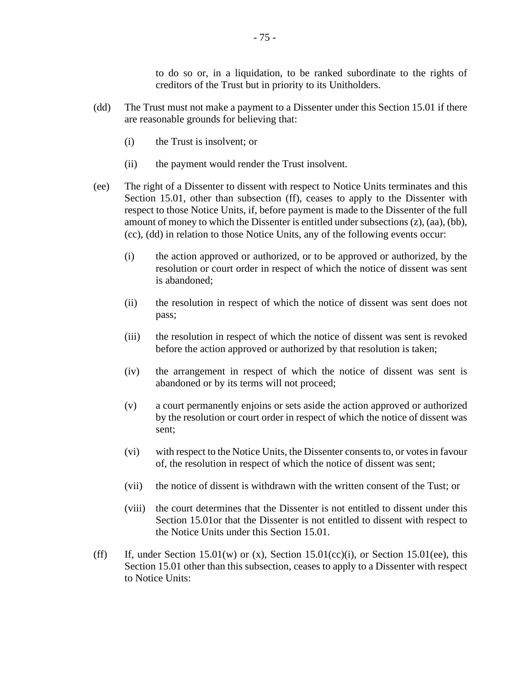to do so or, in a liquidation, to be ranked subordinate to the rights of creditors of the Trust but in priority to its Unitholders.

- (dd) The Trust must not make a payment to a Dissenter under this Section 15.01 if there are reasonable grounds for believing that:
	- (i) the Trust is insolvent; or
	- (ii) the payment would render the Trust insolvent.
- (ee) The right of a Dissenter to dissent with respect to Notice Units terminates and this Section 15.01, other than subsection (ff), ceases to apply to the Dissenter with respect to those Notice Units, if, before payment is made to the Dissenter of the full amount of money to which the Dissenter is entitled under subsections (z), (aa), (bb), (cc), (dd) in relation to those Notice Units, any of the following events occur:
	- (i) the action approved or authorized, or to be approved or authorized, by the resolution or court order in respect of which the notice of dissent was sent is abandoned;
	- (ii) the resolution in respect of which the notice of dissent was sent does not pass;
	- (iii) the resolution in respect of which the notice of dissent was sent is revoked before the action approved or authorized by that resolution is taken;
	- (iv) the arrangement in respect of which the notice of dissent was sent is abandoned or by its terms will not proceed;
	- (v) a court permanently enjoins or sets aside the action approved or authorized by the resolution or court order in respect of which the notice of dissent was sent;
	- (vi) with respect to the Notice Units, the Dissenter consents to, or votes in favour of, the resolution in respect of which the notice of dissent was sent;
	- (vii) the notice of dissent is withdrawn with the written consent of the Tust; or
	- (viii) the court determines that the Dissenter is not entitled to dissent under this Section 15.01or that the Dissenter is not entitled to dissent with respect to the Notice Units under this Section 15.01.
- (ff) If, under Section 15.01(w) or (x), Section 15.01(cc)(i), or Section 15.01(ee), this Section 15.01 other than this subsection, ceases to apply to a Dissenter with respect to Notice Units: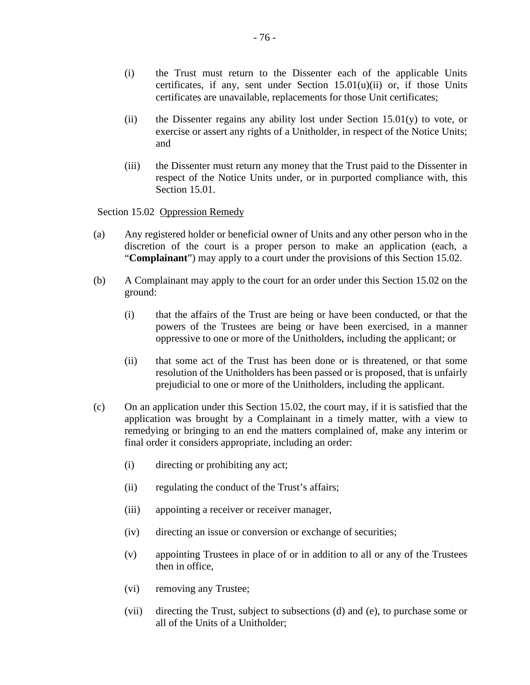- (i) the Trust must return to the Dissenter each of the applicable Units certificates, if any, sent under Section 15.01(u)(ii) or, if those Units certificates are unavailable, replacements for those Unit certificates;
- (ii) the Dissenter regains any ability lost under Section  $15.01(y)$  to vote, or exercise or assert any rights of a Unitholder, in respect of the Notice Units; and
- (iii) the Dissenter must return any money that the Trust paid to the Dissenter in respect of the Notice Units under, or in purported compliance with, this Section 15.01.

Section 15.02 Oppression Remedy

- (a) Any registered holder or beneficial owner of Units and any other person who in the discretion of the court is a proper person to make an application (each, a "**Complainant**") may apply to a court under the provisions of this Section 15.02.
- (b) A Complainant may apply to the court for an order under this Section 15.02 on the ground:
	- (i) that the affairs of the Trust are being or have been conducted, or that the powers of the Trustees are being or have been exercised, in a manner oppressive to one or more of the Unitholders, including the applicant; or
	- (ii) that some act of the Trust has been done or is threatened, or that some resolution of the Unitholders has been passed or is proposed, that is unfairly prejudicial to one or more of the Unitholders, including the applicant.
- (c) On an application under this Section 15.02, the court may, if it is satisfied that the application was brought by a Complainant in a timely matter, with a view to remedying or bringing to an end the matters complained of, make any interim or final order it considers appropriate, including an order:
	- (i) directing or prohibiting any act;
	- (ii) regulating the conduct of the Trust's affairs;
	- (iii) appointing a receiver or receiver manager,
	- (iv) directing an issue or conversion or exchange of securities;
	- (v) appointing Trustees in place of or in addition to all or any of the Trustees then in office,
	- (vi) removing any Trustee;
	- (vii) directing the Trust, subject to subsections (d) and (e), to purchase some or all of the Units of a Unitholder;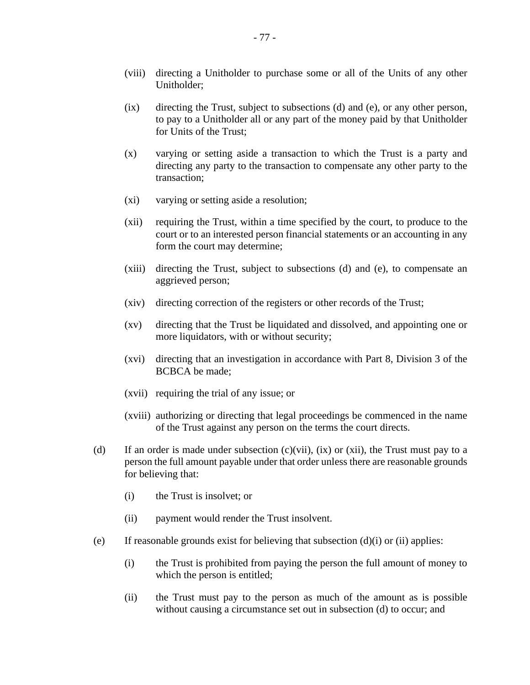- (viii) directing a Unitholder to purchase some or all of the Units of any other Unitholder;
- (ix) directing the Trust, subject to subsections (d) and (e), or any other person, to pay to a Unitholder all or any part of the money paid by that Unitholder for Units of the Trust;
- (x) varying or setting aside a transaction to which the Trust is a party and directing any party to the transaction to compensate any other party to the transaction;
- (xi) varying or setting aside a resolution;
- (xii) requiring the Trust, within a time specified by the court, to produce to the court or to an interested person financial statements or an accounting in any form the court may determine;
- (xiii) directing the Trust, subject to subsections (d) and (e), to compensate an aggrieved person;
- (xiv) directing correction of the registers or other records of the Trust;
- (xv) directing that the Trust be liquidated and dissolved, and appointing one or more liquidators, with or without security;
- (xvi) directing that an investigation in accordance with Part 8, Division 3 of the BCBCA be made;
- (xvii) requiring the trial of any issue; or
- (xviii) authorizing or directing that legal proceedings be commenced in the name of the Trust against any person on the terms the court directs.
- (d) If an order is made under subsection  $(c)(vii)$ ,  $(ix)$  or  $(xii)$ , the Trust must pay to a person the full amount payable under that order unless there are reasonable grounds for believing that:
	- (i) the Trust is insolvet; or
	- (ii) payment would render the Trust insolvent.
- (e) If reasonable grounds exist for believing that subsection  $(d)(i)$  or  $(ii)$  applies:
	- (i) the Trust is prohibited from paying the person the full amount of money to which the person is entitled;
	- (ii) the Trust must pay to the person as much of the amount as is possible without causing a circumstance set out in subsection (d) to occur; and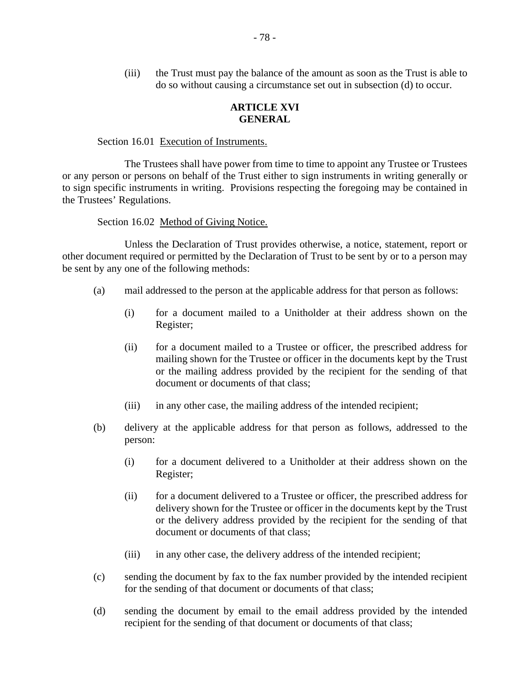(iii) the Trust must pay the balance of the amount as soon as the Trust is able to do so without causing a circumstance set out in subsection (d) to occur.

## **ARTICLE XVI GENERAL**

#### Section 16.01 Execution of Instruments.

The Trustees shall have power from time to time to appoint any Trustee or Trustees or any person or persons on behalf of the Trust either to sign instruments in writing generally or to sign specific instruments in writing. Provisions respecting the foregoing may be contained in the Trustees' Regulations.

#### Section 16.02 Method of Giving Notice.

Unless the Declaration of Trust provides otherwise, a notice, statement, report or other document required or permitted by the Declaration of Trust to be sent by or to a person may be sent by any one of the following methods:

- (a) mail addressed to the person at the applicable address for that person as follows:
	- (i) for a document mailed to a Unitholder at their address shown on the Register;
	- (ii) for a document mailed to a Trustee or officer, the prescribed address for mailing shown for the Trustee or officer in the documents kept by the Trust or the mailing address provided by the recipient for the sending of that document or documents of that class;
	- (iii) in any other case, the mailing address of the intended recipient;
- (b) delivery at the applicable address for that person as follows, addressed to the person:
	- (i) for a document delivered to a Unitholder at their address shown on the Register;
	- (ii) for a document delivered to a Trustee or officer, the prescribed address for delivery shown for the Trustee or officer in the documents kept by the Trust or the delivery address provided by the recipient for the sending of that document or documents of that class;
	- (iii) in any other case, the delivery address of the intended recipient;
- (c) sending the document by fax to the fax number provided by the intended recipient for the sending of that document or documents of that class;
- (d) sending the document by email to the email address provided by the intended recipient for the sending of that document or documents of that class;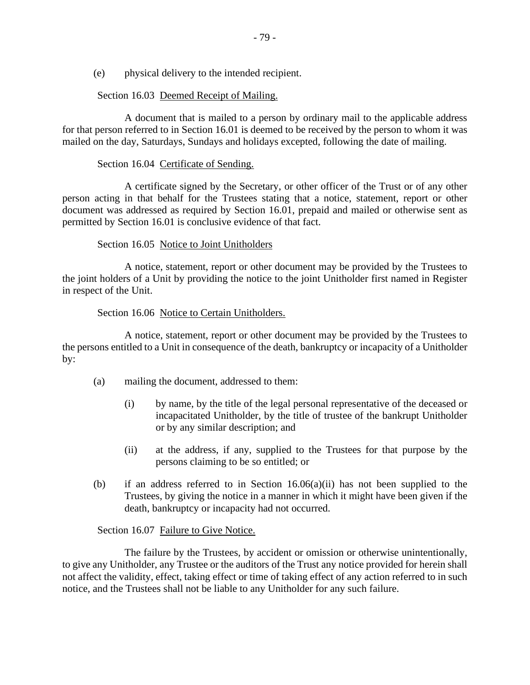(e) physical delivery to the intended recipient.

## Section 16.03 Deemed Receipt of Mailing.

A document that is mailed to a person by ordinary mail to the applicable address for that person referred to in Section 16.01 is deemed to be received by the person to whom it was mailed on the day, Saturdays, Sundays and holidays excepted, following the date of mailing.

## Section 16.04 Certificate of Sending.

A certificate signed by the Secretary, or other officer of the Trust or of any other person acting in that behalf for the Trustees stating that a notice, statement, report or other document was addressed as required by Section 16.01, prepaid and mailed or otherwise sent as permitted by Section 16.01 is conclusive evidence of that fact.

## Section 16.05 Notice to Joint Unitholders

A notice, statement, report or other document may be provided by the Trustees to the joint holders of a Unit by providing the notice to the joint Unitholder first named in Register in respect of the Unit.

### Section 16.06 Notice to Certain Unitholders.

A notice, statement, report or other document may be provided by the Trustees to the persons entitled to a Unit in consequence of the death, bankruptcy or incapacity of a Unitholder by:

- (a) mailing the document, addressed to them:
	- (i) by name, by the title of the legal personal representative of the deceased or incapacitated Unitholder, by the title of trustee of the bankrupt Unitholder or by any similar description; and
	- (ii) at the address, if any, supplied to the Trustees for that purpose by the persons claiming to be so entitled; or
- (b) if an address referred to in Section 16.06(a)(ii) has not been supplied to the Trustees, by giving the notice in a manner in which it might have been given if the death, bankruptcy or incapacity had not occurred.

# Section 16.07 Failure to Give Notice.

The failure by the Trustees, by accident or omission or otherwise unintentionally, to give any Unitholder, any Trustee or the auditors of the Trust any notice provided for herein shall not affect the validity, effect, taking effect or time of taking effect of any action referred to in such notice, and the Trustees shall not be liable to any Unitholder for any such failure.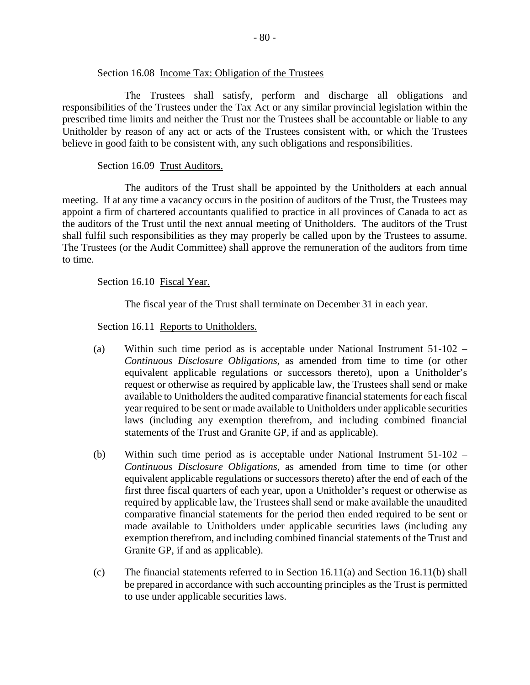#### Section 16.08 Income Tax: Obligation of the Trustees

The Trustees shall satisfy, perform and discharge all obligations and responsibilities of the Trustees under the Tax Act or any similar provincial legislation within the prescribed time limits and neither the Trust nor the Trustees shall be accountable or liable to any Unitholder by reason of any act or acts of the Trustees consistent with, or which the Trustees believe in good faith to be consistent with, any such obligations and responsibilities.

### Section 16.09 Trust Auditors.

The auditors of the Trust shall be appointed by the Unitholders at each annual meeting. If at any time a vacancy occurs in the position of auditors of the Trust, the Trustees may appoint a firm of chartered accountants qualified to practice in all provinces of Canada to act as the auditors of the Trust until the next annual meeting of Unitholders. The auditors of the Trust shall fulfil such responsibilities as they may properly be called upon by the Trustees to assume. The Trustees (or the Audit Committee) shall approve the remuneration of the auditors from time to time.

Section 16.10 Fiscal Year.

The fiscal year of the Trust shall terminate on December 31 in each year.

Section 16.11 Reports to Unitholders.

- (a) Within such time period as is acceptable under National Instrument 51-102 *Continuous Disclosure Obligations*, as amended from time to time (or other equivalent applicable regulations or successors thereto), upon a Unitholder's request or otherwise as required by applicable law, the Trustees shall send or make available to Unitholders the audited comparative financial statements for each fiscal year required to be sent or made available to Unitholders under applicable securities laws (including any exemption therefrom, and including combined financial statements of the Trust and Granite GP, if and as applicable).
- (b) Within such time period as is acceptable under National Instrument 51-102 *Continuous Disclosure Obligations*, as amended from time to time (or other equivalent applicable regulations or successors thereto) after the end of each of the first three fiscal quarters of each year, upon a Unitholder's request or otherwise as required by applicable law, the Trustees shall send or make available the unaudited comparative financial statements for the period then ended required to be sent or made available to Unitholders under applicable securities laws (including any exemption therefrom, and including combined financial statements of the Trust and Granite GP, if and as applicable).
- (c) The financial statements referred to in Section 16.11(a) and Section 16.11(b) shall be prepared in accordance with such accounting principles as the Trust is permitted to use under applicable securities laws.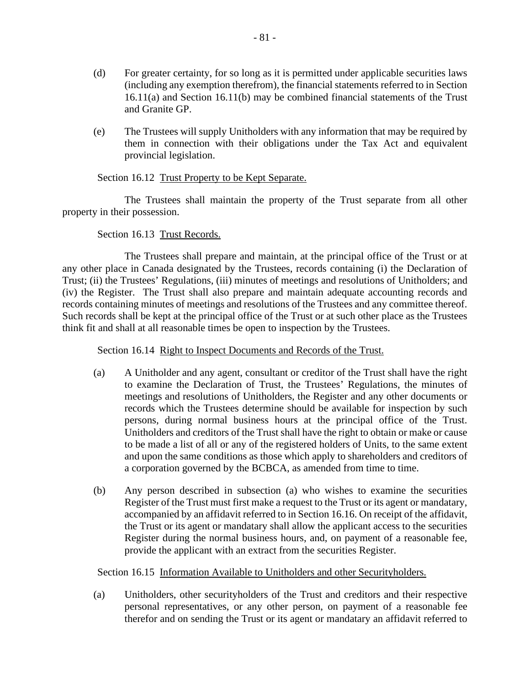- (d) For greater certainty, for so long as it is permitted under applicable securities laws (including any exemption therefrom), the financial statements referred to in Section 16.11(a) and Section 16.11(b) may be combined financial statements of the Trust and Granite GP.
- (e) The Trustees will supply Unitholders with any information that may be required by them in connection with their obligations under the Tax Act and equivalent provincial legislation.

### Section 16.12 Trust Property to be Kept Separate.

The Trustees shall maintain the property of the Trust separate from all other property in their possession.

## Section 16.13 Trust Records.

The Trustees shall prepare and maintain, at the principal office of the Trust or at any other place in Canada designated by the Trustees, records containing (i) the Declaration of Trust; (ii) the Trustees' Regulations, (iii) minutes of meetings and resolutions of Unitholders; and (iv) the Register. The Trust shall also prepare and maintain adequate accounting records and records containing minutes of meetings and resolutions of the Trustees and any committee thereof. Such records shall be kept at the principal office of the Trust or at such other place as the Trustees think fit and shall at all reasonable times be open to inspection by the Trustees.

Section 16.14 Right to Inspect Documents and Records of the Trust.

- (a) A Unitholder and any agent, consultant or creditor of the Trust shall have the right to examine the Declaration of Trust, the Trustees' Regulations, the minutes of meetings and resolutions of Unitholders, the Register and any other documents or records which the Trustees determine should be available for inspection by such persons, during normal business hours at the principal office of the Trust. Unitholders and creditors of the Trust shall have the right to obtain or make or cause to be made a list of all or any of the registered holders of Units, to the same extent and upon the same conditions as those which apply to shareholders and creditors of a corporation governed by the BCBCA, as amended from time to time.
- (b) Any person described in subsection (a) who wishes to examine the securities Register of the Trust must first make a request to the Trust or its agent or mandatary, accompanied by an affidavit referred to in Section 16.16. On receipt of the affidavit, the Trust or its agent or mandatary shall allow the applicant access to the securities Register during the normal business hours, and, on payment of a reasonable fee, provide the applicant with an extract from the securities Register.

Section 16.15 Information Available to Unitholders and other Securityholders.

(a) Unitholders, other securityholders of the Trust and creditors and their respective personal representatives, or any other person, on payment of a reasonable fee therefor and on sending the Trust or its agent or mandatary an affidavit referred to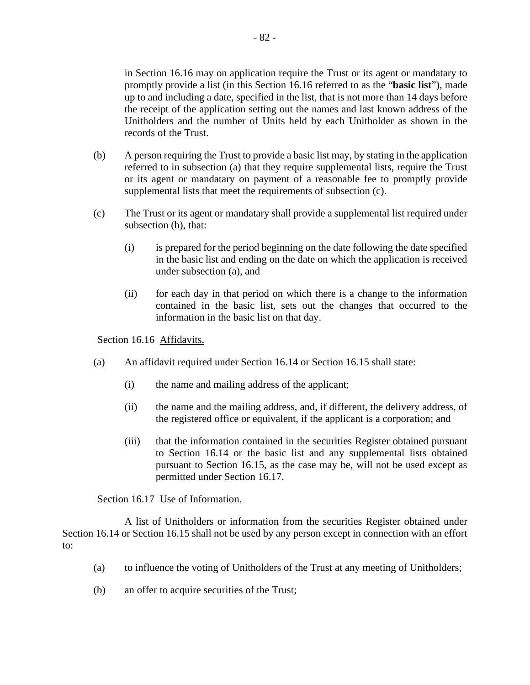in Section 16.16 may on application require the Trust or its agent or mandatary to promptly provide a list (in this Section 16.16 referred to as the "**basic list**"), made up to and including a date, specified in the list, that is not more than 14 days before the receipt of the application setting out the names and last known address of the Unitholders and the number of Units held by each Unitholder as shown in the records of the Trust.

- (b) A person requiring the Trust to provide a basic list may, by stating in the application referred to in subsection (a) that they require supplemental lists, require the Trust or its agent or mandatary on payment of a reasonable fee to promptly provide supplemental lists that meet the requirements of subsection (c).
- (c) The Trust or its agent or mandatary shall provide a supplemental list required under subsection (b), that:
	- (i) is prepared for the period beginning on the date following the date specified in the basic list and ending on the date on which the application is received under subsection (a), and
	- (ii) for each day in that period on which there is a change to the information contained in the basic list, sets out the changes that occurred to the information in the basic list on that day.

Section 16.16 Affidavits.

- (a) An affidavit required under Section 16.14 or Section 16.15 shall state:
	- (i) the name and mailing address of the applicant;
	- (ii) the name and the mailing address, and, if different, the delivery address, of the registered office or equivalent, if the applicant is a corporation; and
	- (iii) that the information contained in the securities Register obtained pursuant to Section 16.14 or the basic list and any supplemental lists obtained pursuant to Section 16.15, as the case may be, will not be used except as permitted under Section 16.17.

Section 16.17 Use of Information.

A list of Unitholders or information from the securities Register obtained under Section 16.14 or Section 16.15 shall not be used by any person except in connection with an effort to:

- (a) to influence the voting of Unitholders of the Trust at any meeting of Unitholders;
- (b) an offer to acquire securities of the Trust;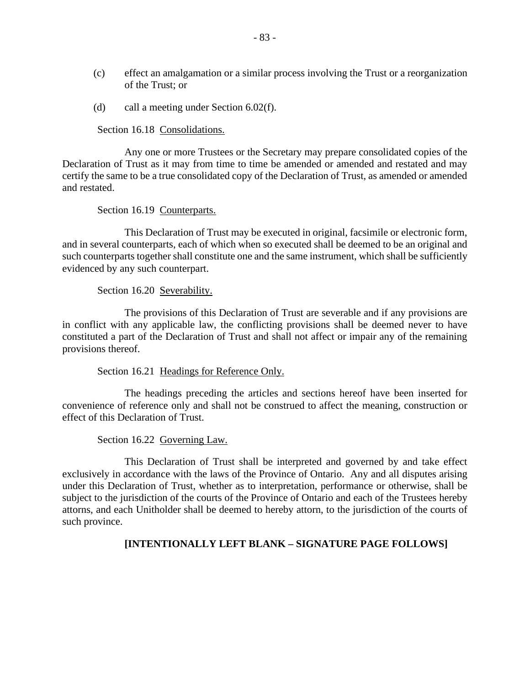- (c) effect an amalgamation or a similar process involving the Trust or a reorganization of the Trust; or
- (d) call a meeting under Section 6.02(f).

Section 16.18 Consolidations.

Any one or more Trustees or the Secretary may prepare consolidated copies of the Declaration of Trust as it may from time to time be amended or amended and restated and may certify the same to be a true consolidated copy of the Declaration of Trust, as amended or amended and restated.

Section 16.19 Counterparts.

This Declaration of Trust may be executed in original, facsimile or electronic form, and in several counterparts, each of which when so executed shall be deemed to be an original and such counterparts together shall constitute one and the same instrument, which shall be sufficiently evidenced by any such counterpart.

Section 16.20 Severability.

The provisions of this Declaration of Trust are severable and if any provisions are in conflict with any applicable law, the conflicting provisions shall be deemed never to have constituted a part of the Declaration of Trust and shall not affect or impair any of the remaining provisions thereof.

Section 16.21 Headings for Reference Only.

The headings preceding the articles and sections hereof have been inserted for convenience of reference only and shall not be construed to affect the meaning, construction or effect of this Declaration of Trust.

Section 16.22 Governing Law.

This Declaration of Trust shall be interpreted and governed by and take effect exclusively in accordance with the laws of the Province of Ontario. Any and all disputes arising under this Declaration of Trust, whether as to interpretation, performance or otherwise, shall be subject to the jurisdiction of the courts of the Province of Ontario and each of the Trustees hereby attorns, and each Unitholder shall be deemed to hereby attorn, to the jurisdiction of the courts of such province.

# **[INTENTIONALLY LEFT BLANK – SIGNATURE PAGE FOLLOWS]**